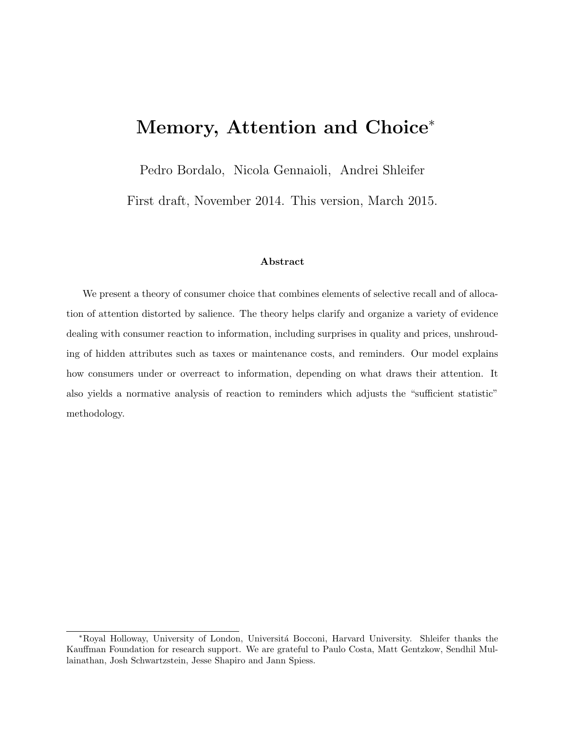# Memory, Attention and Choice<sup>∗</sup>

Pedro Bordalo, Nicola Gennaioli, Andrei Shleifer

First draft, November 2014. This version, March 2015.

#### Abstract

We present a theory of consumer choice that combines elements of selective recall and of allocation of attention distorted by salience. The theory helps clarify and organize a variety of evidence dealing with consumer reaction to information, including surprises in quality and prices, unshrouding of hidden attributes such as taxes or maintenance costs, and reminders. Our model explains how consumers under or overreact to information, depending on what draws their attention. It also yields a normative analysis of reaction to reminders which adjusts the "sufficient statistic" methodology.

<sup>∗</sup>Royal Holloway, University of London, Universit´a Bocconi, Harvard University. Shleifer thanks the Kauffman Foundation for research support. We are grateful to Paulo Costa, Matt Gentzkow, Sendhil Mullainathan, Josh Schwartzstein, Jesse Shapiro and Jann Spiess.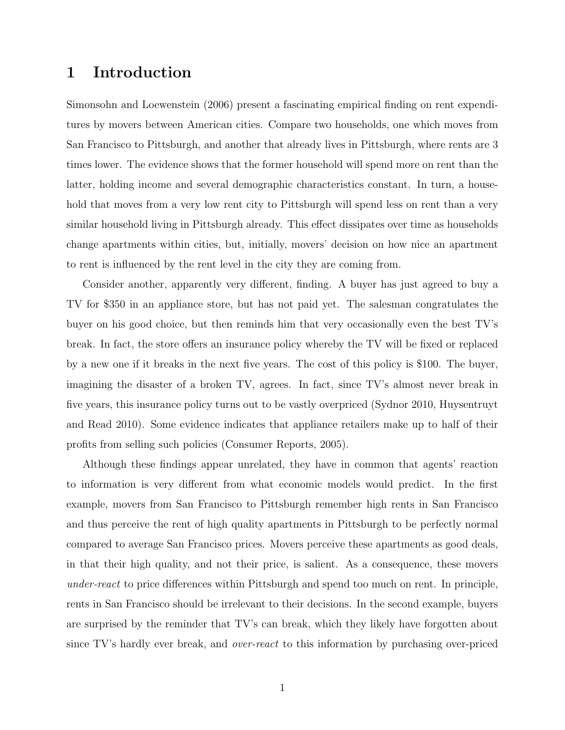## 1 Introduction

Simonsohn and Loewenstein (2006) present a fascinating empirical finding on rent expenditures by movers between American cities. Compare two households, one which moves from San Francisco to Pittsburgh, and another that already lives in Pittsburgh, where rents are 3 times lower. The evidence shows that the former household will spend more on rent than the latter, holding income and several demographic characteristics constant. In turn, a household that moves from a very low rent city to Pittsburgh will spend less on rent than a very similar household living in Pittsburgh already. This effect dissipates over time as households change apartments within cities, but, initially, movers' decision on how nice an apartment to rent is influenced by the rent level in the city they are coming from.

Consider another, apparently very different, finding. A buyer has just agreed to buy a TV for \$350 in an appliance store, but has not paid yet. The salesman congratulates the buyer on his good choice, but then reminds him that very occasionally even the best TV's break. In fact, the store offers an insurance policy whereby the TV will be fixed or replaced by a new one if it breaks in the next five years. The cost of this policy is \$100. The buyer, imagining the disaster of a broken TV, agrees. In fact, since TV's almost never break in five years, this insurance policy turns out to be vastly overpriced (Sydnor 2010, Huysentruyt and Read 2010). Some evidence indicates that appliance retailers make up to half of their profits from selling such policies (Consumer Reports, 2005).

Although these findings appear unrelated, they have in common that agents' reaction to information is very different from what economic models would predict. In the first example, movers from San Francisco to Pittsburgh remember high rents in San Francisco and thus perceive the rent of high quality apartments in Pittsburgh to be perfectly normal compared to average San Francisco prices. Movers perceive these apartments as good deals, in that their high quality, and not their price, is salient. As a consequence, these movers under-react to price differences within Pittsburgh and spend too much on rent. In principle, rents in San Francisco should be irrelevant to their decisions. In the second example, buyers are surprised by the reminder that TV's can break, which they likely have forgotten about since TV's hardly ever break, and over-react to this information by purchasing over-priced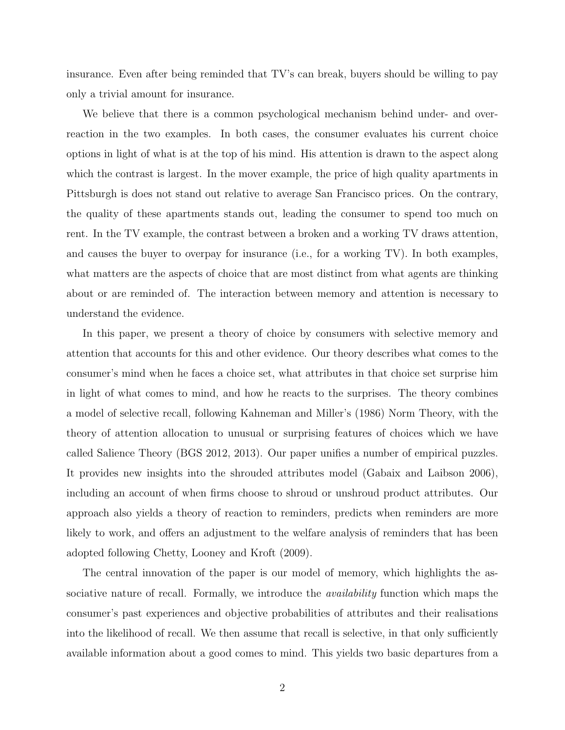insurance. Even after being reminded that TV's can break, buyers should be willing to pay only a trivial amount for insurance.

We believe that there is a common psychological mechanism behind under- and overreaction in the two examples. In both cases, the consumer evaluates his current choice options in light of what is at the top of his mind. His attention is drawn to the aspect along which the contrast is largest. In the mover example, the price of high quality apartments in Pittsburgh is does not stand out relative to average San Francisco prices. On the contrary, the quality of these apartments stands out, leading the consumer to spend too much on rent. In the TV example, the contrast between a broken and a working TV draws attention, and causes the buyer to overpay for insurance (i.e., for a working TV). In both examples, what matters are the aspects of choice that are most distinct from what agents are thinking about or are reminded of. The interaction between memory and attention is necessary to understand the evidence.

In this paper, we present a theory of choice by consumers with selective memory and attention that accounts for this and other evidence. Our theory describes what comes to the consumer's mind when he faces a choice set, what attributes in that choice set surprise him in light of what comes to mind, and how he reacts to the surprises. The theory combines a model of selective recall, following Kahneman and Miller's (1986) Norm Theory, with the theory of attention allocation to unusual or surprising features of choices which we have called Salience Theory (BGS 2012, 2013). Our paper unifies a number of empirical puzzles. It provides new insights into the shrouded attributes model (Gabaix and Laibson 2006), including an account of when firms choose to shroud or unshroud product attributes. Our approach also yields a theory of reaction to reminders, predicts when reminders are more likely to work, and offers an adjustment to the welfare analysis of reminders that has been adopted following Chetty, Looney and Kroft (2009).

The central innovation of the paper is our model of memory, which highlights the associative nature of recall. Formally, we introduce the *availability* function which maps the consumer's past experiences and objective probabilities of attributes and their realisations into the likelihood of recall. We then assume that recall is selective, in that only sufficiently available information about a good comes to mind. This yields two basic departures from a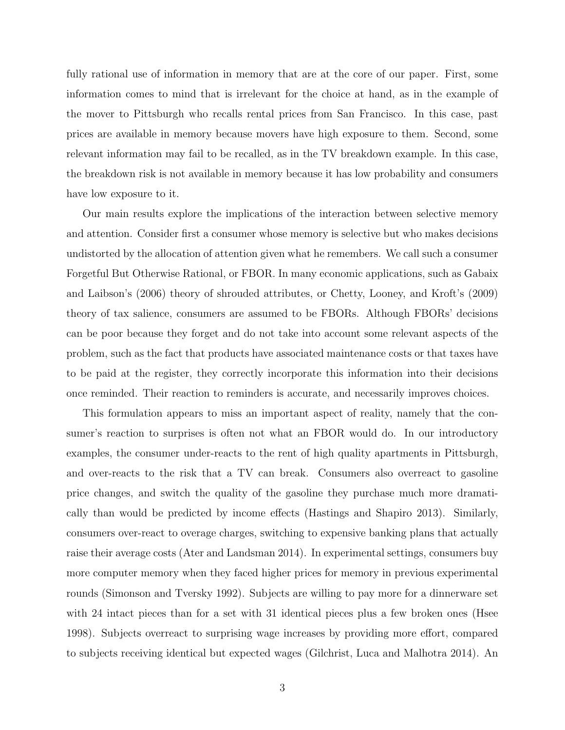fully rational use of information in memory that are at the core of our paper. First, some information comes to mind that is irrelevant for the choice at hand, as in the example of the mover to Pittsburgh who recalls rental prices from San Francisco. In this case, past prices are available in memory because movers have high exposure to them. Second, some relevant information may fail to be recalled, as in the TV breakdown example. In this case, the breakdown risk is not available in memory because it has low probability and consumers have low exposure to it.

Our main results explore the implications of the interaction between selective memory and attention. Consider first a consumer whose memory is selective but who makes decisions undistorted by the allocation of attention given what he remembers. We call such a consumer Forgetful But Otherwise Rational, or FBOR. In many economic applications, such as Gabaix and Laibson's (2006) theory of shrouded attributes, or Chetty, Looney, and Kroft's (2009) theory of tax salience, consumers are assumed to be FBORs. Although FBORs' decisions can be poor because they forget and do not take into account some relevant aspects of the problem, such as the fact that products have associated maintenance costs or that taxes have to be paid at the register, they correctly incorporate this information into their decisions once reminded. Their reaction to reminders is accurate, and necessarily improves choices.

This formulation appears to miss an important aspect of reality, namely that the consumer's reaction to surprises is often not what an FBOR would do. In our introductory examples, the consumer under-reacts to the rent of high quality apartments in Pittsburgh, and over-reacts to the risk that a TV can break. Consumers also overreact to gasoline price changes, and switch the quality of the gasoline they purchase much more dramatically than would be predicted by income effects (Hastings and Shapiro 2013). Similarly, consumers over-react to overage charges, switching to expensive banking plans that actually raise their average costs (Ater and Landsman 2014). In experimental settings, consumers buy more computer memory when they faced higher prices for memory in previous experimental rounds (Simonson and Tversky 1992). Subjects are willing to pay more for a dinnerware set with 24 intact pieces than for a set with 31 identical pieces plus a few broken ones (Hsee 1998). Subjects overreact to surprising wage increases by providing more effort, compared to subjects receiving identical but expected wages (Gilchrist, Luca and Malhotra 2014). An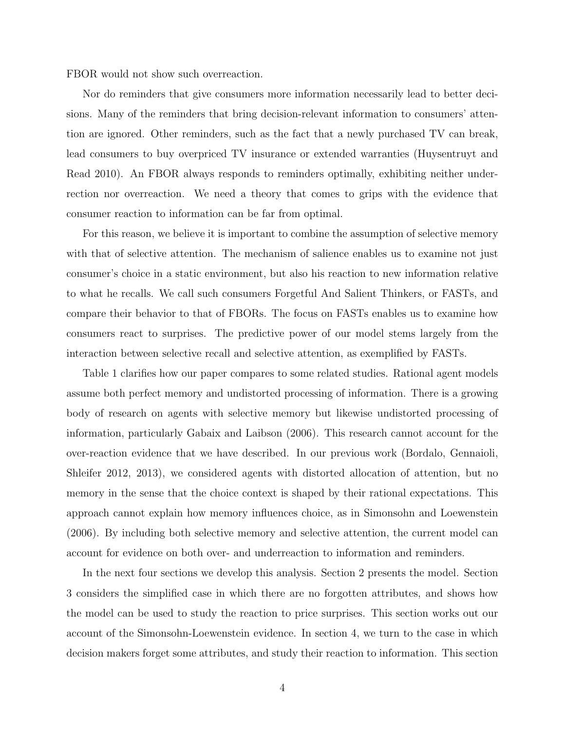FBOR would not show such overreaction.

Nor do reminders that give consumers more information necessarily lead to better decisions. Many of the reminders that bring decision-relevant information to consumers' attention are ignored. Other reminders, such as the fact that a newly purchased TV can break, lead consumers to buy overpriced TV insurance or extended warranties (Huysentruyt and Read 2010). An FBOR always responds to reminders optimally, exhibiting neither underrection nor overreaction. We need a theory that comes to grips with the evidence that consumer reaction to information can be far from optimal.

For this reason, we believe it is important to combine the assumption of selective memory with that of selective attention. The mechanism of salience enables us to examine not just consumer's choice in a static environment, but also his reaction to new information relative to what he recalls. We call such consumers Forgetful And Salient Thinkers, or FASTs, and compare their behavior to that of FBORs. The focus on FASTs enables us to examine how consumers react to surprises. The predictive power of our model stems largely from the interaction between selective recall and selective attention, as exemplified by FASTs.

Table 1 clarifies how our paper compares to some related studies. Rational agent models assume both perfect memory and undistorted processing of information. There is a growing body of research on agents with selective memory but likewise undistorted processing of information, particularly Gabaix and Laibson (2006). This research cannot account for the over-reaction evidence that we have described. In our previous work (Bordalo, Gennaioli, Shleifer 2012, 2013), we considered agents with distorted allocation of attention, but no memory in the sense that the choice context is shaped by their rational expectations. This approach cannot explain how memory influences choice, as in Simonsohn and Loewenstein (2006). By including both selective memory and selective attention, the current model can account for evidence on both over- and underreaction to information and reminders.

In the next four sections we develop this analysis. Section 2 presents the model. Section 3 considers the simplified case in which there are no forgotten attributes, and shows how the model can be used to study the reaction to price surprises. This section works out our account of the Simonsohn-Loewenstein evidence. In section 4, we turn to the case in which decision makers forget some attributes, and study their reaction to information. This section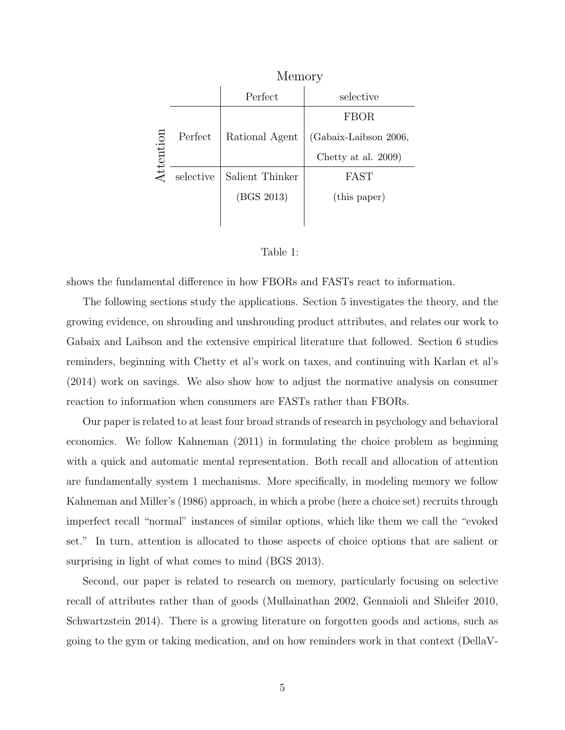|           | Memory    |                 |                       |
|-----------|-----------|-----------------|-----------------------|
| Attention |           | Perfect         | selective             |
|           |           |                 | FBOR                  |
|           | Perfect   | Rational Agent  | (Gabaix-Laibson 2006, |
|           |           |                 | Chetty at al. 2009)   |
|           | selective | Salient Thinker | FAST                  |
|           |           | (BGS 2013)      | (this paper)          |
|           |           |                 |                       |



shows the fundamental difference in how FBORs and FASTs react to information.

The following sections study the applications. Section 5 investigates the theory, and the growing evidence, on shrouding and unshrouding product attributes, and relates our work to Gabaix and Laibson and the extensive empirical literature that followed. Section 6 studies reminders, beginning with Chetty et al's work on taxes, and continuing with Karlan et al's (2014) work on savings. We also show how to adjust the normative analysis on consumer reaction to information when consumers are FASTs rather than FBORs.

Our paper is related to at least four broad strands of research in psychology and behavioral economics. We follow Kahneman (2011) in formulating the choice problem as beginning with a quick and automatic mental representation. Both recall and allocation of attention are fundamentally system 1 mechanisms. More specifically, in modeling memory we follow Kahneman and Miller's (1986) approach, in which a probe (here a choice set) recruits through imperfect recall "normal" instances of similar options, which like them we call the "evoked set." In turn, attention is allocated to those aspects of choice options that are salient or surprising in light of what comes to mind (BGS 2013).

Second, our paper is related to research on memory, particularly focusing on selective recall of attributes rather than of goods (Mullainathan 2002, Gennaioli and Shleifer 2010, Schwartzstein 2014). There is a growing literature on forgotten goods and actions, such as going to the gym or taking medication, and on how reminders work in that context (DellaV-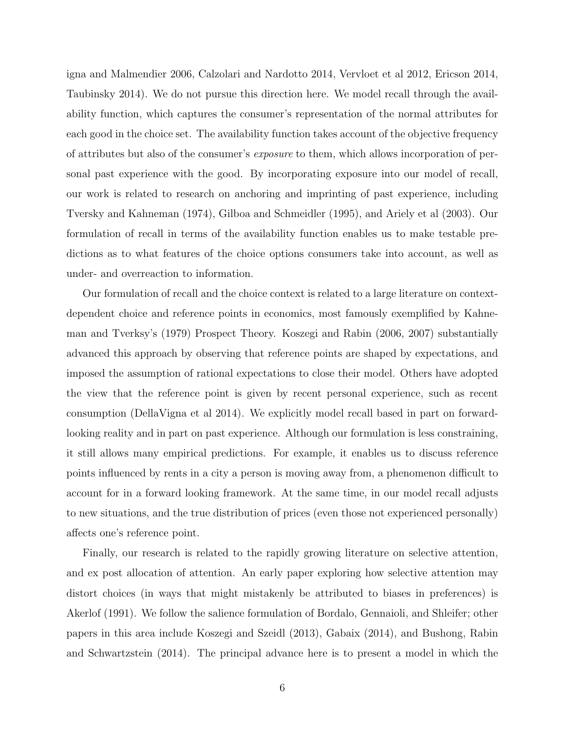igna and Malmendier 2006, Calzolari and Nardotto 2014, Vervloet et al 2012, Ericson 2014, Taubinsky 2014). We do not pursue this direction here. We model recall through the availability function, which captures the consumer's representation of the normal attributes for each good in the choice set. The availability function takes account of the objective frequency of attributes but also of the consumer's exposure to them, which allows incorporation of personal past experience with the good. By incorporating exposure into our model of recall, our work is related to research on anchoring and imprinting of past experience, including Tversky and Kahneman (1974), Gilboa and Schmeidler (1995), and Ariely et al (2003). Our formulation of recall in terms of the availability function enables us to make testable predictions as to what features of the choice options consumers take into account, as well as under- and overreaction to information.

Our formulation of recall and the choice context is related to a large literature on contextdependent choice and reference points in economics, most famously exemplified by Kahneman and Tverksy's (1979) Prospect Theory. Koszegi and Rabin (2006, 2007) substantially advanced this approach by observing that reference points are shaped by expectations, and imposed the assumption of rational expectations to close their model. Others have adopted the view that the reference point is given by recent personal experience, such as recent consumption (DellaVigna et al 2014). We explicitly model recall based in part on forwardlooking reality and in part on past experience. Although our formulation is less constraining, it still allows many empirical predictions. For example, it enables us to discuss reference points influenced by rents in a city a person is moving away from, a phenomenon difficult to account for in a forward looking framework. At the same time, in our model recall adjusts to new situations, and the true distribution of prices (even those not experienced personally) affects one's reference point.

Finally, our research is related to the rapidly growing literature on selective attention, and ex post allocation of attention. An early paper exploring how selective attention may distort choices (in ways that might mistakenly be attributed to biases in preferences) is Akerlof (1991). We follow the salience formulation of Bordalo, Gennaioli, and Shleifer; other papers in this area include Koszegi and Szeidl (2013), Gabaix (2014), and Bushong, Rabin and Schwartzstein (2014). The principal advance here is to present a model in which the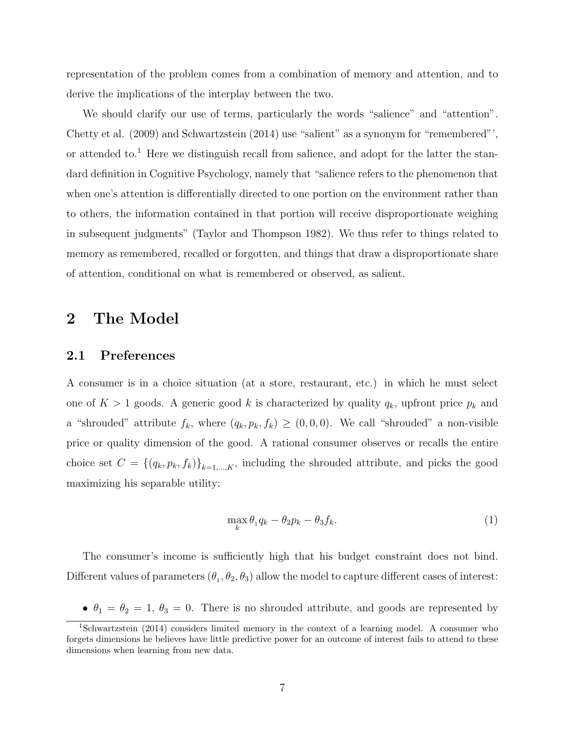representation of the problem comes from a combination of memory and attention, and to derive the implications of the interplay between the two.

We should clarify our use of terms, particularly the words "salience" and "attention". Chetty et al. (2009) and Schwartzstein (2014) use "salient" as a synonym for "remembered"', or attended to.<sup>1</sup> Here we distinguish recall from salience, and adopt for the latter the standard definition in Cognitive Psychology, namely that "salience refers to the phenomenon that when one's attention is differentially directed to one portion on the environment rather than to others, the information contained in that portion will receive disproportionate weighing in subsequent judgments" (Taylor and Thompson 1982). We thus refer to things related to memory as remembered, recalled or forgotten, and things that draw a disproportionate share of attention, conditional on what is remembered or observed, as salient.

## 2 The Model

## 2.1 Preferences

A consumer is in a choice situation (at a store, restaurant, etc.) in which he must select one of  $K > 1$  goods. A generic good k is characterized by quality  $q_k$ , upfront price  $p_k$  and a "shrouded" attribute  $f_k$ , where  $(q_k, p_k, f_k) \ge (0, 0, 0)$ . We call "shrouded" a non-visible price or quality dimension of the good. A rational consumer observes or recalls the entire choice set  $C = \{(q_k, p_k, f_k)\}_{k=1,\dots,K}$ , including the shrouded attribute, and picks the good maximizing his separable utility:

$$
\max_{k} \theta_1 q_k - \theta_2 p_k - \theta_3 f_k. \tag{1}
$$

The consumer's income is sufficiently high that his budget constraint does not bind. Different values of parameters  $(\theta_1, \theta_2, \theta_3)$  allow the model to capture different cases of interest:

•  $\theta_1 = \theta_2 = 1, \theta_3 = 0$ . There is no shrouded attribute, and goods are represented by

<sup>&</sup>lt;sup>1</sup>Schwartzstein (2014) considers limited memory in the context of a learning model. A consumer who forgets dimensions he believes have little predictive power for an outcome of interest fails to attend to these dimensions when learning from new data.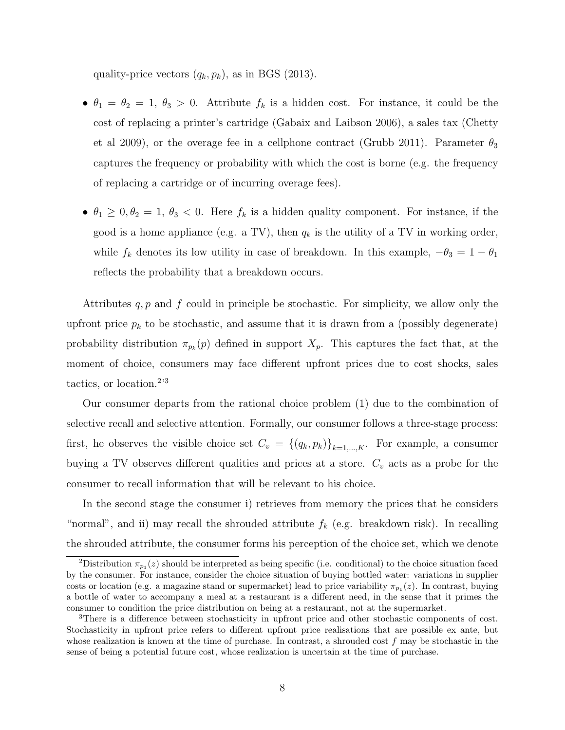quality-price vectors  $(q_k, p_k)$ , as in BGS (2013).

- $\theta_1 = \theta_2 = 1, \theta_3 > 0$ . Attribute  $f_k$  is a hidden cost. For instance, it could be the cost of replacing a printer's cartridge (Gabaix and Laibson 2006), a sales tax (Chetty et al 2009), or the overage fee in a cellphone contract (Grubb 2011). Parameter  $\theta_3$ captures the frequency or probability with which the cost is borne (e.g. the frequency of replacing a cartridge or of incurring overage fees).
- $\theta_1 \geq 0, \theta_2 = 1, \theta_3 < 0$ . Here  $f_k$  is a hidden quality component. For instance, if the good is a home appliance (e.g. a TV), then  $q_k$  is the utility of a TV in working order, while  $f_k$  denotes its low utility in case of breakdown. In this example,  $-\theta_3 = 1 - \theta_1$ reflects the probability that a breakdown occurs.

Attributes  $q, p$  and f could in principle be stochastic. For simplicity, we allow only the upfront price  $p_k$  to be stochastic, and assume that it is drawn from a (possibly degenerate) probability distribution  $\pi_{p_k}(p)$  defined in support  $X_p$ . This captures the fact that, at the moment of choice, consumers may face different upfront prices due to cost shocks, sales tactics, or location.<sup>2,3</sup>

Our consumer departs from the rational choice problem (1) due to the combination of selective recall and selective attention. Formally, our consumer follows a three-stage process: first, he observes the visible choice set  $C_v = \{(q_k, p_k)\}_{k=1,\dots,K}$ . For example, a consumer buying a TV observes different qualities and prices at a store.  $C_v$  acts as a probe for the consumer to recall information that will be relevant to his choice.

In the second stage the consumer i) retrieves from memory the prices that he considers "normal", and ii) may recall the shrouded attribute  $f_k$  (e.g. breakdown risk). In recalling the shrouded attribute, the consumer forms his perception of the choice set, which we denote

<sup>&</sup>lt;sup>2</sup>Distribution  $\pi_{p_1}(z)$  should be interpreted as being specific (i.e. conditional) to the choice situation faced by the consumer. For instance, consider the choice situation of buying bottled water: variations in supplier costs or location (e.g. a magazine stand or supermarket) lead to price variability  $\pi_{p_1}(z)$ . In contrast, buying a bottle of water to accompany a meal at a restaurant is a different need, in the sense that it primes the consumer to condition the price distribution on being at a restaurant, not at the supermarket.

<sup>3</sup>There is a difference between stochasticity in upfront price and other stochastic components of cost. Stochasticity in upfront price refers to different upfront price realisations that are possible ex ante, but whose realization is known at the time of purchase. In contrast, a shrouded cost  $f$  may be stochastic in the sense of being a potential future cost, whose realization is uncertain at the time of purchase.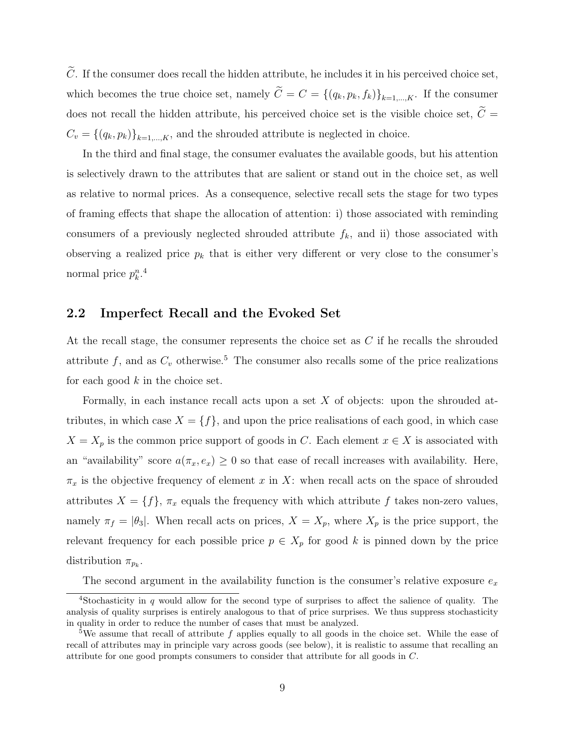$\tilde{C}$ . If the consumer does recall the hidden attribute, he includes it in his perceived choice set, which becomes the true choice set, namely  $\widetilde{C} = C = \{(q_k, p_k, f_k)\}_{k=1,\dots,K}$ . If the consumer does not recall the hidden attribute, his perceived choice set is the visible choice set,  $\widetilde{C}$  =  $C_v = \{(q_k, p_k)\}_{k=1,\dots,K}$ , and the shrouded attribute is neglected in choice.

In the third and final stage, the consumer evaluates the available goods, but his attention is selectively drawn to the attributes that are salient or stand out in the choice set, as well as relative to normal prices. As a consequence, selective recall sets the stage for two types of framing effects that shape the allocation of attention: i) those associated with reminding consumers of a previously neglected shrouded attribute  $f_k$ , and ii) those associated with observing a realized price  $p_k$  that is either very different or very close to the consumer's normal price  $p_k^n$ .<sup>4</sup>

#### 2.2 Imperfect Recall and the Evoked Set

At the recall stage, the consumer represents the choice set as C if he recalls the shrouded attribute f, and as  $C_v$  otherwise.<sup>5</sup> The consumer also recalls some of the price realizations for each good  $k$  in the choice set.

Formally, in each instance recall acts upon a set  $X$  of objects: upon the shrouded attributes, in which case  $X = \{f\}$ , and upon the price realisations of each good, in which case  $X = X_p$  is the common price support of goods in C. Each element  $x \in X$  is associated with an "availability" score  $a(\pi_x, e_x) \geq 0$  so that ease of recall increases with availability. Here,  $\pi_x$  is the objective frequency of element x in X: when recall acts on the space of shrouded attributes  $X = \{f\}$ ,  $\pi_x$  equals the frequency with which attribute f takes non-zero values, namely  $\pi_f = |\theta_3|$ . When recall acts on prices,  $X = X_p$ , where  $X_p$  is the price support, the relevant frequency for each possible price  $p \in X_p$  for good k is pinned down by the price distribution  $\pi_{p_k}$ .

The second argument in the availability function is the consumer's relative exposure  $e_x$ 

<sup>&</sup>lt;sup>4</sup>Stochasticity in q would allow for the second type of surprises to affect the salience of quality. The analysis of quality surprises is entirely analogous to that of price surprises. We thus suppress stochasticity in quality in order to reduce the number of cases that must be analyzed.

<sup>&</sup>lt;sup>5</sup>We assume that recall of attribute f applies equally to all goods in the choice set. While the ease of recall of attributes may in principle vary across goods (see below), it is realistic to assume that recalling an attribute for one good prompts consumers to consider that attribute for all goods in C.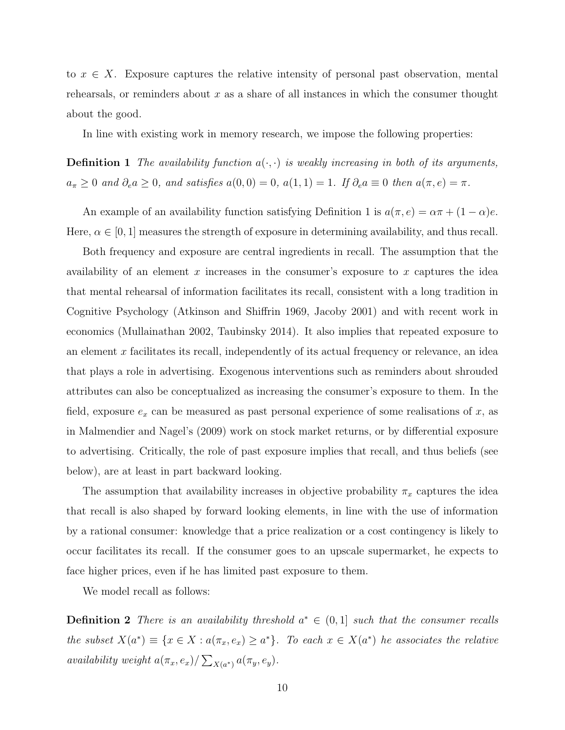to  $x \in X$ . Exposure captures the relative intensity of personal past observation, mental rehearsals, or reminders about  $x$  as a share of all instances in which the consumer thought about the good.

In line with existing work in memory research, we impose the following properties:

**Definition 1** The availability function  $a(\cdot, \cdot)$  is weakly increasing in both of its arguments,  $a_{\pi} \geq 0$  and  $\partial_{e} a \geq 0$ , and satisfies  $a(0,0) = 0$ ,  $a(1,1) = 1$ . If  $\partial_{e} a \equiv 0$  then  $a(\pi, e) = \pi$ .

An example of an availability function satisfying Definition 1 is  $a(\pi, e) = \alpha \pi + (1 - \alpha)e$ . Here,  $\alpha \in [0, 1]$  measures the strength of exposure in determining availability, and thus recall.

Both frequency and exposure are central ingredients in recall. The assumption that the availability of an element x increases in the consumer's exposure to x captures the idea that mental rehearsal of information facilitates its recall, consistent with a long tradition in Cognitive Psychology (Atkinson and Shiffrin 1969, Jacoby 2001) and with recent work in economics (Mullainathan 2002, Taubinsky 2014). It also implies that repeated exposure to an element x facilitates its recall, independently of its actual frequency or relevance, an idea that plays a role in advertising. Exogenous interventions such as reminders about shrouded attributes can also be conceptualized as increasing the consumer's exposure to them. In the field, exposure  $e_x$  can be measured as past personal experience of some realisations of x, as in Malmendier and Nagel's (2009) work on stock market returns, or by differential exposure to advertising. Critically, the role of past exposure implies that recall, and thus beliefs (see below), are at least in part backward looking.

The assumption that availability increases in objective probability  $\pi_x$  captures the idea that recall is also shaped by forward looking elements, in line with the use of information by a rational consumer: knowledge that a price realization or a cost contingency is likely to occur facilitates its recall. If the consumer goes to an upscale supermarket, he expects to face higher prices, even if he has limited past exposure to them.

We model recall as follows:

**Definition 2** There is an availability threshold  $a^* \in (0,1]$  such that the consumer recalls the subset  $X(a^*) \equiv \{x \in X : a(\pi_x, e_x) \geq a^*\}.$  To each  $x \in X(a^*)$  he associates the relative availability weight  $a(\pi_x, e_x) / \sum_{X(a^*)} a(\pi_y, e_y)$ .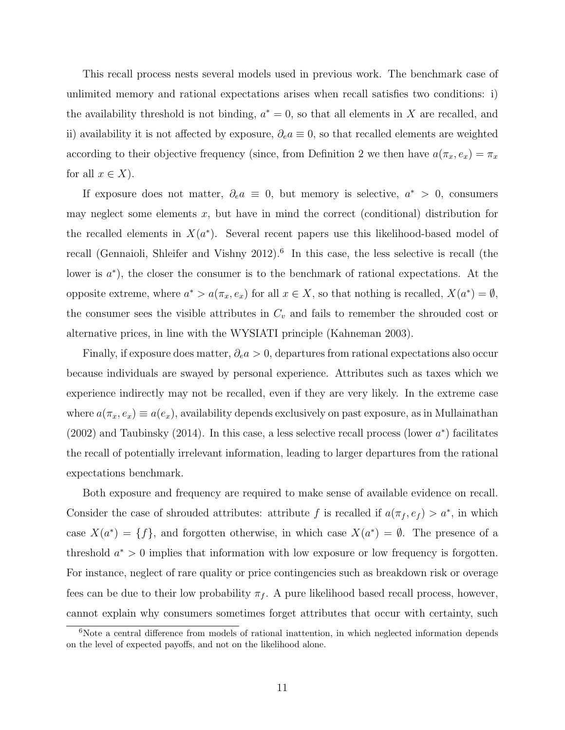This recall process nests several models used in previous work. The benchmark case of unlimited memory and rational expectations arises when recall satisfies two conditions: i) the availability threshold is not binding,  $a^* = 0$ , so that all elements in X are recalled, and ii) availability it is not affected by exposure,  $\partial_e a \equiv 0$ , so that recalled elements are weighted according to their objective frequency (since, from Definition 2 we then have  $a(\pi_x, e_x) = \pi_x$ for all  $x \in X$ ).

If exposure does not matter,  $\partial_e a \equiv 0$ , but memory is selective,  $a^* > 0$ , consumers may neglect some elements  $x$ , but have in mind the correct (conditional) distribution for the recalled elements in  $X(a^*)$ . Several recent papers use this likelihood-based model of recall (Gennaioli, Shleifer and Vishny 2012).<sup>6</sup> In this case, the less selective is recall (the lower is  $a^*$ ), the closer the consumer is to the benchmark of rational expectations. At the opposite extreme, where  $a^* > a(\pi_x, e_x)$  for all  $x \in X$ , so that nothing is recalled,  $X(a^*) = \emptyset$ , the consumer sees the visible attributes in  $C_v$  and fails to remember the shrouded cost or alternative prices, in line with the WYSIATI principle (Kahneman 2003).

Finally, if exposure does matter,  $\partial_e a > 0$ , departures from rational expectations also occur because individuals are swayed by personal experience. Attributes such as taxes which we experience indirectly may not be recalled, even if they are very likely. In the extreme case where  $a(\pi_x, e_x) \equiv a(e_x)$ , availability depends exclusively on past exposure, as in Mullainathan (2002) and Taubinsky (2014). In this case, a less selective recall process (lower  $a^*$ ) facilitates the recall of potentially irrelevant information, leading to larger departures from the rational expectations benchmark.

Both exposure and frequency are required to make sense of available evidence on recall. Consider the case of shrouded attributes: attribute f is recalled if  $a(\pi_f, e_f) > a^*$ , in which case  $X(a^*) = \{f\}$ , and forgotten otherwise, in which case  $X(a^*) = \emptyset$ . The presence of a threshold  $a^* > 0$  implies that information with low exposure or low frequency is forgotten. For instance, neglect of rare quality or price contingencies such as breakdown risk or overage fees can be due to their low probability  $\pi_f$ . A pure likelihood based recall process, however, cannot explain why consumers sometimes forget attributes that occur with certainty, such

<sup>&</sup>lt;sup>6</sup>Note a central difference from models of rational inattention, in which neglected information depends on the level of expected payoffs, and not on the likelihood alone.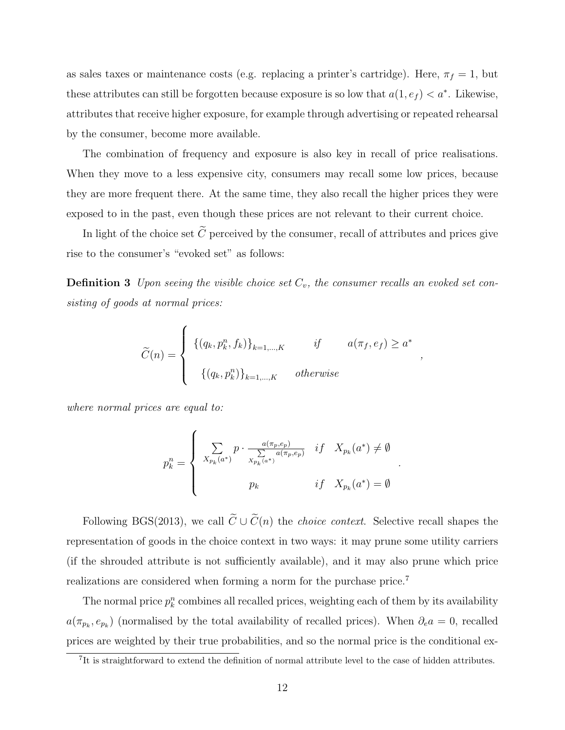as sales taxes or maintenance costs (e.g. replacing a printer's cartridge). Here,  $\pi_f = 1$ , but these attributes can still be forgotten because exposure is so low that  $a(1, e_f) < a^*$ . Likewise, attributes that receive higher exposure, for example through advertising or repeated rehearsal by the consumer, become more available.

The combination of frequency and exposure is also key in recall of price realisations. When they move to a less expensive city, consumers may recall some low prices, because they are more frequent there. At the same time, they also recall the higher prices they were exposed to in the past, even though these prices are not relevant to their current choice.

In light of the choice set  $\tilde{C}$  perceived by the consumer, recall of attributes and prices give rise to the consumer's "evoked set" as follows:

**Definition 3** Upon seeing the visible choice set  $C_v$ , the consumer recalls an evoked set consisting of goods at normal prices:

$$
\widetilde{C}(n) = \begin{cases}\n\left\{ (q_k, p_k^n, f_k) \right\}_{k=1,\ldots,K} & \text{if} \qquad a(\pi_f, e_f) \ge a^* \\
\left\{ (q_k, p_k^n) \right\}_{k=1,\ldots,K} & \text{otherwise}\n\end{cases}
$$

where normal prices are equal to:

$$
p_k^n = \begin{cases} \sum_{X_{p_k}(a^*)} p \cdot \frac{a(\pi_p, e_p)}{\sum\limits_{X_{p_k}(a^*)} a(\pi_p, e_p)} & if \quad X_{p_k}(a^*) \neq \emptyset \\ p_k & if \quad X_{p_k}(a^*) = \emptyset \end{cases}
$$

.

Following BGS(2013), we call  $\widetilde{C} \cup \widetilde{C}(n)$  the *choice context*. Selective recall shapes the representation of goods in the choice context in two ways: it may prune some utility carriers (if the shrouded attribute is not sufficiently available), and it may also prune which price realizations are considered when forming a norm for the purchase price.<sup>7</sup>

The normal price  $p_k^n$  combines all recalled prices, weighting each of them by its availability  $a(\pi_{p_k}, e_{p_k})$  (normalised by the total availability of recalled prices). When  $\partial_e a = 0$ , recalled prices are weighted by their true probabilities, and so the normal price is the conditional ex-

<sup>&</sup>lt;sup>7</sup>It is straightforward to extend the definition of normal attribute level to the case of hidden attributes.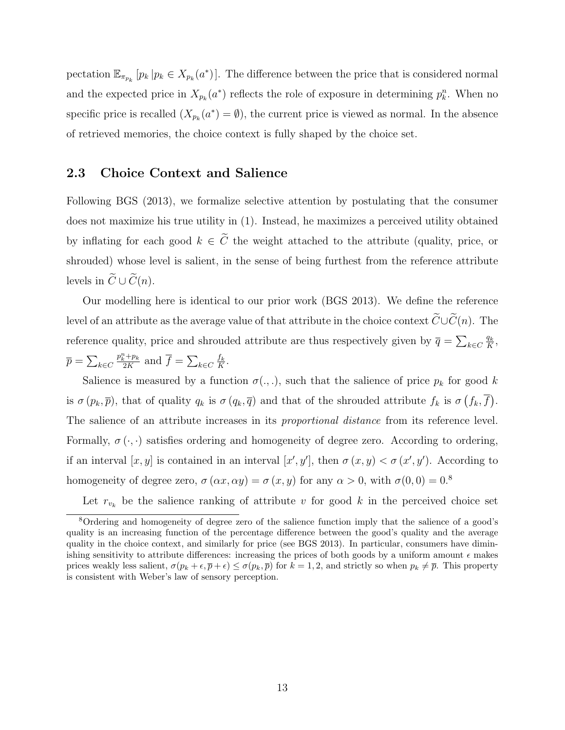pectation  $\mathbb{E}_{\pi_{p_k}}[p_k | p_k \in X_{p_k}(a^*)]$ . The difference between the price that is considered normal and the expected price in  $X_{p_k}(a^*)$  reflects the role of exposure in determining  $p_k^n$ . When no specific price is recalled  $(X_{p_k}(a^*) = \emptyset)$ , the current price is viewed as normal. In the absence of retrieved memories, the choice context is fully shaped by the choice set.

## 2.3 Choice Context and Salience

Following BGS (2013), we formalize selective attention by postulating that the consumer does not maximize his true utility in (1). Instead, he maximizes a perceived utility obtained by inflating for each good  $k \in \tilde{C}$  the weight attached to the attribute (quality, price, or shrouded) whose level is salient, in the sense of being furthest from the reference attribute levels in  $\widetilde{C} \cup \widetilde{C}(n)$ .

Our modelling here is identical to our prior work (BGS 2013). We define the reference level of an attribute as the average value of that attribute in the choice context  $\widetilde{C}\cup\widetilde{C}(n)$ . The reference quality, price and shrouded attribute are thus respectively given by  $\bar{q} = \sum_{k \in C} \frac{q_k}{K}$  $\frac{q_k}{K},$  $\overline{p}=\sum_{k\in C}$  $p_k^n + p_k$  $\frac{f_k^k + p_k}{2K}$  and  $\overline{f} = \sum_{k \in C} \frac{f_k}{K}$  $\frac{f_k}{K}$  .

Salience is measured by a function  $\sigma(.,.),$  such that the salience of price  $p_k$  for good k is  $\sigma(p_k, \overline{p})$ , that of quality  $q_k$  is  $\sigma(q_k, \overline{q})$  and that of the shrouded attribute  $f_k$  is  $\sigma(f_k, \overline{f})$ . The salience of an attribute increases in its *proportional distance* from its reference level. Formally,  $\sigma(\cdot, \cdot)$  satisfies ordering and homogeneity of degree zero. According to ordering, if an interval  $[x, y]$  is contained in an interval  $[x', y']$ , then  $\sigma(x, y) < \sigma(x', y')$ . According to homogeneity of degree zero,  $\sigma(\alpha x, \alpha y) = \sigma(x, y)$  for any  $\alpha > 0$ , with  $\sigma(0, 0) = 0$ .<sup>8</sup>

Let  $r_{v_k}$  be the salience ranking of attribute v for good k in the perceived choice set

<sup>8</sup>Ordering and homogeneity of degree zero of the salience function imply that the salience of a good's quality is an increasing function of the percentage difference between the good's quality and the average quality in the choice context, and similarly for price (see BGS 2013). In particular, consumers have diminishing sensitivity to attribute differences: increasing the prices of both goods by a uniform amount  $\epsilon$  makes prices weakly less salient,  $\sigma(p_k + \epsilon, \overline{p} + \epsilon) \leq \sigma(p_k, \overline{p})$  for  $k = 1, 2$ , and strictly so when  $p_k \neq \overline{p}$ . This property is consistent with Weber's law of sensory perception.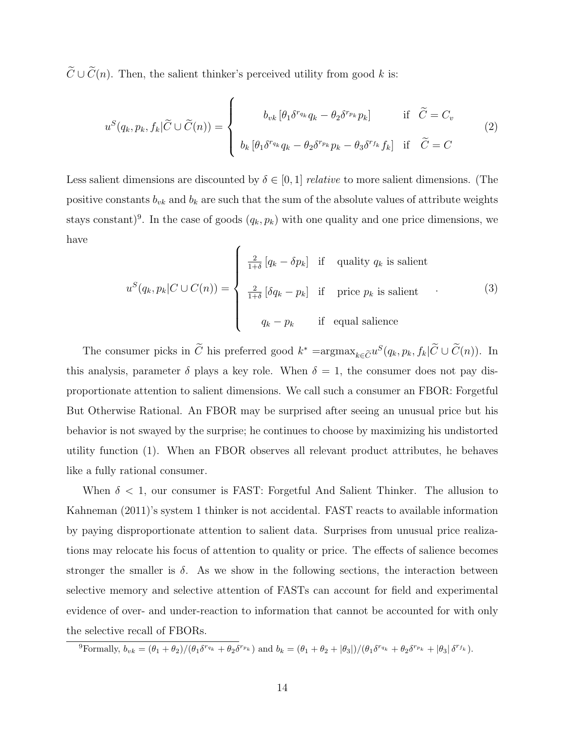$\widetilde{C} \cup \widetilde{C}(n)$ . Then, the salient thinker's perceived utility from good k is:

$$
u^{S}(q_{k}, p_{k}, f_{k}|\widetilde{C}\cup \widetilde{C}(n)) = \begin{cases} b_{vk} [\theta_{1}\delta^{r_{q_{k}}}q_{k} - \theta_{2}\delta^{r_{p_{k}}}p_{k}] & \text{if } \widetilde{C} = C_{v} \\ b_{k} [\theta_{1}\delta^{r_{q_{k}}}q_{k} - \theta_{2}\delta^{r_{p_{k}}}p_{k} - \theta_{3}\delta^{r_{f_{k}}}f_{k}] & \text{if } \widetilde{C} = C \end{cases}
$$
(2)

Less salient dimensions are discounted by  $\delta \in [0,1]$  relative to more salient dimensions. (The positive constants  $b_{vk}$  and  $b_k$  are such that the sum of the absolute values of attribute weights stays constant)<sup>9</sup>. In the case of goods  $(q_k, p_k)$  with one quality and one price dimensions, we have

$$
u^{S}(q_{k}, p_{k}|C \cup C(n)) = \begin{cases} \frac{2}{1+\delta} [q_{k} - \delta p_{k}] & \text{if } \text{ quality } q_{k} \text{ is salient} \\ \frac{2}{1+\delta} [\delta q_{k} - p_{k}] & \text{if } \text{ price } p_{k} \text{ is salient} \\ q_{k} - p_{k} & \text{if } \text{ equal salience} \end{cases}
$$
(3)

The consumer picks in  $\tilde{C}$  his preferred good  $k^* = \operatorname{argmax}_{k \in \tilde{C}} u^S(q_k, p_k, f_k | \tilde{C} \cup \tilde{C}(n))$ . In this analysis, parameter  $\delta$  plays a key role. When  $\delta = 1$ , the consumer does not pay disproportionate attention to salient dimensions. We call such a consumer an FBOR: Forgetful But Otherwise Rational. An FBOR may be surprised after seeing an unusual price but his behavior is not swayed by the surprise; he continues to choose by maximizing his undistorted utility function (1). When an FBOR observes all relevant product attributes, he behaves like a fully rational consumer.

When  $\delta$  < 1, our consumer is FAST: Forgetful And Salient Thinker. The allusion to Kahneman (2011)'s system 1 thinker is not accidental. FAST reacts to available information by paying disproportionate attention to salient data. Surprises from unusual price realizations may relocate his focus of attention to quality or price. The effects of salience becomes stronger the smaller is  $\delta$ . As we show in the following sections, the interaction between selective memory and selective attention of FASTs can account for field and experimental evidence of over- and under-reaction to information that cannot be accounted for with only the selective recall of FBORs.

<sup>9</sup>Formally,  $b_{vk} = (\theta_1 + \theta_2)/(\theta_1 \delta^{r_{q_k}} + \theta_2 \delta^{r_{p_k}})$  and  $b_k = (\theta_1 + \theta_2 + |\theta_3|)/(\theta_1 \delta^{r_{q_k}} + \theta_2 \delta^{r_{p_k}} + |\theta_3| \delta^{r_{f_k}})$ .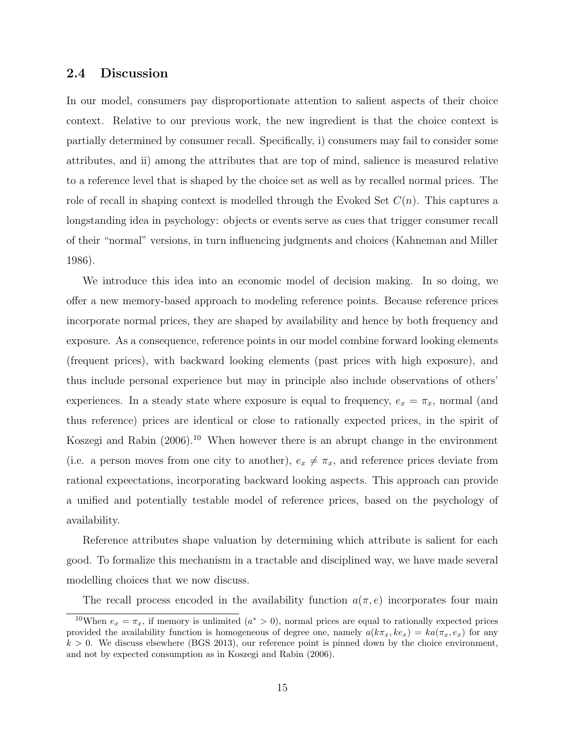#### 2.4 Discussion

In our model, consumers pay disproportionate attention to salient aspects of their choice context. Relative to our previous work, the new ingredient is that the choice context is partially determined by consumer recall. Specifically, i) consumers may fail to consider some attributes, and ii) among the attributes that are top of mind, salience is measured relative to a reference level that is shaped by the choice set as well as by recalled normal prices. The role of recall in shaping context is modelled through the Evoked Set  $C(n)$ . This captures a longstanding idea in psychology: objects or events serve as cues that trigger consumer recall of their "normal" versions, in turn influencing judgments and choices (Kahneman and Miller 1986).

We introduce this idea into an economic model of decision making. In so doing, we offer a new memory-based approach to modeling reference points. Because reference prices incorporate normal prices, they are shaped by availability and hence by both frequency and exposure. As a consequence, reference points in our model combine forward looking elements (frequent prices), with backward looking elements (past prices with high exposure), and thus include personal experience but may in principle also include observations of others' experiences. In a steady state where exposure is equal to frequency,  $e_x = \pi_x$ , normal (and thus reference) prices are identical or close to rationally expected prices, in the spirit of Koszegi and Rabin (2006).<sup>10</sup> When however there is an abrupt change in the environment (i.e. a person moves from one city to another),  $e_x \neq \pi_x$ , and reference prices deviate from rational expeectations, incorporating backward looking aspects. This approach can provide a unified and potentially testable model of reference prices, based on the psychology of availability.

Reference attributes shape valuation by determining which attribute is salient for each good. To formalize this mechanism in a tractable and disciplined way, we have made several modelling choices that we now discuss.

The recall process encoded in the availability function  $a(\pi, e)$  incorporates four main

<sup>&</sup>lt;sup>10</sup>When  $e_x = \pi_x$ , if memory is unlimited  $(a^* > 0)$ , normal prices are equal to rationally expected prices provided the availability function is homogeneous of degree one, namely  $a(k\pi_x, ke_x) = ka(\pi_x, e_x)$  for any  $k > 0$ . We discuss elsewhere (BGS 2013), our reference point is pinned down by the choice environment, and not by expected consumption as in Koszegi and Rabin (2006).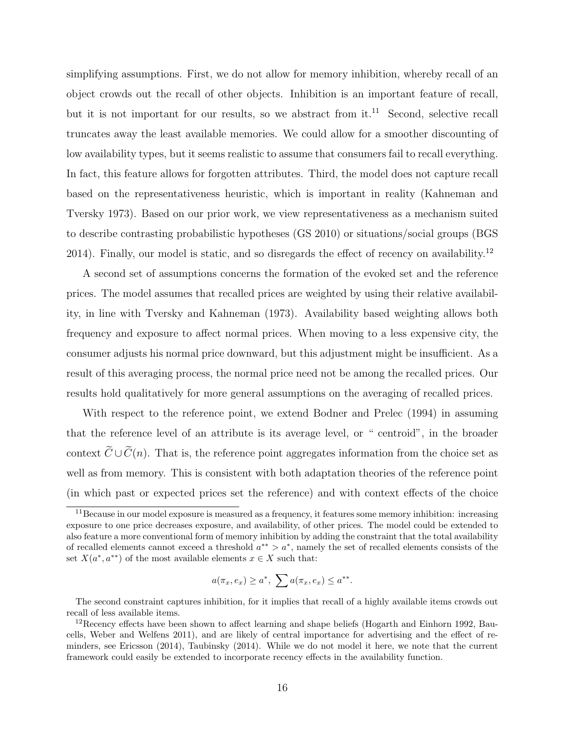simplifying assumptions. First, we do not allow for memory inhibition, whereby recall of an object crowds out the recall of other objects. Inhibition is an important feature of recall, but it is not important for our results, so we abstract from  $it^{11}$ . Second, selective recall truncates away the least available memories. We could allow for a smoother discounting of low availability types, but it seems realistic to assume that consumers fail to recall everything. In fact, this feature allows for forgotten attributes. Third, the model does not capture recall based on the representativeness heuristic, which is important in reality (Kahneman and Tversky 1973). Based on our prior work, we view representativeness as a mechanism suited to describe contrasting probabilistic hypotheses (GS 2010) or situations/social groups (BGS 2014). Finally, our model is static, and so disregards the effect of recency on availability.<sup>12</sup>

A second set of assumptions concerns the formation of the evoked set and the reference prices. The model assumes that recalled prices are weighted by using their relative availability, in line with Tversky and Kahneman (1973). Availability based weighting allows both frequency and exposure to affect normal prices. When moving to a less expensive city, the consumer adjusts his normal price downward, but this adjustment might be insufficient. As a result of this averaging process, the normal price need not be among the recalled prices. Our results hold qualitatively for more general assumptions on the averaging of recalled prices.

With respect to the reference point, we extend Bodner and Prelec (1994) in assuming that the reference level of an attribute is its average level, or " centroid", in the broader context  $\widetilde{C} \cup \widetilde{C}(n)$ . That is, the reference point aggregates information from the choice set as well as from memory. This is consistent with both adaptation theories of the reference point (in which past or expected prices set the reference) and with context effects of the choice

$$
a(\pi_x, e_x) \ge a^*, \ \sum a(\pi_x, e_x) \le a^{**}.
$$

The second constraint captures inhibition, for it implies that recall of a highly available items crowds out recall of less available items.

<sup>&</sup>lt;sup>11</sup>Because in our model exposure is measured as a frequency, it features some memory inhibition: increasing exposure to one price decreases exposure, and availability, of other prices. The model could be extended to also feature a more conventional form of memory inhibition by adding the constraint that the total availability of recalled elements cannot exceed a threshold  $a^{**} > a^*$ , namely the set of recalled elements consists of the set  $X(a^*, a^{**})$  of the most available elements  $x \in X$  such that:

<sup>&</sup>lt;sup>12</sup>Recency effects have been shown to affect learning and shape beliefs (Hogarth and Einhorn 1992, Baucells, Weber and Welfens 2011), and are likely of central importance for advertising and the effect of reminders, see Ericsson (2014), Taubinsky (2014). While we do not model it here, we note that the current framework could easily be extended to incorporate recency effects in the availability function.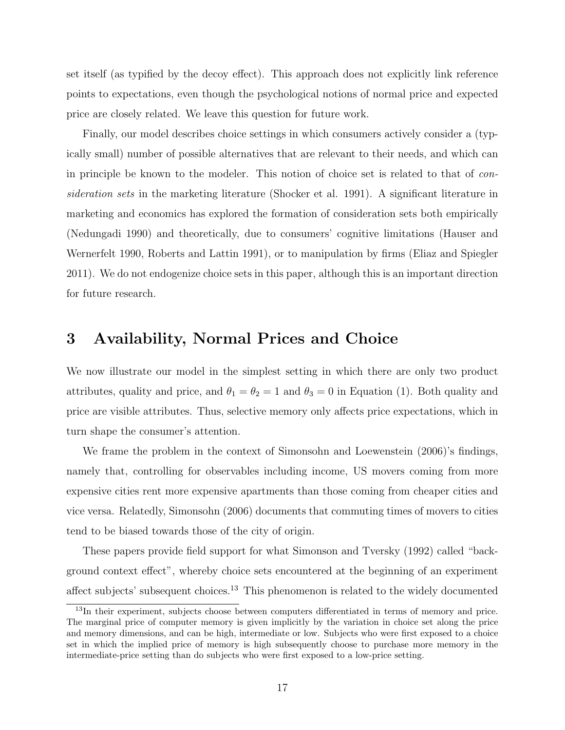set itself (as typified by the decoy effect). This approach does not explicitly link reference points to expectations, even though the psychological notions of normal price and expected price are closely related. We leave this question for future work.

Finally, our model describes choice settings in which consumers actively consider a (typically small) number of possible alternatives that are relevant to their needs, and which can in principle be known to the modeler. This notion of choice set is related to that of consideration sets in the marketing literature (Shocker et al. 1991). A significant literature in marketing and economics has explored the formation of consideration sets both empirically (Nedungadi 1990) and theoretically, due to consumers' cognitive limitations (Hauser and Wernerfelt 1990, Roberts and Lattin 1991), or to manipulation by firms (Eliaz and Spiegler 2011). We do not endogenize choice sets in this paper, although this is an important direction for future research.

## 3 Availability, Normal Prices and Choice

We now illustrate our model in the simplest setting in which there are only two product attributes, quality and price, and  $\theta_1 = \theta_2 = 1$  and  $\theta_3 = 0$  in Equation (1). Both quality and price are visible attributes. Thus, selective memory only affects price expectations, which in turn shape the consumer's attention.

We frame the problem in the context of Simonsohn and Loewenstein (2006)'s findings, namely that, controlling for observables including income, US movers coming from more expensive cities rent more expensive apartments than those coming from cheaper cities and vice versa. Relatedly, Simonsohn (2006) documents that commuting times of movers to cities tend to be biased towards those of the city of origin.

These papers provide field support for what Simonson and Tversky (1992) called "background context effect", whereby choice sets encountered at the beginning of an experiment affect subjects' subsequent choices.<sup>13</sup> This phenomenon is related to the widely documented

<sup>13</sup>In their experiment, subjects choose between computers differentiated in terms of memory and price. The marginal price of computer memory is given implicitly by the variation in choice set along the price and memory dimensions, and can be high, intermediate or low. Subjects who were first exposed to a choice set in which the implied price of memory is high subsequently choose to purchase more memory in the intermediate-price setting than do subjects who were first exposed to a low-price setting.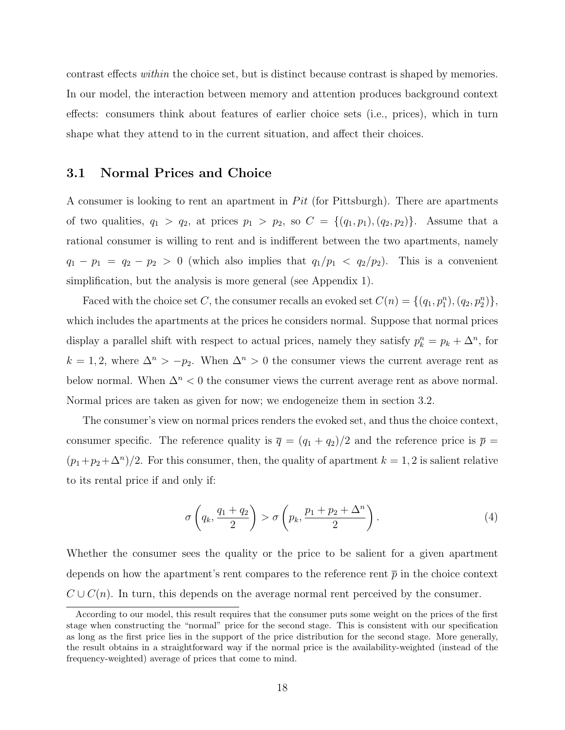contrast effects within the choice set, but is distinct because contrast is shaped by memories. In our model, the interaction between memory and attention produces background context effects: consumers think about features of earlier choice sets (i.e., prices), which in turn shape what they attend to in the current situation, and affect their choices.

## 3.1 Normal Prices and Choice

A consumer is looking to rent an apartment in  $Pit$  (for Pittsburgh). There are apartments of two qualities,  $q_1 > q_2$ , at prices  $p_1 > p_2$ , so  $C = \{(q_1, p_1), (q_2, p_2)\}\$ . Assume that a rational consumer is willing to rent and is indifferent between the two apartments, namely  $q_1 - p_1 = q_2 - p_2 > 0$  (which also implies that  $q_1/p_1 < q_2/p_2$ ). This is a convenient simplification, but the analysis is more general (see Appendix 1).

Faced with the choice set C, the consumer recalls an evoked set  $C(n) = \{(q_1, p_1^n), (q_2, p_2^n)\},\$ which includes the apartments at the prices he considers normal. Suppose that normal prices display a parallel shift with respect to actual prices, namely they satisfy  $p_k^n = p_k + \Delta^n$ , for  $k = 1, 2$ , where  $\Delta^n > -p_2$ . When  $\Delta^n > 0$  the consumer views the current average rent as below normal. When  $\Delta^n < 0$  the consumer views the current average rent as above normal. Normal prices are taken as given for now; we endogeneize them in section 3.2.

The consumer's view on normal prices renders the evoked set, and thus the choice context, consumer specific. The reference quality is  $\bar{q} = (q_1 + q_2)/2$  and the reference price is  $\bar{p} =$  $(p_1+p_2+\Delta^n)/2$ . For this consumer, then, the quality of apartment  $k=1,2$  is salient relative to its rental price if and only if:

$$
\sigma\left(q_k, \frac{q_1+q_2}{2}\right) > \sigma\left(p_k, \frac{p_1+p_2+\Delta^n}{2}\right). \tag{4}
$$

Whether the consumer sees the quality or the price to be salient for a given apartment depends on how the apartment's rent compares to the reference rent  $\bar{p}$  in the choice context  $C \cup C(n)$ . In turn, this depends on the average normal rent perceived by the consumer.

According to our model, this result requires that the consumer puts some weight on the prices of the first stage when constructing the "normal" price for the second stage. This is consistent with our specification as long as the first price lies in the support of the price distribution for the second stage. More generally, the result obtains in a straightforward way if the normal price is the availability-weighted (instead of the frequency-weighted) average of prices that come to mind.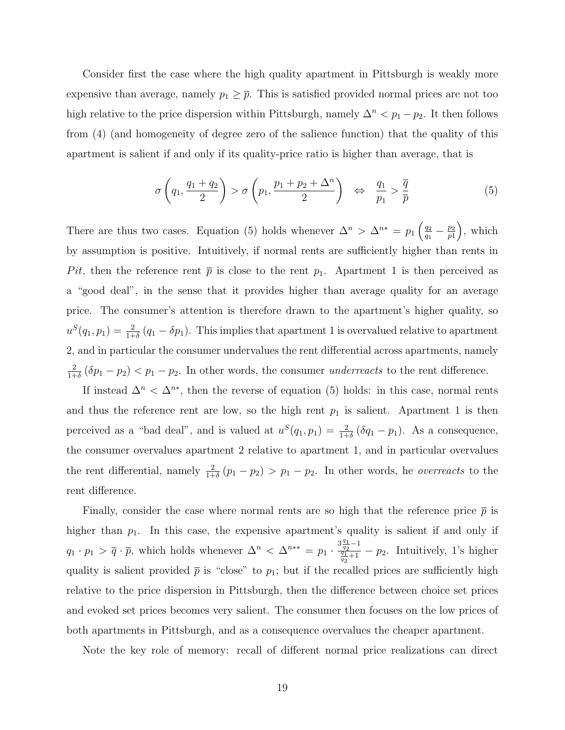Consider first the case where the high quality apartment in Pittsburgh is weakly more expensive than average, namely  $p_1 \geq \overline{p}$ . This is satisfied provided normal prices are not too high relative to the price dispersion within Pittsburgh, namely  $\Delta^n < p_1 - p_2$ . It then follows from (4) (and homogeneity of degree zero of the salience function) that the quality of this apartment is salient if and only if its quality-price ratio is higher than average, that is

$$
\sigma\left(q_1, \frac{q_1+q_2}{2}\right) > \sigma\left(p_1, \frac{p_1+p_2+\Delta^n}{2}\right) \quad \Leftrightarrow \quad \frac{q_1}{p_1} > \frac{\overline{q}}{\overline{p}} \tag{5}
$$

There are thus two cases. Equation (5) holds whenever  $\Delta^n > \Delta^{n*} = p_1 \left( \frac{q_2}{q_1} \right)$  $\frac{q_2}{q_1} - \frac{p_2}{p_1}$  $\binom{p_2}{p_1}$ , which by assumption is positive. Intuitively, if normal rents are sufficiently higher than rents in Pit, then the reference rent  $\bar{p}$  is close to the rent  $p_1$ . Apartment 1 is then perceived as a "good deal", in the sense that it provides higher than average quality for an average price. The consumer's attention is therefore drawn to the apartment's higher quality, so  $u^{S}(q_1, p_1) = \frac{2}{1+\delta}(q_1 - \delta p_1)$ . This implies that apartment 1 is overvalued relative to apartment 2, and in particular the consumer undervalues the rent differential across apartments, namely 2  $\frac{2}{1+\delta}(\delta p_1-p_2) < p_1-p_2$ . In other words, the consumer *underreacts* to the rent difference.

If instead  $\Delta^n < \Delta^{n*}$ , then the reverse of equation (5) holds: in this case, normal rents and thus the reference rent are low, so the high rent  $p_1$  is salient. Apartment 1 is then perceived as a "bad deal", and is valued at  $u^S(q_1, p_1) = \frac{2}{1+\delta} (\delta q_1 - p_1)$ . As a consequence, the consumer overvalues apartment 2 relative to apartment 1, and in particular overvalues the rent differential, namely  $\frac{2}{1+\delta}(p_1-p_2) > p_1-p_2$ . In other words, he *overreacts* to the rent difference.

Finally, consider the case where normal rents are so high that the reference price  $\bar{p}$  is higher than  $p_1$ . In this case, the expensive apartment's quality is salient if and only if  $q_1 \cdot p_1 > \overline{q} \cdot \overline{p}$ , which holds whenever  $\Delta^n < \Delta^{n**} = p_1 \cdot \frac{3 \frac{q_1}{q_2} - 1}{\frac{q_1}{q_1} + 1}$  $\frac{q_2}{q_1}$  =  $p_2$ . Intuitively, 1's higher quality is salient provided  $\bar{p}$  is "close" to  $p_1$ ; but if the recalled prices are sufficiently high relative to the price dispersion in Pittsburgh, then the difference between choice set prices and evoked set prices becomes very salient. The consumer then focuses on the low prices of both apartments in Pittsburgh, and as a consequence overvalues the cheaper apartment.

Note the key role of memory: recall of different normal price realizations can direct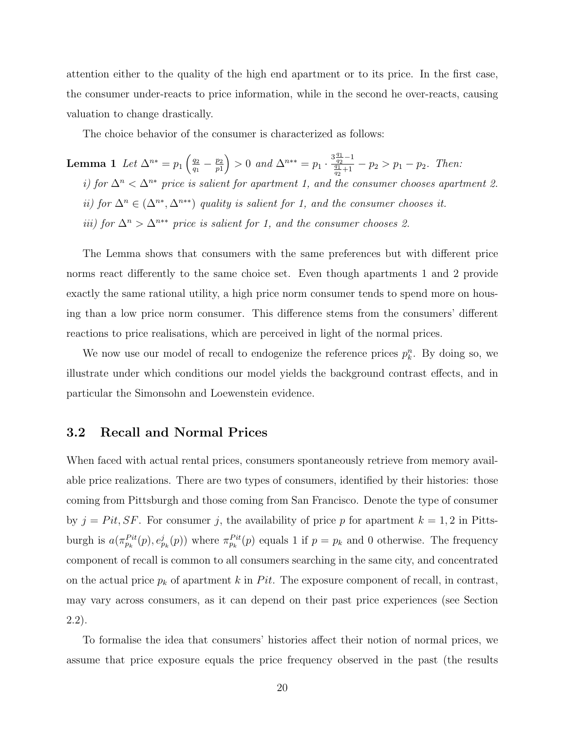attention either to the quality of the high end apartment or to its price. In the first case, the consumer under-reacts to price information, while in the second he over-reacts, causing valuation to change drastically.

The choice behavior of the consumer is characterized as follows:

Lemma 1 Let  $\Delta^{n*} = p_1 \left( \frac{q_2}{q_1} \right)$  $\frac{q_2}{q_1} - \frac{p_2}{p_1}$  $\binom{p_2}{p_1} > 0$  and  $\Delta^{n**} = p_1 \cdot \frac{3\frac{q_1}{q_2} - 1}{\frac{q_1}{q_1} + 1}$  $\frac{q_2}{q_1+1} - p_2 > p_1 - p_2$ . Then: i) for  $\Delta^n < \Delta^{n*}$  price is salient for apartment 1, and the consumer chooses apartment 2. ii) for  $\Delta^n \in (\Delta^{n*}, \Delta^{n**})$  quality is salient for 1, and the consumer chooses it. iii) for  $\Delta^n > \Delta^{n**}$  price is salient for 1, and the consumer chooses 2.

The Lemma shows that consumers with the same preferences but with different price norms react differently to the same choice set. Even though apartments 1 and 2 provide exactly the same rational utility, a high price norm consumer tends to spend more on housing than a low price norm consumer. This difference stems from the consumers' different reactions to price realisations, which are perceived in light of the normal prices.

We now use our model of recall to endogenize the reference prices  $p_k^n$ . By doing so, we illustrate under which conditions our model yields the background contrast effects, and in particular the Simonsohn and Loewenstein evidence.

## 3.2 Recall and Normal Prices

When faced with actual rental prices, consumers spontaneously retrieve from memory available price realizations. There are two types of consumers, identified by their histories: those coming from Pittsburgh and those coming from San Francisco. Denote the type of consumer by  $j = Pit, SF$ . For consumer j, the availability of price p for apartment  $k = 1, 2$  in Pittsburgh is  $a(\pi_{p_k}^{Pit}(p), e_{p_k}^j(p))$  where  $\pi_{p_k}^{Pit}(p)$  equals 1 if  $p = p_k$  and 0 otherwise. The frequency component of recall is common to all consumers searching in the same city, and concentrated on the actual price  $p_k$  of apartment k in Pit. The exposure component of recall, in contrast, may vary across consumers, as it can depend on their past price experiences (see Section 2.2).

To formalise the idea that consumers' histories affect their notion of normal prices, we assume that price exposure equals the price frequency observed in the past (the results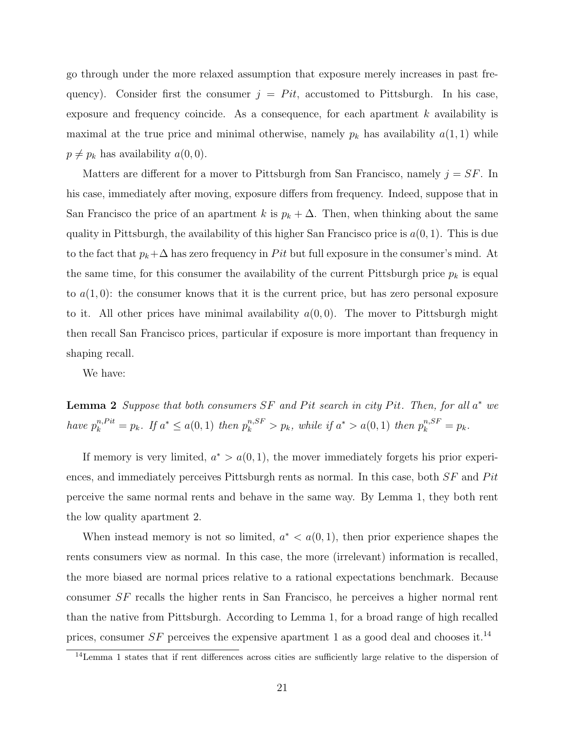go through under the more relaxed assumption that exposure merely increases in past frequency). Consider first the consumer  $j = Pit$ , accustomed to Pittsburgh. In his case, exposure and frequency coincide. As a consequence, for each apartment  $k$  availability is maximal at the true price and minimal otherwise, namely  $p_k$  has availability  $a(1,1)$  while  $p \neq p_k$  has availability  $a(0, 0)$ .

Matters are different for a mover to Pittsburgh from San Francisco, namely  $j = SF$ . In his case, immediately after moving, exposure differs from frequency. Indeed, suppose that in San Francisco the price of an apartment k is  $p_k + \Delta$ . Then, when thinking about the same quality in Pittsburgh, the availability of this higher San Francisco price is  $a(0, 1)$ . This is due to the fact that  $p_k + \Delta$  has zero frequency in Pit but full exposure in the consumer's mind. At the same time, for this consumer the availability of the current Pittsburgh price  $p_k$  is equal to  $a(1,0)$ : the consumer knows that it is the current price, but has zero personal exposure to it. All other prices have minimal availability  $a(0,0)$ . The mover to Pittsburgh might then recall San Francisco prices, particular if exposure is more important than frequency in shaping recall.

We have:

**Lemma 2** Suppose that both consumers SF and Pit search in city Pit. Then, for all  $a^*$  we have  $p_k^{n, Pit} = p_k$ . If  $a^* \le a(0, 1)$  then  $p_k^{n, SF} > p_k$ , while if  $a^* > a(0, 1)$  then  $p_k^{n, SF} = p_k$ .

If memory is very limited,  $a^* > a(0, 1)$ , the mover immediately forgets his prior experiences, and immediately perceives Pittsburgh rents as normal. In this case, both  $SF$  and Pit perceive the same normal rents and behave in the same way. By Lemma 1, they both rent the low quality apartment 2.

When instead memory is not so limited,  $a^* < a(0,1)$ , then prior experience shapes the rents consumers view as normal. In this case, the more (irrelevant) information is recalled, the more biased are normal prices relative to a rational expectations benchmark. Because consumer SF recalls the higher rents in San Francisco, he perceives a higher normal rent than the native from Pittsburgh. According to Lemma 1, for a broad range of high recalled prices, consumer SF perceives the expensive apartment 1 as a good deal and chooses it.<sup>14</sup>

<sup>14</sup>Lemma 1 states that if rent differences across cities are sufficiently large relative to the dispersion of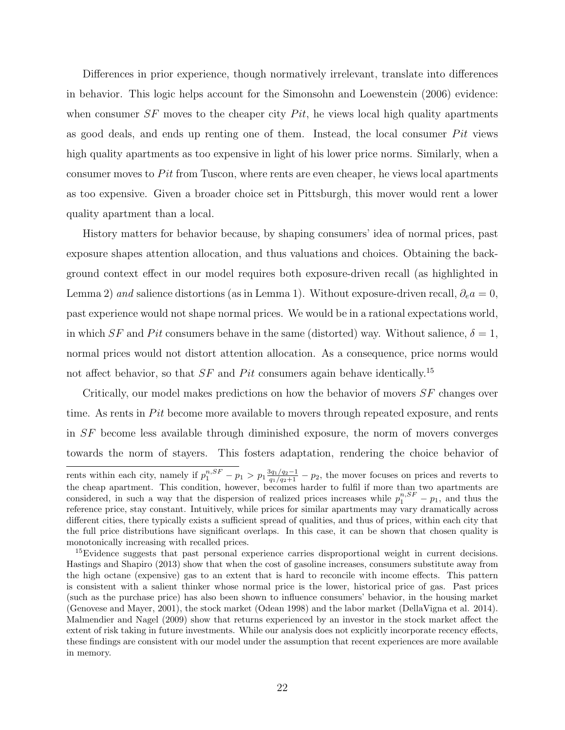Differences in prior experience, though normatively irrelevant, translate into differences in behavior. This logic helps account for the Simonsohn and Loewenstein (2006) evidence: when consumer  $SF$  moves to the cheaper city  $Pit$ , he views local high quality apartments as good deals, and ends up renting one of them. Instead, the local consumer  $Pit$  views high quality apartments as too expensive in light of his lower price norms. Similarly, when a consumer moves to  $Pit$  from Tuscon, where rents are even cheaper, he views local apartments as too expensive. Given a broader choice set in Pittsburgh, this mover would rent a lower quality apartment than a local.

History matters for behavior because, by shaping consumers' idea of normal prices, past exposure shapes attention allocation, and thus valuations and choices. Obtaining the background context effect in our model requires both exposure-driven recall (as highlighted in Lemma 2) and salience distortions (as in Lemma 1). Without exposure-driven recall,  $\partial_e a = 0$ , past experience would not shape normal prices. We would be in a rational expectations world, in which SF and Pit consumers behave in the same (distorted) way. Without salience,  $\delta = 1$ , normal prices would not distort attention allocation. As a consequence, price norms would not affect behavior, so that  $SF$  and Pit consumers again behave identically.<sup>15</sup>

Critically, our model makes predictions on how the behavior of movers  $SF$  changes over time. As rents in  $Pit$  become more available to movers through repeated exposure, and rents in SF become less available through diminished exposure, the norm of movers converges towards the norm of stayers. This fosters adaptation, rendering the choice behavior of

rents within each city, namely if  $p_1^{n, SF} - p_1 > p_1 \frac{3q_1/q_2-1}{q_1/q_2+1} - p_2$ , the mover focuses on prices and reverts to the cheap apartment. This condition, however, becomes harder to fulfil if more than two apartments are considered, in such a way that the dispersion of realized prices increases while  $p_1^{n, SF} - p_1$ , and thus the reference price, stay constant. Intuitively, while prices for similar apartments may vary dramatically across different cities, there typically exists a sufficient spread of qualities, and thus of prices, within each city that the full price distributions have significant overlaps. In this case, it can be shown that chosen quality is monotonically increasing with recalled prices.

<sup>&</sup>lt;sup>15</sup>Evidence suggests that past personal experience carries disproportional weight in current decisions. Hastings and Shapiro (2013) show that when the cost of gasoline increases, consumers substitute away from the high octane (expensive) gas to an extent that is hard to reconcile with income effects. This pattern is consistent with a salient thinker whose normal price is the lower, historical price of gas. Past prices (such as the purchase price) has also been shown to influence consumers' behavior, in the housing market (Genovese and Mayer, 2001), the stock market (Odean 1998) and the labor market (DellaVigna et al. 2014). Malmendier and Nagel (2009) show that returns experienced by an investor in the stock market affect the extent of risk taking in future investments. While our analysis does not explicitly incorporate recency effects, these findings are consistent with our model under the assumption that recent experiences are more available in memory.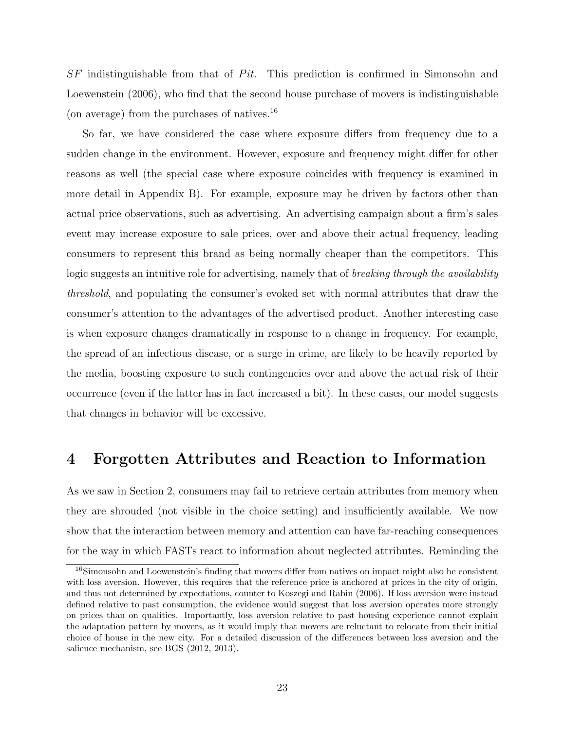$SF$  indistinguishable from that of  $Pit$ . This prediction is confirmed in Simonsohn and Loewenstein (2006), who find that the second house purchase of movers is indistinguishable (on average) from the purchases of natives.<sup>16</sup>

So far, we have considered the case where exposure differs from frequency due to a sudden change in the environment. However, exposure and frequency might differ for other reasons as well (the special case where exposure coincides with frequency is examined in more detail in Appendix B). For example, exposure may be driven by factors other than actual price observations, such as advertising. An advertising campaign about a firm's sales event may increase exposure to sale prices, over and above their actual frequency, leading consumers to represent this brand as being normally cheaper than the competitors. This logic suggests an intuitive role for advertising, namely that of *breaking through the availability* threshold, and populating the consumer's evoked set with normal attributes that draw the consumer's attention to the advantages of the advertised product. Another interesting case is when exposure changes dramatically in response to a change in frequency. For example, the spread of an infectious disease, or a surge in crime, are likely to be heavily reported by the media, boosting exposure to such contingencies over and above the actual risk of their occurrence (even if the latter has in fact increased a bit). In these cases, our model suggests that changes in behavior will be excessive.

## 4 Forgotten Attributes and Reaction to Information

As we saw in Section 2, consumers may fail to retrieve certain attributes from memory when they are shrouded (not visible in the choice setting) and insufficiently available. We now show that the interaction between memory and attention can have far-reaching consequences for the way in which FASTs react to information about neglected attributes. Reminding the

<sup>16</sup>Simonsohn and Loewenstein's finding that movers differ from natives on impact might also be consistent with loss aversion. However, this requires that the reference price is anchored at prices in the city of origin, and thus not determined by expectations, counter to Koszegi and Rabin (2006). If loss aversion were instead defined relative to past consumption, the evidence would suggest that loss aversion operates more strongly on prices than on qualities. Importantly, loss aversion relative to past housing experience cannot explain the adaptation pattern by movers, as it would imply that movers are reluctant to relocate from their initial choice of house in the new city. For a detailed discussion of the differences between loss aversion and the salience mechanism, see BGS (2012, 2013).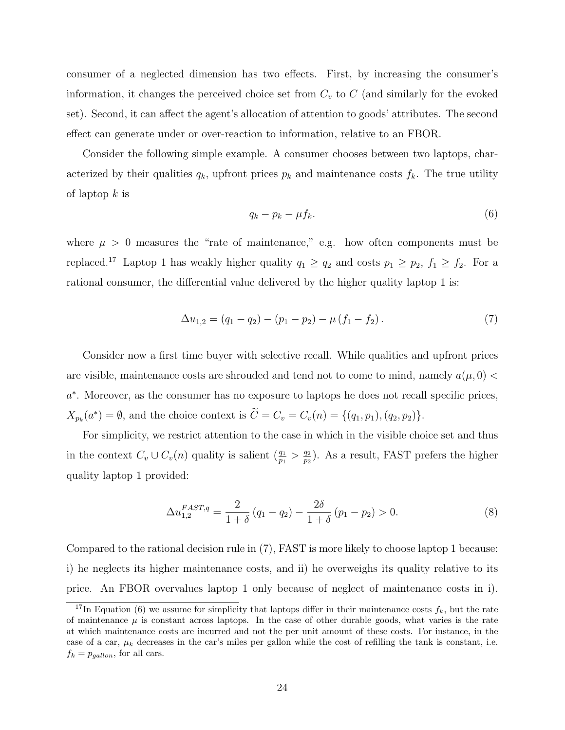consumer of a neglected dimension has two effects. First, by increasing the consumer's information, it changes the perceived choice set from  $C_v$  to  $C$  (and similarly for the evoked set). Second, it can affect the agent's allocation of attention to goods' attributes. The second effect can generate under or over-reaction to information, relative to an FBOR.

Consider the following simple example. A consumer chooses between two laptops, characterized by their qualities  $q_k$ , upfront prices  $p_k$  and maintenance costs  $f_k$ . The true utility of laptop  $k$  is

$$
q_k - p_k - \mu f_k. \tag{6}
$$

where  $\mu > 0$  measures the "rate of maintenance," e.g. how often components must be replaced.<sup>17</sup> Laptop 1 has weakly higher quality  $q_1 \ge q_2$  and costs  $p_1 \ge p_2$ ,  $f_1 \ge f_2$ . For a rational consumer, the differential value delivered by the higher quality laptop 1 is:

$$
\Delta u_{1,2} = (q_1 - q_2) - (p_1 - p_2) - \mu (f_1 - f_2). \tag{7}
$$

Consider now a first time buyer with selective recall. While qualities and upfront prices are visible, maintenance costs are shrouded and tend not to come to mind, namely  $a(\mu, 0)$  < a ∗ . Moreover, as the consumer has no exposure to laptops he does not recall specific prices,  $X_{p_k}(a^*) = \emptyset$ , and the choice context is  $\tilde{C} = C_v = C_v(n) = \{(q_1, p_1), (q_2, p_2)\}.$ 

For simplicity, we restrict attention to the case in which in the visible choice set and thus in the context  $C_v \cup C_v(n)$  quality is salient  $\left(\frac{q_1}{p_1} > \frac{q_2}{p_2}\right)$  $\frac{q_2}{p_2}$ ). As a result, FAST prefers the higher quality laptop 1 provided:

$$
\Delta u_{1,2}^{FAST,q} = \frac{2}{1+\delta} (q_1 - q_2) - \frac{2\delta}{1+\delta} (p_1 - p_2) > 0.
$$
 (8)

Compared to the rational decision rule in (7), FAST is more likely to choose laptop 1 because: i) he neglects its higher maintenance costs, and ii) he overweighs its quality relative to its price. An FBOR overvalues laptop 1 only because of neglect of maintenance costs in i).

<sup>&</sup>lt;sup>17</sup>In Equation (6) we assume for simplicity that laptops differ in their maintenance costs  $f_k$ , but the rate of maintenance  $\mu$  is constant across laptops. In the case of other durable goods, what varies is the rate at which maintenance costs are incurred and not the per unit amount of these costs. For instance, in the case of a car,  $\mu_k$  decreases in the car's miles per gallon while the cost of refilling the tank is constant, i.e.  $f_k = p_{qallon}$ , for all cars.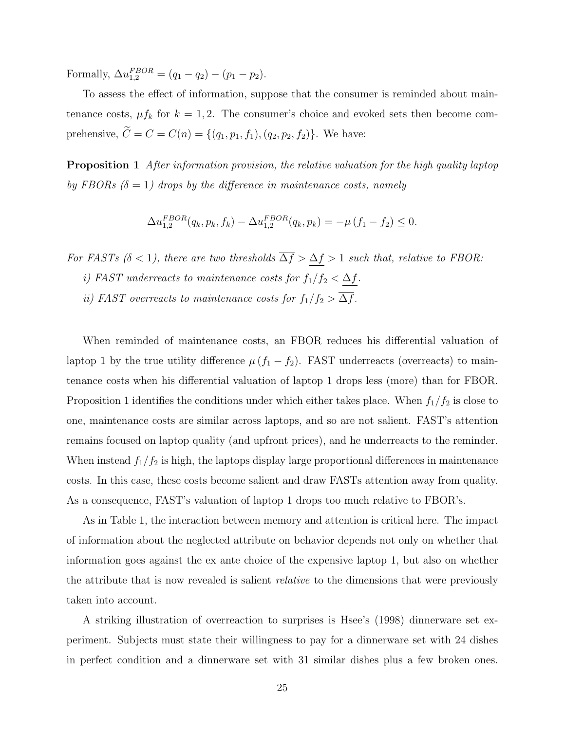Formally,  $\Delta u_{1,2}^{FBOR} = (q_1 - q_2) - (p_1 - p_2).$ 

To assess the effect of information, suppose that the consumer is reminded about maintenance costs,  $\mu f_k$  for  $k = 1, 2$ . The consumer's choice and evoked sets then become comprehensive,  $\tilde{C} = C = C(n) = \{(q_1, p_1, f_1), (q_2, p_2, f_2)\}$ . We have:

**Proposition 1** After information provision, the relative valuation for the high quality laptop by FBORs  $(\delta = 1)$  drops by the difference in maintenance costs, namely

$$
\Delta u_{1,2}^{FBOR}(q_k, p_k, f_k) - \Delta u_{1,2}^{FBOR}(q_k, p_k) = -\mu (f_1 - f_2) \le 0.
$$

For FASTs ( $\delta$  < 1), there are two thresholds  $\overline{\Delta f} > \underline{\Delta f} > 1$  such that, relative to FBOR:

- i) FAST underreacts to maintenance costs for  $f_1/f_2 < \Delta f$ .
- ii) FAST overreacts to maintenance costs for  $f_1/f_2 > \overline{\Delta f}$ .

When reminded of maintenance costs, an FBOR reduces his differential valuation of laptop 1 by the true utility difference  $\mu (f_1 - f_2)$ . FAST underreacts (overreacts) to maintenance costs when his differential valuation of laptop 1 drops less (more) than for FBOR. Proposition 1 identifies the conditions under which either takes place. When  $f_1/f_2$  is close to one, maintenance costs are similar across laptops, and so are not salient. FAST's attention remains focused on laptop quality (and upfront prices), and he underreacts to the reminder. When instead  $f_1/f_2$  is high, the laptops display large proportional differences in maintenance costs. In this case, these costs become salient and draw FASTs attention away from quality. As a consequence, FAST's valuation of laptop 1 drops too much relative to FBOR's.

As in Table 1, the interaction between memory and attention is critical here. The impact of information about the neglected attribute on behavior depends not only on whether that information goes against the ex ante choice of the expensive laptop 1, but also on whether the attribute that is now revealed is salient *relative* to the dimensions that were previously taken into account.

A striking illustration of overreaction to surprises is Hsee's (1998) dinnerware set experiment. Subjects must state their willingness to pay for a dinnerware set with 24 dishes in perfect condition and a dinnerware set with 31 similar dishes plus a few broken ones.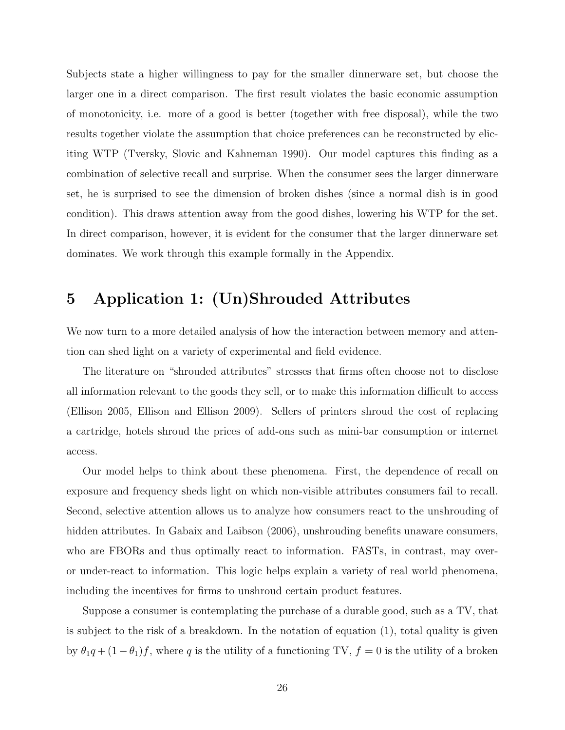Subjects state a higher willingness to pay for the smaller dinnerware set, but choose the larger one in a direct comparison. The first result violates the basic economic assumption of monotonicity, i.e. more of a good is better (together with free disposal), while the two results together violate the assumption that choice preferences can be reconstructed by eliciting WTP (Tversky, Slovic and Kahneman 1990). Our model captures this finding as a combination of selective recall and surprise. When the consumer sees the larger dinnerware set, he is surprised to see the dimension of broken dishes (since a normal dish is in good condition). This draws attention away from the good dishes, lowering his WTP for the set. In direct comparison, however, it is evident for the consumer that the larger dinnerware set dominates. We work through this example formally in the Appendix.

# 5 Application 1: (Un)Shrouded Attributes

We now turn to a more detailed analysis of how the interaction between memory and attention can shed light on a variety of experimental and field evidence.

The literature on "shrouded attributes" stresses that firms often choose not to disclose all information relevant to the goods they sell, or to make this information difficult to access (Ellison 2005, Ellison and Ellison 2009). Sellers of printers shroud the cost of replacing a cartridge, hotels shroud the prices of add-ons such as mini-bar consumption or internet access.

Our model helps to think about these phenomena. First, the dependence of recall on exposure and frequency sheds light on which non-visible attributes consumers fail to recall. Second, selective attention allows us to analyze how consumers react to the unshrouding of hidden attributes. In Gabaix and Laibson (2006), unshrouding benefits unaware consumers, who are FBORs and thus optimally react to information. FASTs, in contrast, may overor under-react to information. This logic helps explain a variety of real world phenomena, including the incentives for firms to unshroud certain product features.

Suppose a consumer is contemplating the purchase of a durable good, such as a TV, that is subject to the risk of a breakdown. In the notation of equation (1), total quality is given by  $\theta_1 q + (1 - \theta_1)f$ , where q is the utility of a functioning TV,  $f = 0$  is the utility of a broken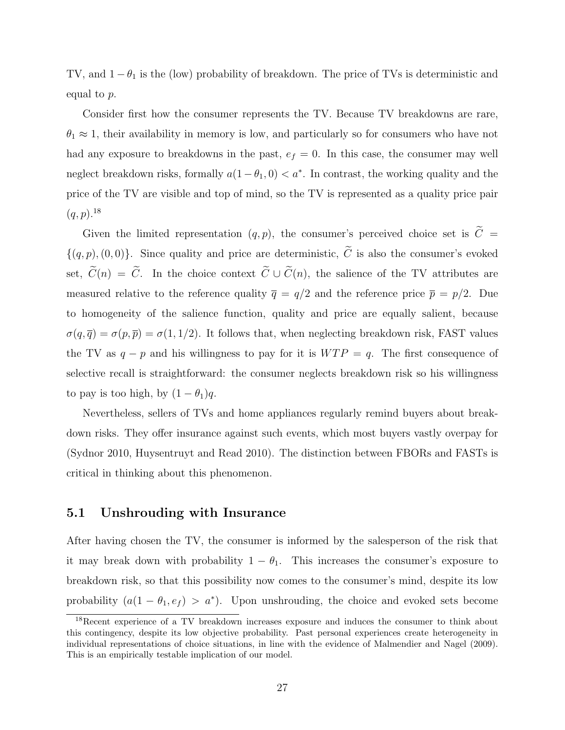TV, and  $1 - \theta_1$  is the (low) probability of breakdown. The price of TVs is deterministic and equal to p.

Consider first how the consumer represents the TV. Because TV breakdowns are rare,  $\theta_1 \approx 1$ , their availability in memory is low, and particularly so for consumers who have not had any exposure to breakdowns in the past,  $e_f = 0$ . In this case, the consumer may well neglect breakdown risks, formally  $a(1 - \theta_1, 0) < a^*$ . In contrast, the working quality and the price of the TV are visible and top of mind, so the TV is represented as a quality price pair  $(q, p)$ <sup>18</sup>

Given the limited representation  $(q, p)$ , the consumer's perceived choice set is  $\tilde{C}$  =  $\{(q, p), (0, 0)\}.$  Since quality and price are deterministic,  $\widetilde{C}$  is also the consumer's evoked set,  $\tilde{C}(n) = \tilde{C}$ . In the choice context  $\tilde{C} \cup \tilde{C}(n)$ , the salience of the TV attributes are measured relative to the reference quality  $\bar{q} = q/2$  and the reference price  $\bar{p} = p/2$ . Due to homogeneity of the salience function, quality and price are equally salient, because  $\sigma(q,\overline{q}) = \sigma(p,\overline{p}) = \sigma(1,1/2)$ . It follows that, when neglecting breakdown risk, FAST values the TV as  $q - p$  and his willingness to pay for it is  $WTP = q$ . The first consequence of selective recall is straightforward: the consumer neglects breakdown risk so his willingness to pay is too high, by  $(1 - \theta_1)q$ .

Nevertheless, sellers of TVs and home appliances regularly remind buyers about breakdown risks. They offer insurance against such events, which most buyers vastly overpay for (Sydnor 2010, Huysentruyt and Read 2010). The distinction between FBORs and FASTs is critical in thinking about this phenomenon.

#### 5.1 Unshrouding with Insurance

After having chosen the TV, the consumer is informed by the salesperson of the risk that it may break down with probability  $1 - \theta_1$ . This increases the consumer's exposure to breakdown risk, so that this possibility now comes to the consumer's mind, despite its low probability  $(a(1 - \theta_1, e_f) > a^*)$ . Upon unshrouding, the choice and evoked sets become

<sup>&</sup>lt;sup>18</sup>Recent experience of a TV breakdown increases exposure and induces the consumer to think about this contingency, despite its low objective probability. Past personal experiences create heterogeneity in individual representations of choice situations, in line with the evidence of Malmendier and Nagel (2009). This is an empirically testable implication of our model.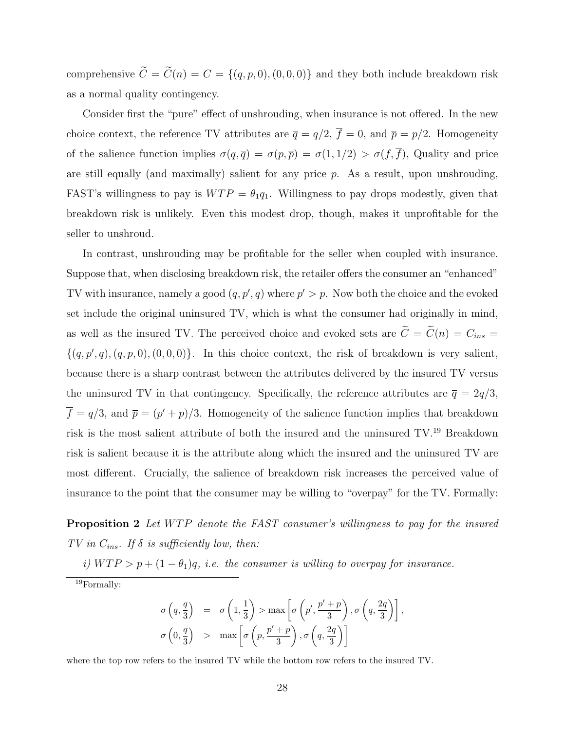comprehensive  $\tilde{C} = \tilde{C}(n) = C = \{(q, p, 0), (0, 0, 0)\}$  and they both include breakdown risk as a normal quality contingency.

Consider first the "pure" effect of unshrouding, when insurance is not offered. In the new choice context, the reference TV attributes are  $\overline{q} = q/2$ ,  $\overline{f} = 0$ , and  $\overline{p} = p/2$ . Homogeneity of the salience function implies  $\sigma(q,\overline{q}) = \sigma(p,\overline{p}) = \sigma(1,1/2) > \sigma(f,\overline{f})$ , Quality and price are still equally (and maximally) salient for any price  $p$ . As a result, upon unshrouding, FAST's willingness to pay is  $WTP = \theta_1q_1$ . Willingness to pay drops modestly, given that breakdown risk is unlikely. Even this modest drop, though, makes it unprofitable for the seller to unshroud.

In contrast, unshrouding may be profitable for the seller when coupled with insurance. Suppose that, when disclosing breakdown risk, the retailer offers the consumer an "enhanced" TV with insurance, namely a good  $(q, p', q)$  where  $p' > p$ . Now both the choice and the evoked set include the original uninsured TV, which is what the consumer had originally in mind, as well as the insured TV. The perceived choice and evoked sets are  $\tilde{C} = \tilde{C}(n) = C_{ins}$  $\{(q, p', q), (q, p, 0), (0, 0, 0)\}.$  In this choice context, the risk of breakdown is very salient, because there is a sharp contrast between the attributes delivered by the insured TV versus the uninsured TV in that contingency. Specifically, the reference attributes are  $\bar{q} = 2q/3$ ,  $\overline{f} = q/3$ , and  $\overline{p} = (p' + p)/3$ . Homogeneity of the salience function implies that breakdown risk is the most salient attribute of both the insured and the uninsured  $TV.<sup>19</sup>$  Breakdown risk is salient because it is the attribute along which the insured and the uninsured TV are most different. Crucially, the salience of breakdown risk increases the perceived value of insurance to the point that the consumer may be willing to "overpay" for the TV. Formally:

**Proposition 2** Let WTP denote the FAST consumer's willingness to pay for the insured TV in  $C_{ins}$ . If  $\delta$  is sufficiently low, then:

i)  $WTP > p + (1 - \theta_1)q$ , i.e. the consumer is willing to overpay for insurance.

$$
\sigma\left(q, \frac{q}{3}\right) = \sigma\left(1, \frac{1}{3}\right) > \max\left[\sigma\left(p', \frac{p' + p}{3}\right), \sigma\left(q, \frac{2q}{3}\right)\right],
$$

$$
\sigma\left(0, \frac{q}{3}\right) > \max\left[\sigma\left(p, \frac{p' + p}{3}\right), \sigma\left(q, \frac{2q}{3}\right)\right]
$$

where the top row refers to the insured TV while the bottom row refers to the insured TV.

<sup>19</sup>Formally: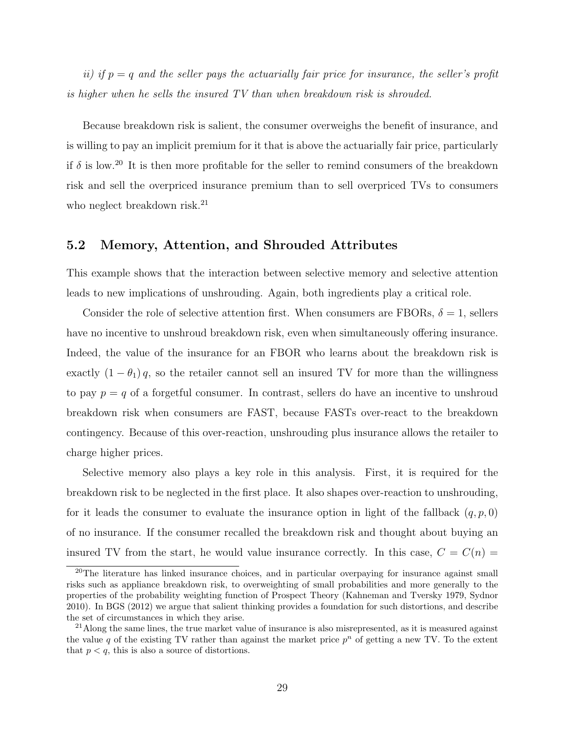ii) if  $p = q$  and the seller pays the actuarially fair price for insurance, the seller's profit is higher when he sells the insured TV than when breakdown risk is shrouded.

Because breakdown risk is salient, the consumer overweighs the benefit of insurance, and is willing to pay an implicit premium for it that is above the actuarially fair price, particularly if  $\delta$  is low.<sup>20</sup> It is then more profitable for the seller to remind consumers of the breakdown risk and sell the overpriced insurance premium than to sell overpriced TVs to consumers who neglect breakdown risk.<sup>21</sup>

#### 5.2 Memory, Attention, and Shrouded Attributes

This example shows that the interaction between selective memory and selective attention leads to new implications of unshrouding. Again, both ingredients play a critical role.

Consider the role of selective attention first. When consumers are FBORs,  $\delta = 1$ , sellers have no incentive to unshroud breakdown risk, even when simultaneously offering insurance. Indeed, the value of the insurance for an FBOR who learns about the breakdown risk is exactly  $(1 - \theta_1) q$ , so the retailer cannot sell an insured TV for more than the willingness to pay  $p = q$  of a forgetful consumer. In contrast, sellers do have an incentive to unshroud breakdown risk when consumers are FAST, because FASTs over-react to the breakdown contingency. Because of this over-reaction, unshrouding plus insurance allows the retailer to charge higher prices.

Selective memory also plays a key role in this analysis. First, it is required for the breakdown risk to be neglected in the first place. It also shapes over-reaction to unshrouding, for it leads the consumer to evaluate the insurance option in light of the fallback  $(q, p, 0)$ of no insurance. If the consumer recalled the breakdown risk and thought about buying an insured TV from the start, he would value insurance correctly. In this case,  $C = C(n)$ 

 $20$ The literature has linked insurance choices, and in particular overpaying for insurance against small risks such as appliance breakdown risk, to overweighting of small probabilities and more generally to the properties of the probability weighting function of Prospect Theory (Kahneman and Tversky 1979, Sydnor 2010). In BGS (2012) we argue that salient thinking provides a foundation for such distortions, and describe the set of circumstances in which they arise.

 $21$ Along the same lines, the true market value of insurance is also misrepresented, as it is measured against the value q of the existing TV rather than against the market price  $p^n$  of getting a new TV. To the extent that  $p < q$ , this is also a source of distortions.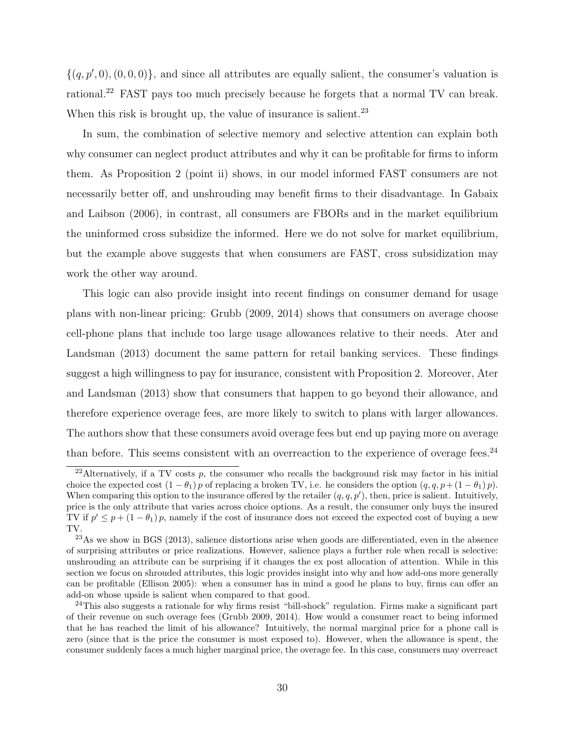$\{(q, p', 0), (0, 0, 0)\}\$ , and since all attributes are equally salient, the consumer's valuation is rational.<sup>22</sup> FAST pays too much precisely because he forgets that a normal TV can break. When this risk is brought up, the value of insurance is salient.<sup>23</sup>

In sum, the combination of selective memory and selective attention can explain both why consumer can neglect product attributes and why it can be profitable for firms to inform them. As Proposition 2 (point ii) shows, in our model informed FAST consumers are not necessarily better off, and unshrouding may benefit firms to their disadvantage. In Gabaix and Laibson (2006), in contrast, all consumers are FBORs and in the market equilibrium the uninformed cross subsidize the informed. Here we do not solve for market equilibrium, but the example above suggests that when consumers are FAST, cross subsidization may work the other way around.

This logic can also provide insight into recent findings on consumer demand for usage plans with non-linear pricing: Grubb (2009, 2014) shows that consumers on average choose cell-phone plans that include too large usage allowances relative to their needs. Ater and Landsman (2013) document the same pattern for retail banking services. These findings suggest a high willingness to pay for insurance, consistent with Proposition 2. Moreover, Ater and Landsman (2013) show that consumers that happen to go beyond their allowance, and therefore experience overage fees, are more likely to switch to plans with larger allowances. The authors show that these consumers avoid overage fees but end up paying more on average than before. This seems consistent with an overreaction to the experience of overage fees. $24$ 

<sup>&</sup>lt;sup>22</sup>Alternatively, if a TV costs p, the consumer who recalls the background risk may factor in his initial choice the expected cost  $(1 - \theta_1) p$  of replacing a broken TV, i.e. he considers the option  $(q, q, p + (1 - \theta_1) p)$ . When comparing this option to the insurance offered by the retailer  $(q, q, p')$ , then, price is salient. Intuitively, price is the only attribute that varies across choice options. As a result, the consumer only buys the insured TV if  $p' \leq p + (1 - \theta_1)p$ , namely if the cost of insurance does not exceed the expected cost of buying a new TV.

<sup>23</sup>As we show in BGS (2013), salience distortions arise when goods are differentiated, even in the absence of surprising attributes or price realizations. However, salience plays a further role when recall is selective: unshrouding an attribute can be surprising if it changes the ex post allocation of attention. While in this section we focus on shrouded attributes, this logic provides insight into why and how add-ons more generally can be profitable (Ellison 2005): when a consumer has in mind a good he plans to buy, firms can offer an add-on whose upside is salient when compared to that good.

<sup>&</sup>lt;sup>24</sup>This also suggests a rationale for why firms resist "bill-shock" regulation. Firms make a significant part of their revenue on such overage fees (Grubb 2009, 2014). How would a consumer react to being informed that he has reached the limit of his allowance? Intuitively, the normal marginal price for a phone call is zero (since that is the price the consumer is most exposed to). However, when the allowance is spent, the consumer suddenly faces a much higher marginal price, the overage fee. In this case, consumers may overreact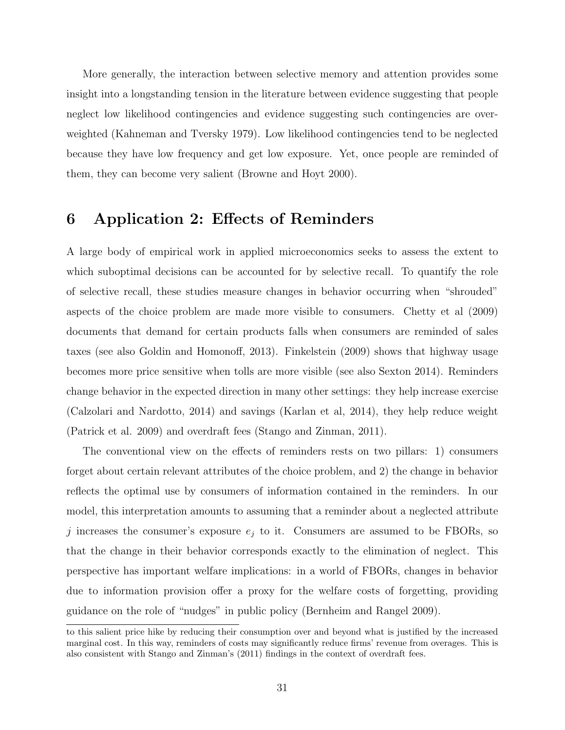More generally, the interaction between selective memory and attention provides some insight into a longstanding tension in the literature between evidence suggesting that people neglect low likelihood contingencies and evidence suggesting such contingencies are overweighted (Kahneman and Tversky 1979). Low likelihood contingencies tend to be neglected because they have low frequency and get low exposure. Yet, once people are reminded of them, they can become very salient (Browne and Hoyt 2000).

## 6 Application 2: Effects of Reminders

A large body of empirical work in applied microeconomics seeks to assess the extent to which suboptimal decisions can be accounted for by selective recall. To quantify the role of selective recall, these studies measure changes in behavior occurring when "shrouded" aspects of the choice problem are made more visible to consumers. Chetty et al (2009) documents that demand for certain products falls when consumers are reminded of sales taxes (see also Goldin and Homonoff, 2013). Finkelstein (2009) shows that highway usage becomes more price sensitive when tolls are more visible (see also Sexton 2014). Reminders change behavior in the expected direction in many other settings: they help increase exercise (Calzolari and Nardotto, 2014) and savings (Karlan et al, 2014), they help reduce weight (Patrick et al. 2009) and overdraft fees (Stango and Zinman, 2011).

The conventional view on the effects of reminders rests on two pillars: 1) consumers forget about certain relevant attributes of the choice problem, and 2) the change in behavior reflects the optimal use by consumers of information contained in the reminders. In our model, this interpretation amounts to assuming that a reminder about a neglected attribute j increases the consumer's exposure  $e_j$  to it. Consumers are assumed to be FBORs, so that the change in their behavior corresponds exactly to the elimination of neglect. This perspective has important welfare implications: in a world of FBORs, changes in behavior due to information provision offer a proxy for the welfare costs of forgetting, providing guidance on the role of "nudges" in public policy (Bernheim and Rangel 2009).

to this salient price hike by reducing their consumption over and beyond what is justified by the increased marginal cost. In this way, reminders of costs may significantly reduce firms' revenue from overages. This is also consistent with Stango and Zinman's (2011) findings in the context of overdraft fees.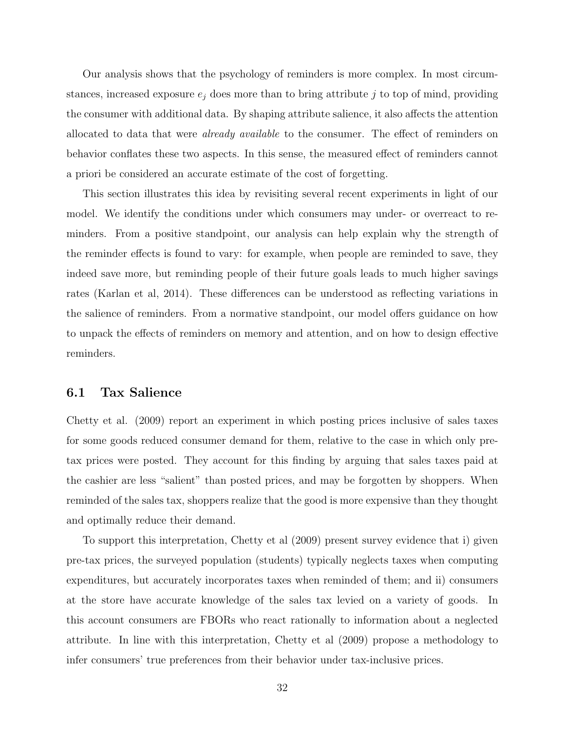Our analysis shows that the psychology of reminders is more complex. In most circumstances, increased exposure  $e_j$  does more than to bring attribute j to top of mind, providing the consumer with additional data. By shaping attribute salience, it also affects the attention allocated to data that were already available to the consumer. The effect of reminders on behavior conflates these two aspects. In this sense, the measured effect of reminders cannot a priori be considered an accurate estimate of the cost of forgetting.

This section illustrates this idea by revisiting several recent experiments in light of our model. We identify the conditions under which consumers may under- or overreact to reminders. From a positive standpoint, our analysis can help explain why the strength of the reminder effects is found to vary: for example, when people are reminded to save, they indeed save more, but reminding people of their future goals leads to much higher savings rates (Karlan et al, 2014). These differences can be understood as reflecting variations in the salience of reminders. From a normative standpoint, our model offers guidance on how to unpack the effects of reminders on memory and attention, and on how to design effective reminders.

#### 6.1 Tax Salience

Chetty et al. (2009) report an experiment in which posting prices inclusive of sales taxes for some goods reduced consumer demand for them, relative to the case in which only pretax prices were posted. They account for this finding by arguing that sales taxes paid at the cashier are less "salient" than posted prices, and may be forgotten by shoppers. When reminded of the sales tax, shoppers realize that the good is more expensive than they thought and optimally reduce their demand.

To support this interpretation, Chetty et al (2009) present survey evidence that i) given pre-tax prices, the surveyed population (students) typically neglects taxes when computing expenditures, but accurately incorporates taxes when reminded of them; and ii) consumers at the store have accurate knowledge of the sales tax levied on a variety of goods. In this account consumers are FBORs who react rationally to information about a neglected attribute. In line with this interpretation, Chetty et al (2009) propose a methodology to infer consumers' true preferences from their behavior under tax-inclusive prices.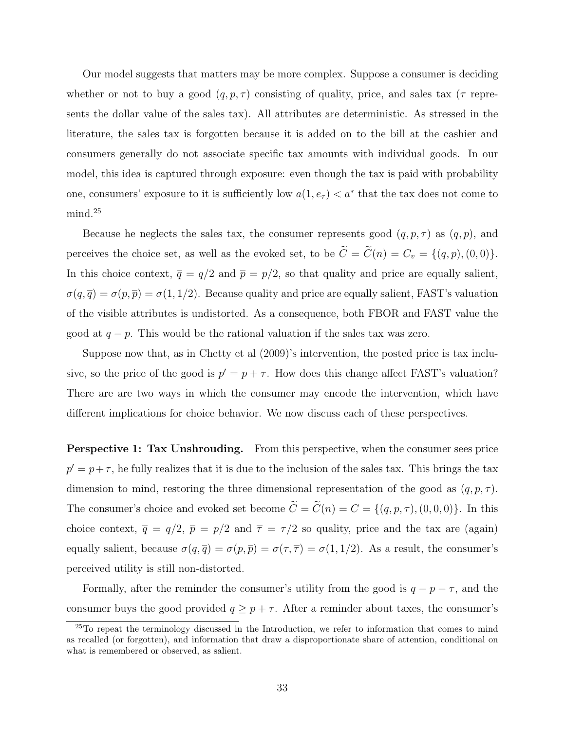Our model suggests that matters may be more complex. Suppose a consumer is deciding whether or not to buy a good  $(q, p, \tau)$  consisting of quality, price, and sales tax ( $\tau$  represents the dollar value of the sales tax). All attributes are deterministic. As stressed in the literature, the sales tax is forgotten because it is added on to the bill at the cashier and consumers generally do not associate specific tax amounts with individual goods. In our model, this idea is captured through exposure: even though the tax is paid with probability one, consumers' exposure to it is sufficiently low  $a(1, e_{\tau}) < a^*$  that the tax does not come to mind.<sup>25</sup>

Because he neglects the sales tax, the consumer represents good  $(q, p, \tau)$  as  $(q, p)$ , and perceives the choice set, as well as the evoked set, to be  $\widetilde{C} = \widetilde{C}(n) = C_v = \{(q, p), (0, 0)\}.$ In this choice context,  $\bar{q} = q/2$  and  $\bar{p} = p/2$ , so that quality and price are equally salient,  $\sigma(q,\overline{q}) = \sigma(p,\overline{p}) = \sigma(1,1/2)$ . Because quality and price are equally salient, FAST's valuation of the visible attributes is undistorted. As a consequence, both FBOR and FAST value the good at  $q - p$ . This would be the rational valuation if the sales tax was zero.

Suppose now that, as in Chetty et al (2009)'s intervention, the posted price is tax inclusive, so the price of the good is  $p' = p + \tau$ . How does this change affect FAST's valuation? There are are two ways in which the consumer may encode the intervention, which have different implications for choice behavior. We now discuss each of these perspectives.

Perspective 1: Tax Unshrouding. From this perspective, when the consumer sees price  $p' = p + \tau$ , he fully realizes that it is due to the inclusion of the sales tax. This brings the tax dimension to mind, restoring the three dimensional representation of the good as  $(q, p, \tau)$ . The consumer's choice and evoked set become  $\widetilde{C} = \widetilde{C}(n) = C = \{(q, p, \tau), (0, 0, 0)\}.$  In this choice context,  $\bar{q} = q/2$ ,  $\bar{p} = p/2$  and  $\bar{\tau} = \tau/2$  so quality, price and the tax are (again) equally salient, because  $\sigma(q,\overline{q}) = \sigma(p,\overline{p}) = \sigma(\tau,\overline{\tau}) = \sigma(1,1/2)$ . As a result, the consumer's perceived utility is still non-distorted.

Formally, after the reminder the consumer's utility from the good is  $q - p - \tau$ , and the consumer buys the good provided  $q \geq p + \tau$ . After a reminder about taxes, the consumer's

 $25T$ o repeat the terminology discussed in the Introduction, we refer to information that comes to mind as recalled (or forgotten), and information that draw a disproportionate share of attention, conditional on what is remembered or observed, as salient.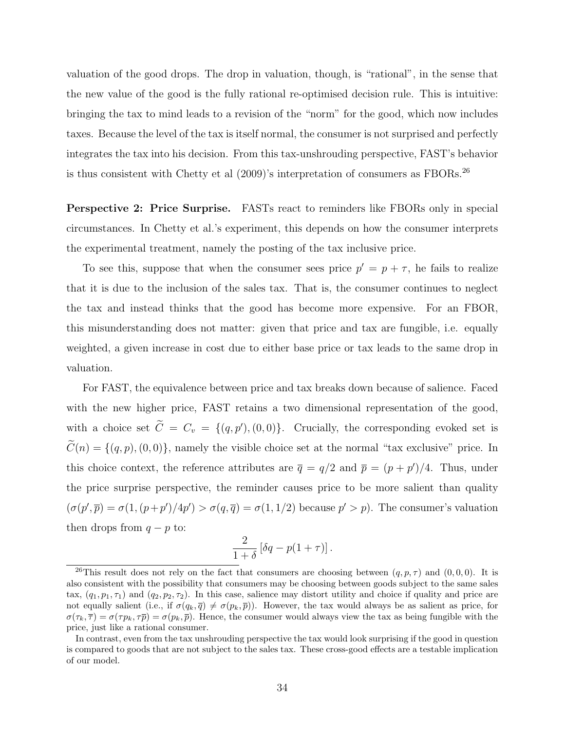valuation of the good drops. The drop in valuation, though, is "rational", in the sense that the new value of the good is the fully rational re-optimised decision rule. This is intuitive: bringing the tax to mind leads to a revision of the "norm" for the good, which now includes taxes. Because the level of the tax is itself normal, the consumer is not surprised and perfectly integrates the tax into his decision. From this tax-unshrouding perspective, FAST's behavior is thus consistent with Chetty et al (2009)'s interpretation of consumers as FBORs.<sup>26</sup>

Perspective 2: Price Surprise. FASTs react to reminders like FBORs only in special circumstances. In Chetty et al.'s experiment, this depends on how the consumer interprets the experimental treatment, namely the posting of the tax inclusive price.

To see this, suppose that when the consumer sees price  $p' = p + \tau$ , he fails to realize that it is due to the inclusion of the sales tax. That is, the consumer continues to neglect the tax and instead thinks that the good has become more expensive. For an FBOR, this misunderstanding does not matter: given that price and tax are fungible, i.e. equally weighted, a given increase in cost due to either base price or tax leads to the same drop in valuation.

For FAST, the equivalence between price and tax breaks down because of salience. Faced with the new higher price, FAST retains a two dimensional representation of the good, with a choice set  $\tilde{C} = C_v = \{(q, p'), (0, 0)\}.$  Crucially, the corresponding evoked set is  $\widetilde{C}(n) = \{(q, p), (0, 0)\}\$ , namely the visible choice set at the normal "tax exclusive" price. In this choice context, the reference attributes are  $\bar{q} = q/2$  and  $\bar{p} = (p + p')/4$ . Thus, under the price surprise perspective, the reminder causes price to be more salient than quality  $(\sigma(p', \bar{p}) = \sigma(1, (p+p')/4p') > \sigma(q, \bar{q}) = \sigma(1, 1/2)$  because  $p' > p$ . The consumer's valuation then drops from  $q - p$  to:

$$
\frac{2}{1+\delta}\left[\delta q - p(1+\tau)\right].
$$

<sup>&</sup>lt;sup>26</sup>This result does not rely on the fact that consumers are choosing between  $(q, p, \tau)$  and  $(0, 0, 0)$ . It is also consistent with the possibility that consumers may be choosing between goods subject to the same sales tax,  $(q_1, p_1, \tau_1)$  and  $(q_2, p_2, \tau_2)$ . In this case, salience may distort utility and choice if quality and price are not equally salient (i.e., if  $\sigma(q_k, \bar{q}) \neq \sigma(p_k, \bar{p})$ ). However, the tax would always be as salient as price, for  $\sigma(\tau_k, \overline{\tau}) = \sigma(\tau p_k, \tau \overline{p}) = \sigma(p_k, \overline{p})$ . Hence, the consumer would always view the tax as being fungible with the price, just like a rational consumer.

In contrast, even from the tax unshrouding perspective the tax would look surprising if the good in question is compared to goods that are not subject to the sales tax. These cross-good effects are a testable implication of our model.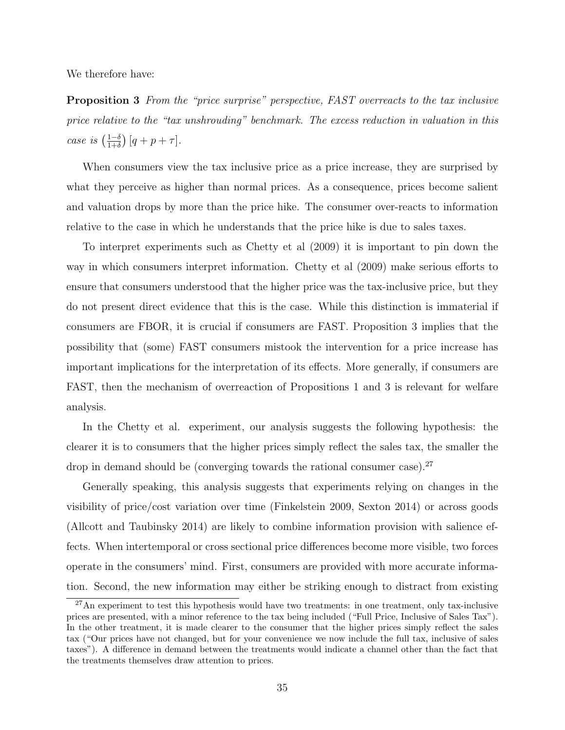We therefore have:

Proposition 3 From the "price surprise" perspective, FAST overreacts to the tax inclusive price relative to the "tax unshrouding" benchmark. The excess reduction in valuation in this case is  $\left(\frac{1-\delta}{1+\delta}\right)$  $\frac{1-\delta}{1+\delta}\big)$   $[q + p + \tau].$ 

When consumers view the tax inclusive price as a price increase, they are surprised by what they perceive as higher than normal prices. As a consequence, prices become salient and valuation drops by more than the price hike. The consumer over-reacts to information relative to the case in which he understands that the price hike is due to sales taxes.

To interpret experiments such as Chetty et al (2009) it is important to pin down the way in which consumers interpret information. Chetty et al (2009) make serious efforts to ensure that consumers understood that the higher price was the tax-inclusive price, but they do not present direct evidence that this is the case. While this distinction is immaterial if consumers are FBOR, it is crucial if consumers are FAST. Proposition 3 implies that the possibility that (some) FAST consumers mistook the intervention for a price increase has important implications for the interpretation of its effects. More generally, if consumers are FAST, then the mechanism of overreaction of Propositions 1 and 3 is relevant for welfare analysis.

In the Chetty et al. experiment, our analysis suggests the following hypothesis: the clearer it is to consumers that the higher prices simply reflect the sales tax, the smaller the drop in demand should be (converging towards the rational consumer case).<sup>27</sup>

Generally speaking, this analysis suggests that experiments relying on changes in the visibility of price/cost variation over time (Finkelstein 2009, Sexton 2014) or across goods (Allcott and Taubinsky 2014) are likely to combine information provision with salience effects. When intertemporal or cross sectional price differences become more visible, two forces operate in the consumers' mind. First, consumers are provided with more accurate information. Second, the new information may either be striking enough to distract from existing

 $^{27}$ An experiment to test this hypothesis would have two treatments: in one treatment, only tax-inclusive prices are presented, with a minor reference to the tax being included ("Full Price, Inclusive of Sales Tax"). In the other treatment, it is made clearer to the consumer that the higher prices simply reflect the sales tax ("Our prices have not changed, but for your convenience we now include the full tax, inclusive of sales taxes"). A difference in demand between the treatments would indicate a channel other than the fact that the treatments themselves draw attention to prices.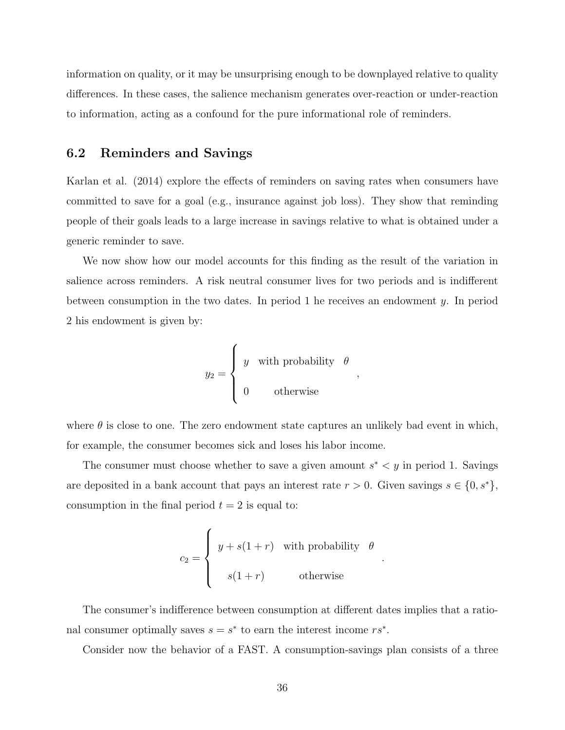information on quality, or it may be unsurprising enough to be downplayed relative to quality differences. In these cases, the salience mechanism generates over-reaction or under-reaction to information, acting as a confound for the pure informational role of reminders.

## 6.2 Reminders and Savings

Karlan et al. (2014) explore the effects of reminders on saving rates when consumers have committed to save for a goal (e.g., insurance against job loss). They show that reminding people of their goals leads to a large increase in savings relative to what is obtained under a generic reminder to save.

We now show how our model accounts for this finding as the result of the variation in salience across reminders. A risk neutral consumer lives for two periods and is indifferent between consumption in the two dates. In period 1 he receives an endowment  $y$ . In period 2 his endowment is given by:

$$
y_2 = \begin{cases} y & \text{with probability} \quad \theta \\ 0 & \text{otherwise} \end{cases}
$$

where  $\theta$  is close to one. The zero endowment state captures an unlikely bad event in which, for example, the consumer becomes sick and loses his labor income.

The consumer must choose whether to save a given amount  $s^* < y$  in period 1. Savings are deposited in a bank account that pays an interest rate  $r > 0$ . Given savings  $s \in \{0, s^*\},$ consumption in the final period  $t = 2$  is equal to:

$$
c_2 = \begin{cases} y + s(1+r) & \text{with probability} \quad \theta \\ s(1+r) & \text{otherwise} \end{cases}
$$

.

The consumer's indifference between consumption at different dates implies that a rational consumer optimally saves  $s = s^*$  to earn the interest income  $rs^*$ .

Consider now the behavior of a FAST. A consumption-savings plan consists of a three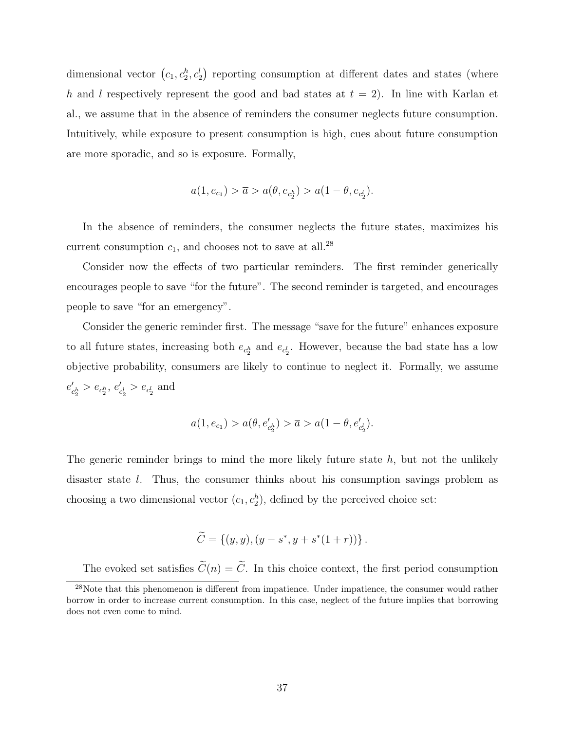dimensional vector  $(c_1, c_2^h, c_2^l)$  reporting consumption at different dates and states (where h and l respectively represent the good and bad states at  $t = 2$ ). In line with Karlan et al., we assume that in the absence of reminders the consumer neglects future consumption. Intuitively, while exposure to present consumption is high, cues about future consumption are more sporadic, and so is exposure. Formally,

$$
a(1, e_{c_1}) > \overline{a} > a(\theta, e_{c_2^h}) > a(1 - \theta, e_{c_2^l}).
$$

In the absence of reminders, the consumer neglects the future states, maximizes his current consumption  $c_1$ , and chooses not to save at all.<sup>28</sup>

Consider now the effects of two particular reminders. The first reminder generically encourages people to save "for the future". The second reminder is targeted, and encourages people to save "for an emergency".

Consider the generic reminder first. The message "save for the future" enhances exposure to all future states, increasing both  $e_{c_2^h}$  and  $e_{c_2^l}$ . However, because the bad state has a low objective probability, consumers are likely to continue to neglect it. Formally, we assume  $e'$  $c_2^h > e_{c_2^h}, e'_c$  $c_2^l > e_{c_2^l}$  and

$$
a(1, e_{c_1}) > a(\theta, e'_{c_2^h}) > \overline{a} > a(1 - \theta, e'_{c_2^l}).
$$

The generic reminder brings to mind the more likely future state  $h$ , but not the unlikely disaster state l. Thus, the consumer thinks about his consumption savings problem as choosing a two dimensional vector  $(c_1, c_2^h)$ , defined by the perceived choice set:

$$
\widetilde{C} = \{(y, y), (y - s^*, y + s^*(1+r))\}.
$$

The evoked set satisfies  $\widetilde{C}(n) = \widetilde{C}$ . In this choice context, the first period consumption

 $28$ Note that this phenomenon is different from impatience. Under impatience, the consumer would rather borrow in order to increase current consumption. In this case, neglect of the future implies that borrowing does not even come to mind.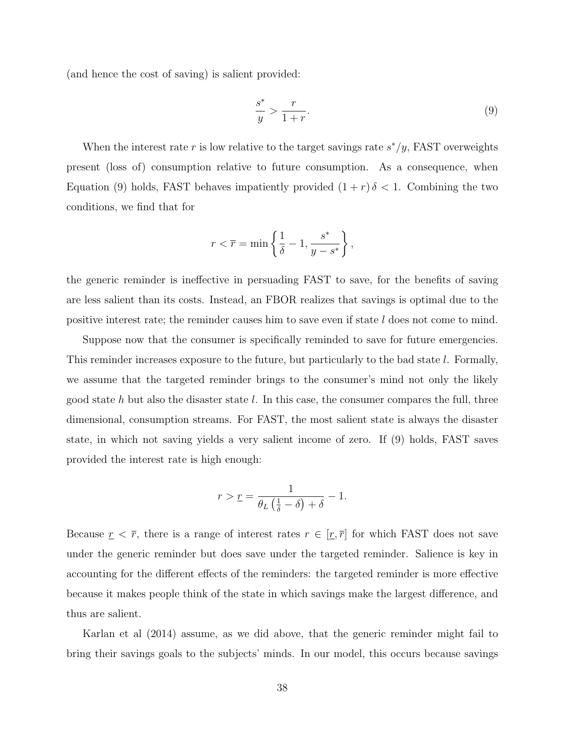(and hence the cost of saving) is salient provided:

$$
\frac{s^*}{y} > \frac{r}{1+r}.\tag{9}
$$

When the interest rate r is low relative to the target savings rate  $s^*/y$ , FAST overweights present (loss of) consumption relative to future consumption. As a consequence, when Equation (9) holds, FAST behaves impatiently provided  $(1 + r)\delta < 1$ . Combining the two conditions, we find that for

$$
r < \overline{r} = \min\left\{\frac{1}{\delta} - 1, \frac{s^*}{y - s^*}\right\},\
$$

the generic reminder is ineffective in persuading FAST to save, for the benefits of saving are less salient than its costs. Instead, an FBOR realizes that savings is optimal due to the positive interest rate; the reminder causes him to save even if state  $l$  does not come to mind.

Suppose now that the consumer is specifically reminded to save for future emergencies. This reminder increases exposure to the future, but particularly to the bad state l. Formally, we assume that the targeted reminder brings to the consumer's mind not only the likely good state  $h$  but also the disaster state  $l$ . In this case, the consumer compares the full, three dimensional, consumption streams. For FAST, the most salient state is always the disaster state, in which not saving yields a very salient income of zero. If (9) holds, FAST saves provided the interest rate is high enough:

$$
r > \underline{r} = \frac{1}{\theta_L \left(\frac{1}{\delta} - \delta\right) + \delta} - 1.
$$

Because  $r < \overline{r}$ , there is a range of interest rates  $r \in [r, \overline{r}]$  for which FAST does not save under the generic reminder but does save under the targeted reminder. Salience is key in accounting for the different effects of the reminders: the targeted reminder is more effective because it makes people think of the state in which savings make the largest difference, and thus are salient.

Karlan et al (2014) assume, as we did above, that the generic reminder might fail to bring their savings goals to the subjects' minds. In our model, this occurs because savings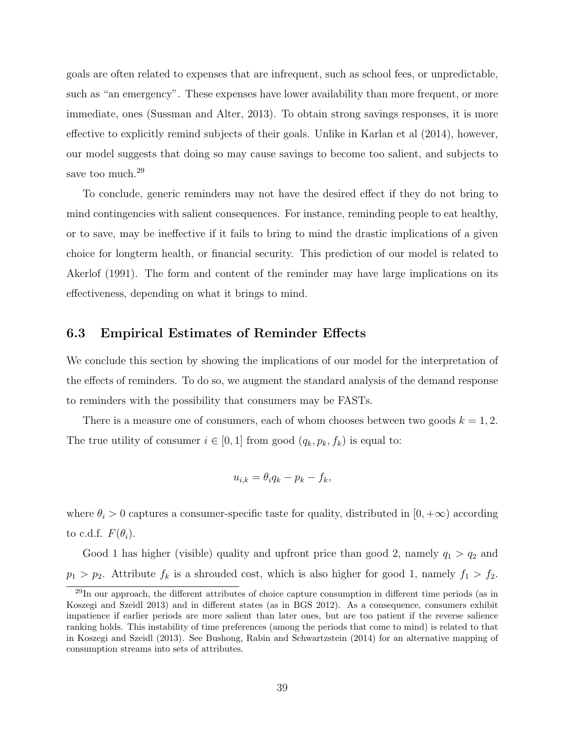goals are often related to expenses that are infrequent, such as school fees, or unpredictable, such as "an emergency". These expenses have lower availability than more frequent, or more immediate, ones (Sussman and Alter, 2013). To obtain strong savings responses, it is more effective to explicitly remind subjects of their goals. Unlike in Karlan et al (2014), however, our model suggests that doing so may cause savings to become too salient, and subjects to save too much.<sup>29</sup>

To conclude, generic reminders may not have the desired effect if they do not bring to mind contingencies with salient consequences. For instance, reminding people to eat healthy, or to save, may be ineffective if it fails to bring to mind the drastic implications of a given choice for longterm health, or financial security. This prediction of our model is related to Akerlof (1991). The form and content of the reminder may have large implications on its effectiveness, depending on what it brings to mind.

#### 6.3 Empirical Estimates of Reminder Effects

We conclude this section by showing the implications of our model for the interpretation of the effects of reminders. To do so, we augment the standard analysis of the demand response to reminders with the possibility that consumers may be FASTs.

There is a measure one of consumers, each of whom chooses between two goods  $k = 1, 2$ . The true utility of consumer  $i \in [0, 1]$  from good  $(q_k, p_k, f_k)$  is equal to:

$$
u_{i,k} = \theta_i q_k - p_k - f_k,
$$

where  $\theta_i > 0$  captures a consumer-specific taste for quality, distributed in  $[0, +\infty)$  according to c.d.f.  $F(\theta_i)$ .

Good 1 has higher (visible) quality and upfront price than good 2, namely  $q_1 > q_2$  and  $p_1 > p_2$ . Attribute  $f_k$  is a shrouded cost, which is also higher for good 1, namely  $f_1 > f_2$ .

 $^{29}$ In our approach, the different attributes of choice capture consumption in different time periods (as in Koszegi and Szeidl 2013) and in different states (as in BGS 2012). As a consequence, consumers exhibit impatience if earlier periods are more salient than later ones, but are too patient if the reverse salience ranking holds. This instability of time preferences (among the periods that come to mind) is related to that in Koszegi and Szeidl (2013). See Bushong, Rabin and Schwartzstein (2014) for an alternative mapping of consumption streams into sets of attributes.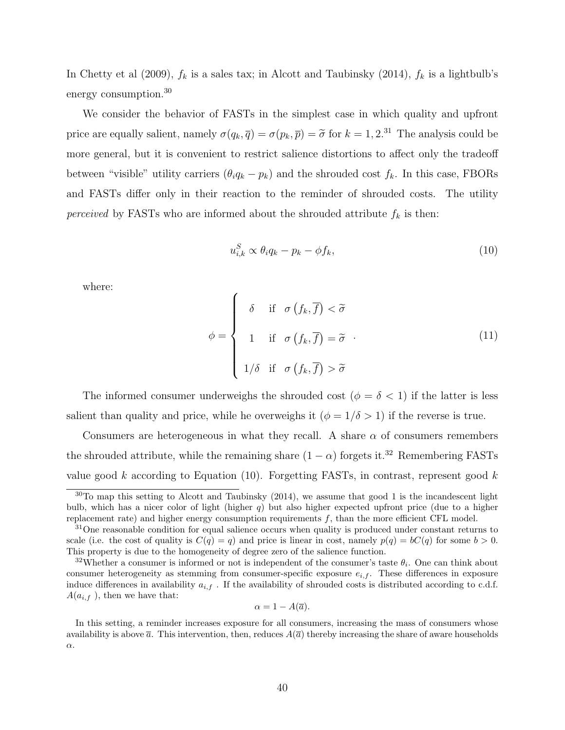In Chetty et al (2009),  $f_k$  is a sales tax; in Alcott and Taubinsky (2014),  $f_k$  is a lightbulb's energy consumption.<sup>30</sup>

We consider the behavior of FASTs in the simplest case in which quality and upfront price are equally salient, namely  $\sigma(q_k, \overline{q}) = \sigma(p_k, \overline{p}) = \tilde{\sigma}$  for  $k = 1, 2^{31}$  The analysis could be more general, but it is convenient to restrict salience distortions to affect only the tradeoff between "visible" utility carriers  $(\theta_i q_k - p_k)$  and the shrouded cost  $f_k$ . In this case, FBORs and FASTs differ only in their reaction to the reminder of shrouded costs. The utility *perceived* by FASTs who are informed about the shrouded attribute  $f_k$  is then:

$$
u_{i,k}^S \propto \theta_i q_k - p_k - \phi f_k,\tag{10}
$$

where:

$$
\phi = \begin{cases}\n\delta & \text{if } \sigma(f_k, \overline{f}) < \widetilde{\sigma} \\
1 & \text{if } \sigma(f_k, \overline{f}) = \widetilde{\sigma} \\
1/\delta & \text{if } \sigma(f_k, \overline{f}) > \widetilde{\sigma}\n\end{cases}
$$
\n(11)

The informed consumer underweighs the shrouded cost ( $\phi = \delta < 1$ ) if the latter is less salient than quality and price, while he overweighs it  $(\phi = 1/\delta > 1)$  if the reverse is true.

Consumers are heterogeneous in what they recall. A share  $\alpha$  of consumers remembers the shrouded attribute, while the remaining share  $(1 - \alpha)$  forgets it.<sup>32</sup> Remembering FASTs value good k according to Equation  $(10)$ . Forgetting FASTs, in contrast, represent good k

$$
\alpha = 1 - A(\overline{a}).
$$

 $30$ To map this setting to Alcott and Taubinsky (2014), we assume that good 1 is the incandescent light bulb, which has a nicer color of light (higher  $q$ ) but also higher expected upfront price (due to a higher replacement rate) and higher energy consumption requirements  $f$ , than the more efficient CFL model.

<sup>&</sup>lt;sup>31</sup>One reasonable condition for equal salience occurs when quality is produced under constant returns to scale (i.e. the cost of quality is  $C(q) = q$ ) and price is linear in cost, namely  $p(q) = bC(q)$  for some  $b > 0$ . This property is due to the homogeneity of degree zero of the salience function.

<sup>&</sup>lt;sup>32</sup>Whether a consumer is informed or not is independent of the consumer's taste  $\theta_i$ . One can think about consumer heterogeneity as stemming from consumer-specific exposure  $e_{i,f}$ . These differences in exposure induce differences in availability  $a_{i,f}$ . If the availability of shrouded costs is distributed according to c.d.f.  $A(a_{i,f})$ , then we have that:

In this setting, a reminder increases exposure for all consumers, increasing the mass of consumers whose availability is above  $\bar{a}$ . This intervention, then, reduces  $A(\bar{a})$  thereby increasing the share of aware households  $\alpha$ .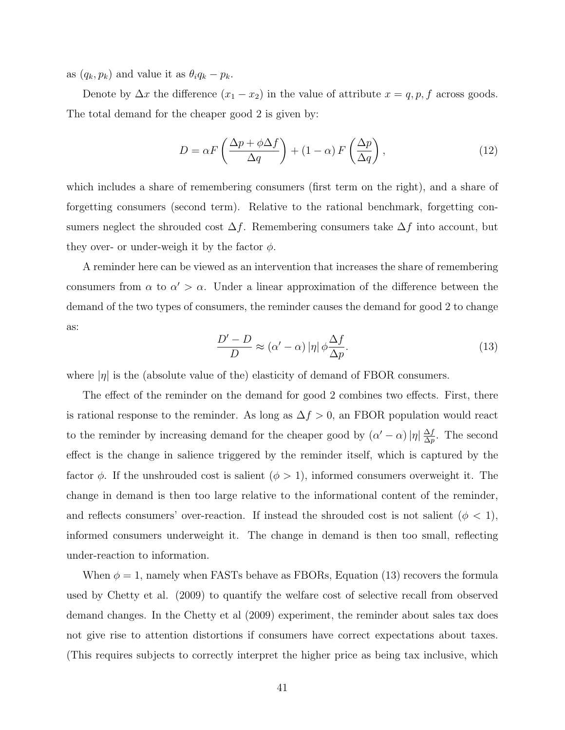as  $(q_k, p_k)$  and value it as  $\theta_i q_k - p_k$ .

Denote by  $\Delta x$  the difference  $(x_1 - x_2)$  in the value of attribute  $x = q, p, f$  across goods. The total demand for the cheaper good 2 is given by:

$$
D = \alpha F \left( \frac{\Delta p + \phi \Delta f}{\Delta q} \right) + (1 - \alpha) F \left( \frac{\Delta p}{\Delta q} \right),\tag{12}
$$

which includes a share of remembering consumers (first term on the right), and a share of forgetting consumers (second term). Relative to the rational benchmark, forgetting consumers neglect the shrouded cost  $\Delta f$ . Remembering consumers take  $\Delta f$  into account, but they over- or under-weigh it by the factor  $\phi$ .

A reminder here can be viewed as an intervention that increases the share of remembering consumers from  $\alpha$  to  $\alpha' > \alpha$ . Under a linear approximation of the difference between the demand of the two types of consumers, the reminder causes the demand for good 2 to change as:

$$
\frac{D'-D}{D} \approx (\alpha'-\alpha) |\eta| \phi \frac{\Delta f}{\Delta p}.
$$
\n(13)

where  $|\eta|$  is the (absolute value of the) elasticity of demand of FBOR consumers.

The effect of the reminder on the demand for good 2 combines two effects. First, there is rational response to the reminder. As long as  $\Delta f > 0$ , an FBOR population would react to the reminder by increasing demand for the cheaper good by  $(\alpha' - \alpha) |\eta| \frac{\Delta f}{\Delta x}$  $\frac{\Delta f}{\Delta p}$ . The second effect is the change in salience triggered by the reminder itself, which is captured by the factor  $\phi$ . If the unshrouded cost is salient  $(\phi > 1)$ , informed consumers overweight it. The change in demand is then too large relative to the informational content of the reminder, and reflects consumers' over-reaction. If instead the shrouded cost is not salient ( $\phi$  < 1), informed consumers underweight it. The change in demand is then too small, reflecting under-reaction to information.

When  $\phi = 1$ , namely when FASTs behave as FBORs, Equation (13) recovers the formula used by Chetty et al. (2009) to quantify the welfare cost of selective recall from observed demand changes. In the Chetty et al (2009) experiment, the reminder about sales tax does not give rise to attention distortions if consumers have correct expectations about taxes. (This requires subjects to correctly interpret the higher price as being tax inclusive, which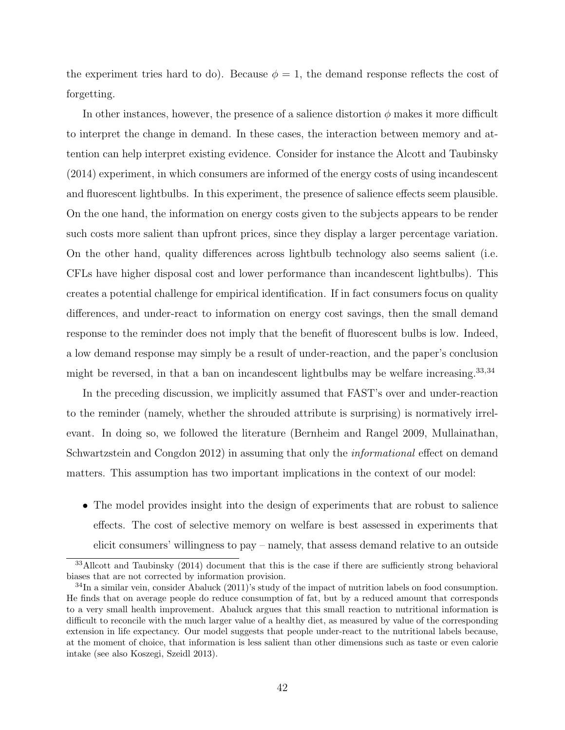the experiment tries hard to do). Because  $\phi = 1$ , the demand response reflects the cost of forgetting.

In other instances, however, the presence of a salience distortion  $\phi$  makes it more difficult to interpret the change in demand. In these cases, the interaction between memory and attention can help interpret existing evidence. Consider for instance the Alcott and Taubinsky (2014) experiment, in which consumers are informed of the energy costs of using incandescent and fluorescent lightbulbs. In this experiment, the presence of salience effects seem plausible. On the one hand, the information on energy costs given to the subjects appears to be render such costs more salient than upfront prices, since they display a larger percentage variation. On the other hand, quality differences across lightbulb technology also seems salient (i.e. CFLs have higher disposal cost and lower performance than incandescent lightbulbs). This creates a potential challenge for empirical identification. If in fact consumers focus on quality differences, and under-react to information on energy cost savings, then the small demand response to the reminder does not imply that the benefit of fluorescent bulbs is low. Indeed, a low demand response may simply be a result of under-reaction, and the paper's conclusion might be reversed, in that a ban on incandescent lightbulbs may be welfare increasing.<sup>33,34</sup>

In the preceding discussion, we implicitly assumed that FAST's over and under-reaction to the reminder (namely, whether the shrouded attribute is surprising) is normatively irrelevant. In doing so, we followed the literature (Bernheim and Rangel 2009, Mullainathan, Schwartzstein and Congdon 2012) in assuming that only the informational effect on demand matters. This assumption has two important implications in the context of our model:

• The model provides insight into the design of experiments that are robust to salience effects. The cost of selective memory on welfare is best assessed in experiments that elicit consumers' willingness to pay – namely, that assess demand relative to an outside

<sup>33</sup>Allcott and Taubinsky (2014) document that this is the case if there are sufficiently strong behavioral biases that are not corrected by information provision.

<sup>34</sup>In a similar vein, consider Abaluck (2011)'s study of the impact of nutrition labels on food consumption. He finds that on average people do reduce consumption of fat, but by a reduced amount that corresponds to a very small health improvement. Abaluck argues that this small reaction to nutritional information is difficult to reconcile with the much larger value of a healthy diet, as measured by value of the corresponding extension in life expectancy. Our model suggests that people under-react to the nutritional labels because, at the moment of choice, that information is less salient than other dimensions such as taste or even calorie intake (see also Koszegi, Szeidl 2013).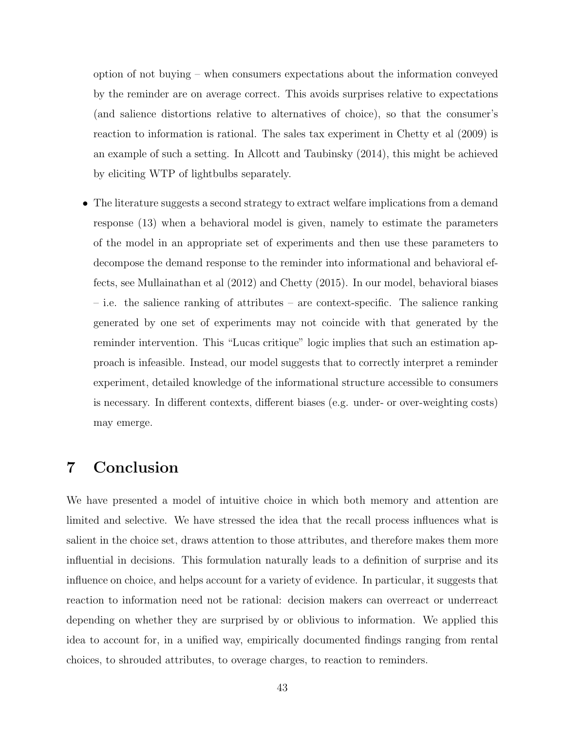option of not buying – when consumers expectations about the information conveyed by the reminder are on average correct. This avoids surprises relative to expectations (and salience distortions relative to alternatives of choice), so that the consumer's reaction to information is rational. The sales tax experiment in Chetty et al (2009) is an example of such a setting. In Allcott and Taubinsky (2014), this might be achieved by eliciting WTP of lightbulbs separately.

• The literature suggests a second strategy to extract welfare implications from a demand response (13) when a behavioral model is given, namely to estimate the parameters of the model in an appropriate set of experiments and then use these parameters to decompose the demand response to the reminder into informational and behavioral effects, see Mullainathan et al (2012) and Chetty (2015). In our model, behavioral biases – i.e. the salience ranking of attributes – are context-specific. The salience ranking generated by one set of experiments may not coincide with that generated by the reminder intervention. This "Lucas critique" logic implies that such an estimation approach is infeasible. Instead, our model suggests that to correctly interpret a reminder experiment, detailed knowledge of the informational structure accessible to consumers is necessary. In different contexts, different biases (e.g. under- or over-weighting costs) may emerge.

# 7 Conclusion

We have presented a model of intuitive choice in which both memory and attention are limited and selective. We have stressed the idea that the recall process influences what is salient in the choice set, draws attention to those attributes, and therefore makes them more influential in decisions. This formulation naturally leads to a definition of surprise and its influence on choice, and helps account for a variety of evidence. In particular, it suggests that reaction to information need not be rational: decision makers can overreact or underreact depending on whether they are surprised by or oblivious to information. We applied this idea to account for, in a unified way, empirically documented findings ranging from rental choices, to shrouded attributes, to overage charges, to reaction to reminders.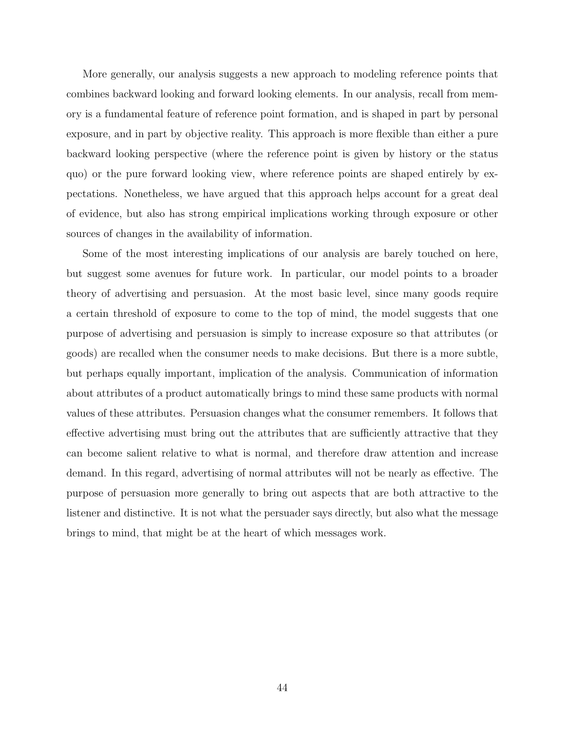More generally, our analysis suggests a new approach to modeling reference points that combines backward looking and forward looking elements. In our analysis, recall from memory is a fundamental feature of reference point formation, and is shaped in part by personal exposure, and in part by objective reality. This approach is more flexible than either a pure backward looking perspective (where the reference point is given by history or the status quo) or the pure forward looking view, where reference points are shaped entirely by expectations. Nonetheless, we have argued that this approach helps account for a great deal of evidence, but also has strong empirical implications working through exposure or other sources of changes in the availability of information.

Some of the most interesting implications of our analysis are barely touched on here, but suggest some avenues for future work. In particular, our model points to a broader theory of advertising and persuasion. At the most basic level, since many goods require a certain threshold of exposure to come to the top of mind, the model suggests that one purpose of advertising and persuasion is simply to increase exposure so that attributes (or goods) are recalled when the consumer needs to make decisions. But there is a more subtle, but perhaps equally important, implication of the analysis. Communication of information about attributes of a product automatically brings to mind these same products with normal values of these attributes. Persuasion changes what the consumer remembers. It follows that effective advertising must bring out the attributes that are sufficiently attractive that they can become salient relative to what is normal, and therefore draw attention and increase demand. In this regard, advertising of normal attributes will not be nearly as effective. The purpose of persuasion more generally to bring out aspects that are both attractive to the listener and distinctive. It is not what the persuader says directly, but also what the message brings to mind, that might be at the heart of which messages work.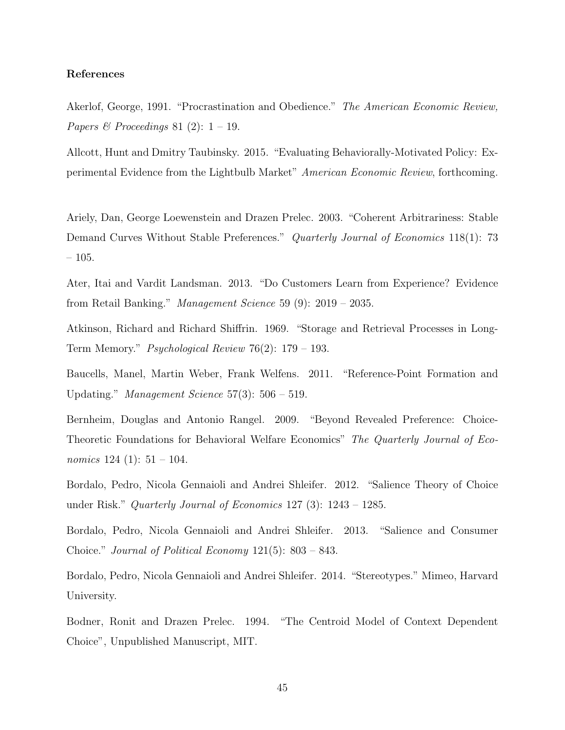#### References

Akerlof, George, 1991. "Procrastination and Obedience." The American Economic Review, Papers & Proceedings 81 (2):  $1 - 19$ .

Allcott, Hunt and Dmitry Taubinsky. 2015. "Evaluating Behaviorally-Motivated Policy: Experimental Evidence from the Lightbulb Market" American Economic Review, forthcoming.

Ariely, Dan, George Loewenstein and Drazen Prelec. 2003. "Coherent Arbitrariness: Stable Demand Curves Without Stable Preferences." Quarterly Journal of Economics 118(1): 73 – 105.

Ater, Itai and Vardit Landsman. 2013. "Do Customers Learn from Experience? Evidence from Retail Banking." Management Science 59 (9): 2019 – 2035.

Atkinson, Richard and Richard Shiffrin. 1969. "Storage and Retrieval Processes in Long-Term Memory." Psychological Review 76(2): 179 – 193.

Baucells, Manel, Martin Weber, Frank Welfens. 2011. "Reference-Point Formation and Updating." Management Science  $57(3)$ :  $506 - 519$ .

Bernheim, Douglas and Antonio Rangel. 2009. "Beyond Revealed Preference: Choice-Theoretic Foundations for Behavioral Welfare Economics" The Quarterly Journal of Economics  $124$  (1):  $51 - 104$ .

Bordalo, Pedro, Nicola Gennaioli and Andrei Shleifer. 2012. "Salience Theory of Choice under Risk." Quarterly Journal of Economics 127 (3): 1243 – 1285.

Bordalo, Pedro, Nicola Gennaioli and Andrei Shleifer. 2013. "Salience and Consumer Choice." Journal of Political Economy 121(5): 803 – 843.

Bordalo, Pedro, Nicola Gennaioli and Andrei Shleifer. 2014. "Stereotypes." Mimeo, Harvard University.

Bodner, Ronit and Drazen Prelec. 1994. "The Centroid Model of Context Dependent Choice", Unpublished Manuscript, MIT.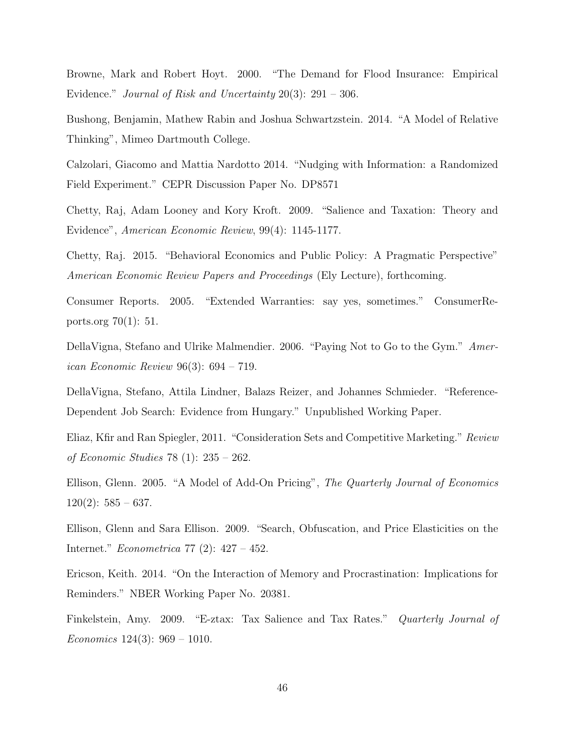Browne, Mark and Robert Hoyt. 2000. "The Demand for Flood Insurance: Empirical Evidence." Journal of Risk and Uncertainty 20(3): 291 – 306.

Bushong, Benjamin, Mathew Rabin and Joshua Schwartzstein. 2014. "A Model of Relative Thinking", Mimeo Dartmouth College.

Calzolari, Giacomo and Mattia Nardotto 2014. "Nudging with Information: a Randomized Field Experiment." CEPR Discussion Paper No. DP8571

Chetty, Raj, Adam Looney and Kory Kroft. 2009. "Salience and Taxation: Theory and Evidence", American Economic Review, 99(4): 1145-1177.

Chetty, Raj. 2015. "Behavioral Economics and Public Policy: A Pragmatic Perspective" American Economic Review Papers and Proceedings (Ely Lecture), forthcoming.

Consumer Reports. 2005. "Extended Warranties: say yes, sometimes." ConsumerReports.org 70(1): 51.

DellaVigna, Stefano and Ulrike Malmendier. 2006. "Paying Not to Go to the Gym." American Economic Review 96(3): 694 – 719.

DellaVigna, Stefano, Attila Lindner, Balazs Reizer, and Johannes Schmieder. "Reference-Dependent Job Search: Evidence from Hungary." Unpublished Working Paper.

Eliaz, Kfir and Ran Spiegler, 2011. "Consideration Sets and Competitive Marketing." Review of Economic Studies 78 (1): 235 – 262.

Ellison, Glenn. 2005. "A Model of Add-On Pricing", The Quarterly Journal of Economics  $120(2): 585 - 637.$ 

Ellison, Glenn and Sara Ellison. 2009. "Search, Obfuscation, and Price Elasticities on the Internet." Econometrica 77 (2): 427 – 452.

Ericson, Keith. 2014. "On the Interaction of Memory and Procrastination: Implications for Reminders." NBER Working Paper No. 20381.

Finkelstein, Amy. 2009. "E-ztax: Tax Salience and Tax Rates." Quarterly Journal of Economics  $124(3)$ :  $969 - 1010$ .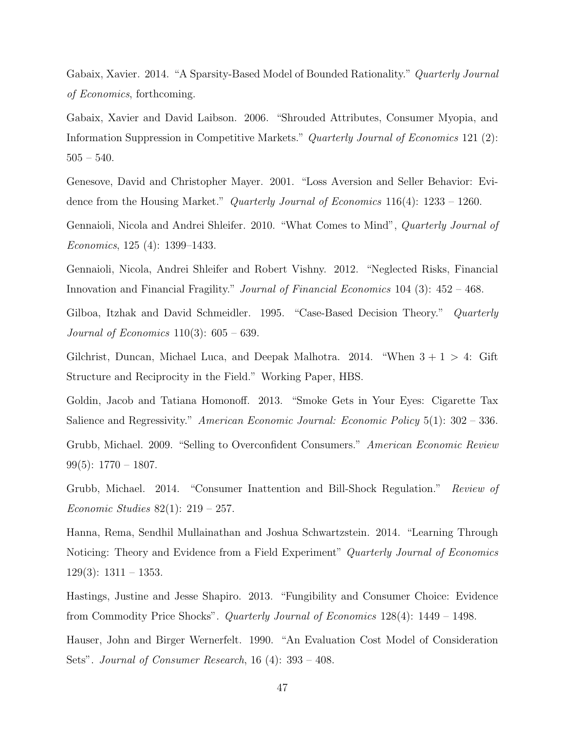Gabaix, Xavier. 2014. "A Sparsity-Based Model of Bounded Rationality." Quarterly Journal of Economics, forthcoming.

Gabaix, Xavier and David Laibson. 2006. "Shrouded Attributes, Consumer Myopia, and Information Suppression in Competitive Markets." Quarterly Journal of Economics 121 (2):  $505 - 540.$ 

Genesove, David and Christopher Mayer. 2001. "Loss Aversion and Seller Behavior: Evidence from the Housing Market." Quarterly Journal of Economics 116(4): 1233 – 1260.

Gennaioli, Nicola and Andrei Shleifer. 2010. "What Comes to Mind", Quarterly Journal of Economics, 125 (4): 1399–1433.

Gennaioli, Nicola, Andrei Shleifer and Robert Vishny. 2012. "Neglected Risks, Financial Innovation and Financial Fragility." Journal of Financial Economics 104 (3): 452 – 468.

Gilboa, Itzhak and David Schmeidler. 1995. "Case-Based Decision Theory." Quarterly *Journal of Economics*  $110(3)$ :  $605 - 639$ .

Gilchrist, Duncan, Michael Luca, and Deepak Malhotra. 2014. "When  $3 + 1 > 4$ : Gift Structure and Reciprocity in the Field." Working Paper, HBS.

Goldin, Jacob and Tatiana Homonoff. 2013. "Smoke Gets in Your Eyes: Cigarette Tax Salience and Regressivity." American Economic Journal: Economic Policy 5(1): 302 – 336. Grubb, Michael. 2009. "Selling to Overconfident Consumers." American Economic Review 99(5):  $1770 - 1807$ .

Grubb, Michael. 2014. "Consumer Inattention and Bill-Shock Regulation." Review of Economic Studies 82(1): 219 – 257.

Hanna, Rema, Sendhil Mullainathan and Joshua Schwartzstein. 2014. "Learning Through Noticing: Theory and Evidence from a Field Experiment" Quarterly Journal of Economics  $129(3): 1311 - 1353.$ 

Hastings, Justine and Jesse Shapiro. 2013. "Fungibility and Consumer Choice: Evidence from Commodity Price Shocks". Quarterly Journal of Economics 128(4): 1449 – 1498.

Hauser, John and Birger Wernerfelt. 1990. "An Evaluation Cost Model of Consideration Sets". Journal of Consumer Research, 16 (4): 393 – 408.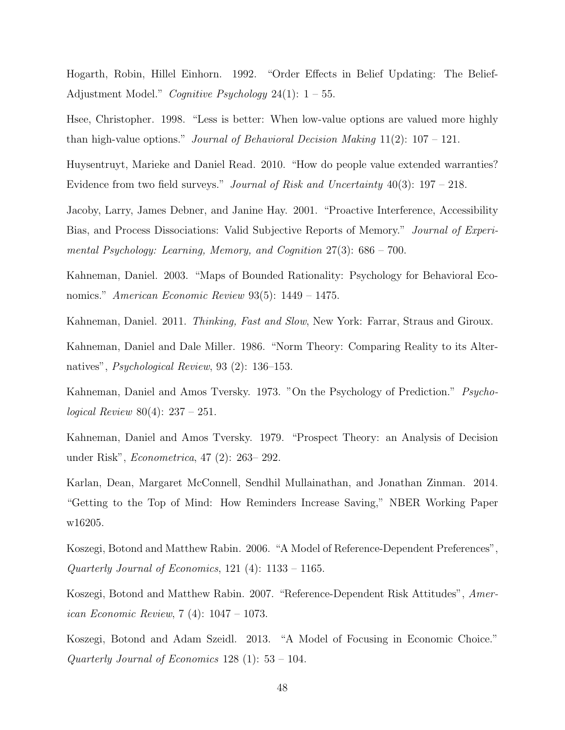Hogarth, Robin, Hillel Einhorn. 1992. "Order Effects in Belief Updating: The Belief-Adjustment Model." Cognitive Psychology 24(1):  $1-55$ .

Hsee, Christopher. 1998. "Less is better: When low-value options are valued more highly than high-value options." Journal of Behavioral Decision Making  $11(2)$ :  $107 - 121$ .

Huysentruyt, Marieke and Daniel Read. 2010. "How do people value extended warranties? Evidence from two field surveys." Journal of Risk and Uncertainty  $40(3)$ : 197 – 218.

Jacoby, Larry, James Debner, and Janine Hay. 2001. "Proactive Interference, Accessibility Bias, and Process Dissociations: Valid Subjective Reports of Memory." Journal of Experimental Psychology: Learning, Memory, and Cognition 27(3): 686 – 700.

Kahneman, Daniel. 2003. "Maps of Bounded Rationality: Psychology for Behavioral Economics." American Economic Review 93(5): 1449 – 1475.

Kahneman, Daniel. 2011. Thinking, Fast and Slow, New York: Farrar, Straus and Giroux.

Kahneman, Daniel and Dale Miller. 1986. "Norm Theory: Comparing Reality to its Alternatives", Psychological Review, 93 (2): 136–153.

Kahneman, Daniel and Amos Tversky. 1973. "On the Psychology of Prediction." *Psycho*logical Review 80(4): 237 – 251.

Kahneman, Daniel and Amos Tversky. 1979. "Prospect Theory: an Analysis of Decision under Risk", Econometrica, 47 (2): 263– 292.

Karlan, Dean, Margaret McConnell, Sendhil Mullainathan, and Jonathan Zinman. 2014. "Getting to the Top of Mind: How Reminders Increase Saving," NBER Working Paper w16205.

Koszegi, Botond and Matthew Rabin. 2006. "A Model of Reference-Dependent Preferences", Quarterly Journal of Economics,  $121$  (4):  $1133 - 1165$ .

Koszegi, Botond and Matthew Rabin. 2007. "Reference-Dependent Risk Attitudes", American Economic Review, 7 (4): 1047 – 1073.

Koszegi, Botond and Adam Szeidl. 2013. "A Model of Focusing in Economic Choice." Quarterly Journal of Economics 128 (1):  $53 - 104$ .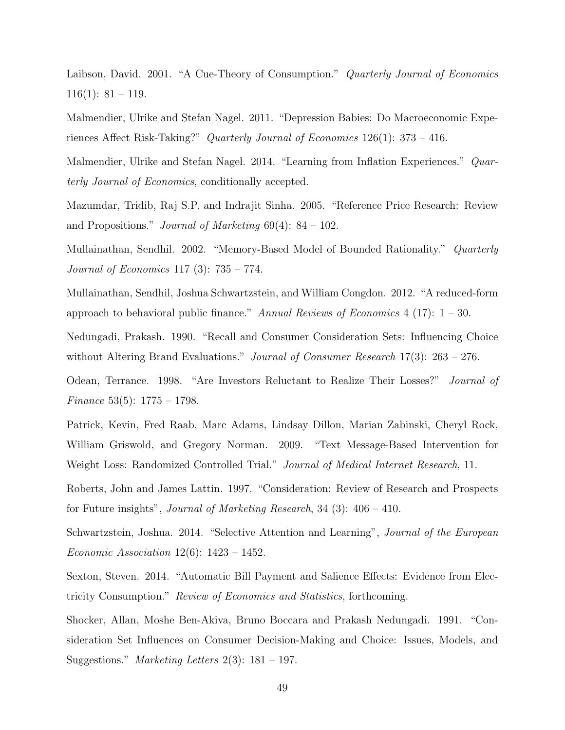Laibson, David. 2001. "A Cue-Theory of Consumption." Quarterly Journal of Economics  $116(1): 81 - 119.$ 

Malmendier, Ulrike and Stefan Nagel. 2011. "Depression Babies: Do Macroeconomic Experiences Affect Risk-Taking?" Quarterly Journal of Economics 126(1): 373 – 416.

Malmendier, Ulrike and Stefan Nagel. 2014. "Learning from Inflation Experiences." Quarterly Journal of Economics, conditionally accepted.

Mazumdar, Tridib, Raj S.P. and Indrajit Sinha. 2005. "Reference Price Research: Review and Propositions." *Journal of Marketing*  $69(4)$ :  $84 - 102$ .

Mullainathan, Sendhil. 2002. "Memory-Based Model of Bounded Rationality." Quarterly Journal of Economics 117 (3): 735 – 774.

Mullainathan, Sendhil, Joshua Schwartzstein, and William Congdon. 2012. "A reduced-form approach to behavioral public finance." Annual Reviews of Economics  $4$  (17):  $1 - 30$ .

Nedungadi, Prakash. 1990. "Recall and Consumer Consideration Sets: Influencing Choice without Altering Brand Evaluations." *Journal of Consumer Research* 17(3): 263 – 276.

Odean, Terrance. 1998. "Are Investors Reluctant to Realize Their Losses?" Journal of *Finance* 53(5):  $1775 - 1798$ .

Patrick, Kevin, Fred Raab, Marc Adams, Lindsay Dillon, Marian Zabinski, Cheryl Rock, William Griswold, and Gregory Norman. 2009. "Text Message-Based Intervention for Weight Loss: Randomized Controlled Trial." *Journal of Medical Internet Research*, 11.

Roberts, John and James Lattin. 1997. "Consideration: Review of Research and Prospects for Future insights", Journal of Marketing Research, 34 (3): 406 – 410.

Schwartzstein, Joshua. 2014. "Selective Attention and Learning", Journal of the European Economic Association 12(6): 1423 – 1452.

Sexton, Steven. 2014. "Automatic Bill Payment and Salience Effects: Evidence from Electricity Consumption." Review of Economics and Statistics, forthcoming.

Shocker, Allan, Moshe Ben-Akiva, Bruno Boccara and Prakash Nedungadi. 1991. "Consideration Set Influences on Consumer Decision-Making and Choice: Issues, Models, and Suggestions." *Marketing Letters*  $2(3)$ : 181 – 197.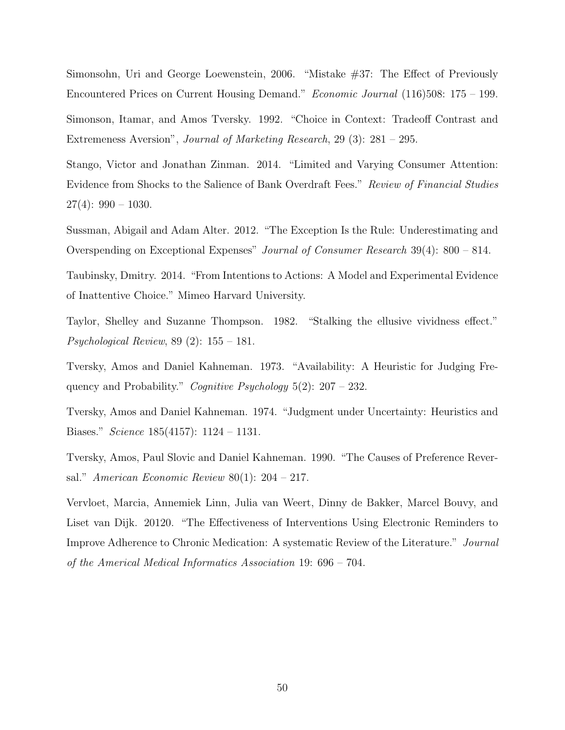Simonsohn, Uri and George Loewenstein, 2006. "Mistake #37: The Effect of Previously Encountered Prices on Current Housing Demand." Economic Journal (116)508: 175 – 199.

Simonson, Itamar, and Amos Tversky. 1992. "Choice in Context: Tradeoff Contrast and Extremeness Aversion", Journal of Marketing Research, 29 (3): 281 – 295.

Stango, Victor and Jonathan Zinman. 2014. "Limited and Varying Consumer Attention: Evidence from Shocks to the Salience of Bank Overdraft Fees." Review of Financial Studies  $27(4): 990 - 1030.$ 

Sussman, Abigail and Adam Alter. 2012. "The Exception Is the Rule: Underestimating and Overspending on Exceptional Expenses" Journal of Consumer Research 39(4): 800 – 814.

Taubinsky, Dmitry. 2014. "From Intentions to Actions: A Model and Experimental Evidence of Inattentive Choice." Mimeo Harvard University.

Taylor, Shelley and Suzanne Thompson. 1982. "Stalking the ellusive vividness effect." Psychological Review, 89 (2): 155 – 181.

Tversky, Amos and Daniel Kahneman. 1973. "Availability: A Heuristic for Judging Frequency and Probability." Cognitive Psychology  $5(2)$ : 207 – 232.

Tversky, Amos and Daniel Kahneman. 1974. "Judgment under Uncertainty: Heuristics and Biases." Science 185(4157): 1124 – 1131.

Tversky, Amos, Paul Slovic and Daniel Kahneman. 1990. "The Causes of Preference Reversal." American Economic Review  $80(1)$ : 204 – 217.

Vervloet, Marcia, Annemiek Linn, Julia van Weert, Dinny de Bakker, Marcel Bouvy, and Liset van Dijk. 20120. "The Effectiveness of Interventions Using Electronic Reminders to Improve Adherence to Chronic Medication: A systematic Review of the Literature." Journal of the Americal Medical Informatics Association 19: 696 – 704.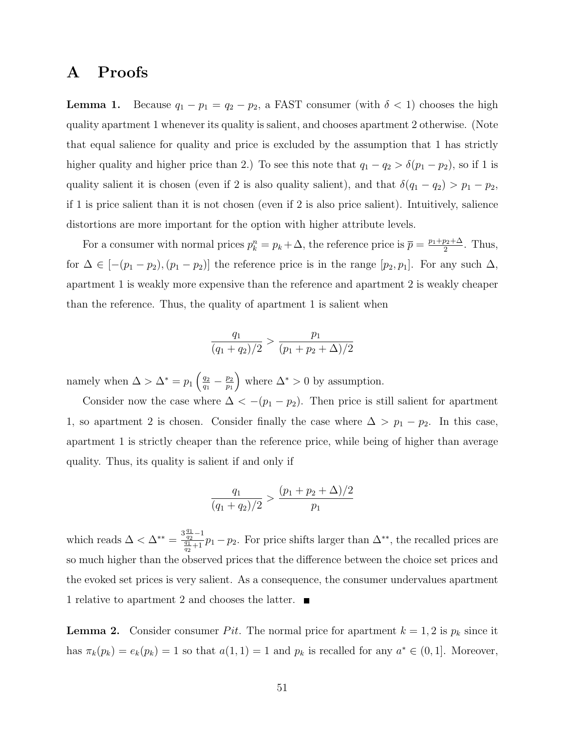# A Proofs

**Lemma 1.** Because  $q_1 - p_1 = q_2 - p_2$ , a FAST consumer (with  $\delta < 1$ ) chooses the high quality apartment 1 whenever its quality is salient, and chooses apartment 2 otherwise. (Note that equal salience for quality and price is excluded by the assumption that 1 has strictly higher quality and higher price than 2.) To see this note that  $q_1 - q_2 > \delta(p_1 - p_2)$ , so if 1 is quality salient it is chosen (even if 2 is also quality salient), and that  $\delta(q_1 - q_2) > p_1 - p_2$ , if 1 is price salient than it is not chosen (even if 2 is also price salient). Intuitively, salience distortions are more important for the option with higher attribute levels.

For a consumer with normal prices  $p_k^n = p_k + \Delta$ , the reference price is  $\bar{p} = \frac{p_1 + p_2 + \Delta}{2}$  $\frac{p_2+\Delta}{2}$ . Thus, for  $\Delta \in [-(p_1-p_2),(p_1-p_2)]$  the reference price is in the range  $[p_2,p_1]$ . For any such  $\Delta$ , apartment 1 is weakly more expensive than the reference and apartment 2 is weakly cheaper than the reference. Thus, the quality of apartment 1 is salient when

$$
\frac{q_1}{(q_1+q_2)/2} > \frac{p_1}{(p_1+p_2+\Delta)/2}
$$

namely when  $\Delta > \Delta^* = p_1 \left( \frac{q_2}{q_1} \right)$  $\frac{q_2}{q_1} - \frac{p_2}{p_1}$  $p_1$ where  $\Delta^* > 0$  by assumption.

Consider now the case where  $\Delta < -(p_1 - p_2)$ . Then price is still salient for apartment 1, so apartment 2 is chosen. Consider finally the case where  $\Delta > p_1 - p_2$ . In this case, apartment 1 is strictly cheaper than the reference price, while being of higher than average quality. Thus, its quality is salient if and only if

$$
\frac{q_1}{(q_1+q_2)/2} > \frac{(p_1+p_2+\Delta)/2}{p_1}
$$

which reads  $\Delta < \Delta^{**} = \frac{3\frac{q_1}{q_2}-1}{\frac{q_1}{q_1}+1}$  $\frac{\sqrt{q_2}-1}{\sqrt{q_1}-1}p_1-p_2$ . For price shifts larger than  $\Delta^{**}$ , the recalled prices are so much higher than the observed prices that the difference between the choice set prices and the evoked set prices is very salient. As a consequence, the consumer undervalues apartment 1 relative to apartment 2 and chooses the latter.

**Lemma 2.** Consider consumer Pit. The normal price for apartment  $k = 1, 2$  is  $p_k$  since it has  $\pi_k(p_k) = e_k(p_k) = 1$  so that  $a(1, 1) = 1$  and  $p_k$  is recalled for any  $a^* \in (0, 1]$ . Moreover,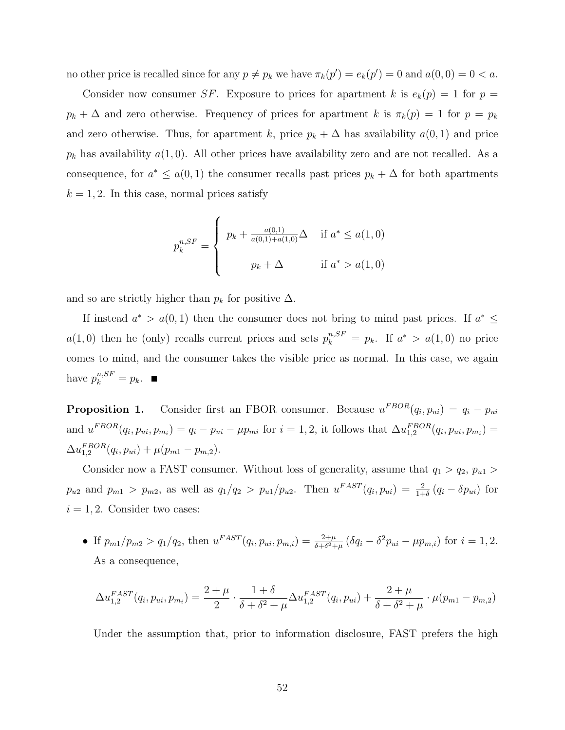no other price is recalled since for any  $p \neq p_k$  we have  $\pi_k(p') = e_k(p') = 0$  and  $a(0,0) = 0 < a$ .

Consider now consumer SF. Exposure to prices for apartment k is  $e_k(p) = 1$  for  $p =$  $p_k + \Delta$  and zero otherwise. Frequency of prices for apartment k is  $\pi_k(p) = 1$  for  $p = p_k$ and zero otherwise. Thus, for apartment k, price  $p_k + \Delta$  has availability  $a(0, 1)$  and price  $p_k$  has availability  $a(1,0)$ . All other prices have availability zero and are not recalled. As a consequence, for  $a^* \leq a(0,1)$  the consumer recalls past prices  $p_k + \Delta$  for both apartments  $k = 1, 2$ . In this case, normal prices satisfy

$$
p_{k}^{n, SF} = \begin{cases} p_{k} + \frac{a(0,1)}{a(0,1) + a(1,0)} \Delta & \text{if } a^{*} \le a(1,0) \\ p_{k} + \Delta & \text{if } a^{*} > a(1,0) \end{cases}
$$

and so are strictly higher than  $p_k$  for positive  $\Delta$ .

If instead  $a^* > a(0,1)$  then the consumer does not bring to mind past prices. If  $a^* \leq$  $a(1,0)$  then he (only) recalls current prices and sets  $p_k^{n, SF} = p_k$ . If  $a^* > a(1,0)$  no price comes to mind, and the consumer takes the visible price as normal. In this case, we again have  $p_k^{n, SF} = p_k$ .

**Proposition 1.** Consider first an FBOR consumer. Because  $u^{FBOR}(q_i, p_{ui}) = q_i - p_{ui}$ and  $u^{FBOR}(q_i, p_{ui}, p_{m_i}) = q_i - p_{ui} - \mu p_{mi}$  for  $i = 1, 2$ , it follows that  $\Delta u_{1,2}^{FBOR}(q_i, p_{ui}, p_{m_i}) =$  $\Delta u_{1,2}^{FBOR}(q_i, p_{ui}) + \mu (p_{m1} - p_{m,2}).$ 

Consider now a FAST consumer. Without loss of generality, assume that  $q_1 > q_2$ ,  $p_{u1} >$  $p_{u2}$  and  $p_{m1} > p_{m2}$ , as well as  $q_1/q_2 > p_{u1}/p_{u2}$ . Then  $u^{FAST}(q_i, p_{ui}) = \frac{2}{1+\delta}(q_i - \delta p_{ui})$  for  $i = 1, 2$ . Consider two cases:

• If  $p_{m1}/p_{m2} > q_1/q_2$ , then  $u^{FAST}(q_i, p_{ui}, p_{m,i}) = \frac{2+\mu}{\delta + \delta^2 + \mu} (\delta q_i - \delta^2 p_{ui} - \mu p_{m,i})$  for  $i = 1, 2$ . As a consequence,

$$
\Delta u_{1,2}^{FAST}(q_i, p_{ui}, p_{m_i}) = \frac{2 + \mu}{2} \cdot \frac{1 + \delta}{\delta + \delta^2 + \mu} \Delta u_{1,2}^{FAST}(q_i, p_{ui}) + \frac{2 + \mu}{\delta + \delta^2 + \mu} \cdot \mu(p_{m1} - p_{m,2})
$$

Under the assumption that, prior to information disclosure, FAST prefers the high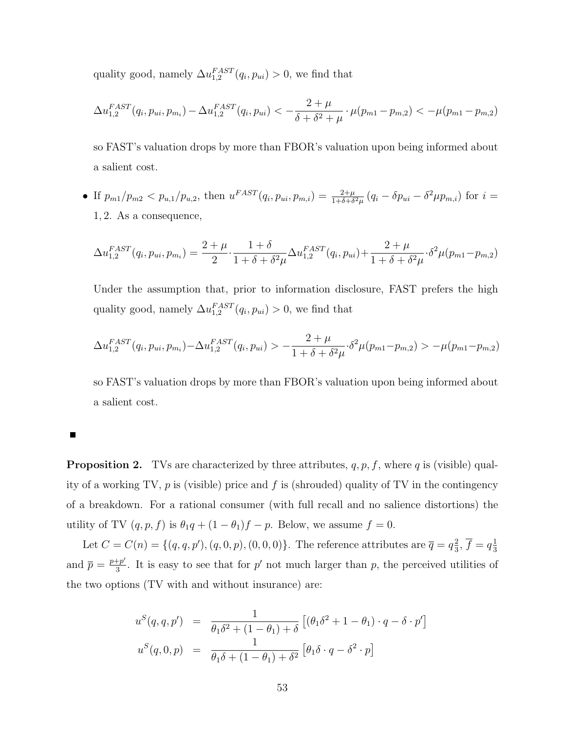quality good, namely  $\Delta u_{1,2}^{FAST}(q_i, p_{ui}) > 0$ , we find that

$$
\Delta u_{1,2}^{FAST}(q_i, p_{ui}, p_{m_i}) - \Delta u_{1,2}^{FAST}(q_i, p_{ui}) < -\frac{2 + \mu}{\delta + \delta^2 + \mu} \cdot \mu(p_{m1} - p_{m,2}) < -\mu(p_{m1} - p_{m,2})
$$

so FAST's valuation drops by more than FBOR's valuation upon being informed about a salient cost.

• If  $p_{m1}/p_{m2} < p_{u,1}/p_{u,2}$ , then  $u^{FAST}(q_i, p_{ui}, p_{m,i}) = \frac{2+\mu}{1+\delta+\delta^2\mu}(q_i - \delta p_{ui} - \delta^2\mu p_{m,i})$  for  $i =$ 1, 2. As a consequence,

$$
\Delta u_{1,2}^{FAST}(q_i, p_{ui}, p_{m_i}) = \frac{2 + \mu}{2} \cdot \frac{1 + \delta}{1 + \delta + \delta^2 \mu} \Delta u_{1,2}^{FAST}(q_i, p_{ui}) + \frac{2 + \mu}{1 + \delta + \delta^2 \mu} \cdot \delta^2 \mu(p_{m1} - p_{m,2})
$$

Under the assumption that, prior to information disclosure, FAST prefers the high quality good, namely  $\Delta u_{1,2}^{FAST}(q_i, p_{ui}) > 0$ , we find that

$$
\Delta u_{1,2}^{FAST}(q_i, p_{ui}, p_{m_i}) - \Delta u_{1,2}^{FAST}(q_i, p_{ui}) > -\frac{2 + \mu}{1 + \delta + \delta^2 \mu} \cdot \delta^2 \mu(p_{m1} - p_{m,2}) > -\mu(p_{m1} - p_{m,2})
$$

so FAST's valuation drops by more than FBOR's valuation upon being informed about a salient cost.

**Proposition 2.** TVs are characterized by three attributes,  $q, p, f$ , where q is (visible) quality of a working TV,  $p$  is (visible) price and  $f$  is (shrouded) quality of TV in the contingency of a breakdown. For a rational consumer (with full recall and no salience distortions) the utility of TV  $(q, p, f)$  is  $\theta_1 q + (1 - \theta_1)f - p$ . Below, we assume  $f = 0$ .

Let  $C = C(n) = \{(q, q, p'), (q, 0, p), (0, 0, 0)\}.$  The reference attributes are  $\bar{q} = q\frac{2}{3}$  $\frac{2}{3}, \overline{f} = q\frac{1}{3}$ 3 and  $\overline{p} = \frac{p+p'}{3}$  $\frac{4+p'}{3}$ . It is easy to see that for p' not much larger than p, the perceived utilities of the two options (TV with and without insurance) are:

$$
u^{S}(q, q, p') = \frac{1}{\theta_1 \delta^2 + (1 - \theta_1) + \delta} \left[ (\theta_1 \delta^2 + 1 - \theta_1) \cdot q - \delta \cdot p' \right]
$$
  

$$
u^{S}(q, 0, p) = \frac{1}{\theta_1 \delta + (1 - \theta_1) + \delta^2} \left[ \theta_1 \delta \cdot q - \delta^2 \cdot p \right]
$$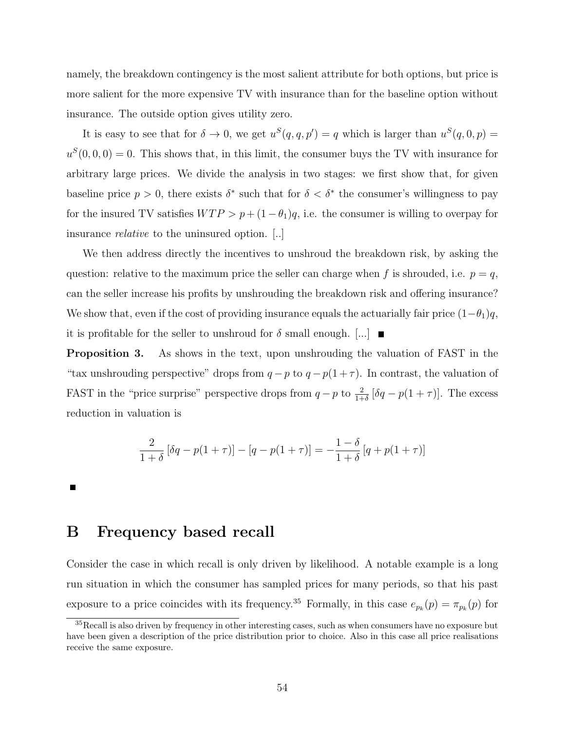namely, the breakdown contingency is the most salient attribute for both options, but price is more salient for the more expensive TV with insurance than for the baseline option without insurance. The outside option gives utility zero.

It is easy to see that for  $\delta \to 0$ , we get  $u^S(q, q, p') = q$  which is larger than  $u^S(q, 0, p) =$  $u^{S}(0,0,0) = 0$ . This shows that, in this limit, the consumer buys the TV with insurance for arbitrary large prices. We divide the analysis in two stages: we first show that, for given baseline price  $p > 0$ , there exists  $\delta^*$  such that for  $\delta < \delta^*$  the consumer's willingness to pay for the insured TV satisfies  $WTP > p + (1 - \theta_1)q$ , i.e. the consumer is willing to overpay for insurance relative to the uninsured option. [..]

We then address directly the incentives to unshroud the breakdown risk, by asking the question: relative to the maximum price the seller can charge when f is shrouded, i.e.  $p = q$ , can the seller increase his profits by unshrouding the breakdown risk and offering insurance? We show that, even if the cost of providing insurance equals the actuarially fair price  $(1-\theta_1)q$ , it is profitable for the seller to unshroud for  $\delta$  small enough.  $[\dots]$ 

Proposition 3. As shows in the text, upon unshrouding the valuation of FAST in the "tax unshrouding perspective" drops from  $q - p$  to  $q - p(1 + \tau)$ . In contrast, the valuation of FAST in the "price surprise" perspective drops from  $q - p$  to  $\frac{2}{1+\delta} [\delta q - p(1+\tau)]$ . The excess reduction in valuation is

$$
\frac{2}{1+\delta} [\delta q - p(1+\tau)] - [q - p(1+\tau)] = -\frac{1-\delta}{1+\delta} [q + p(1+\tau)]
$$

П

## B Frequency based recall

Consider the case in which recall is only driven by likelihood. A notable example is a long run situation in which the consumer has sampled prices for many periods, so that his past exposure to a price coincides with its frequency.<sup>35</sup> Formally, in this case  $e_{p_k}(p) = \pi_{p_k}(p)$  for

 $35$ Recall is also driven by frequency in other interesting cases, such as when consumers have no exposure but have been given a description of the price distribution prior to choice. Also in this case all price realisations receive the same exposure.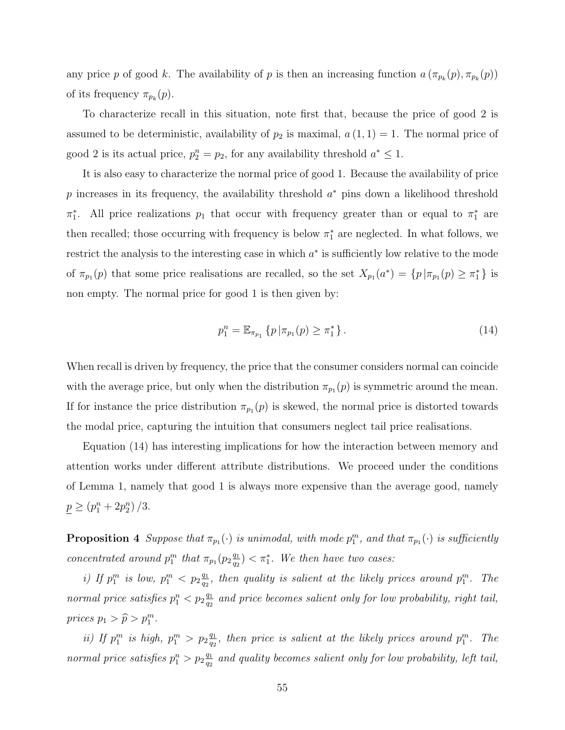any price p of good k. The availability of p is then an increasing function  $a(\pi_{p_k}(p), \pi_{p_k}(p))$ of its frequency  $\pi_{p_k}(p)$ .

To characterize recall in this situation, note first that, because the price of good 2 is assumed to be deterministic, availability of  $p_2$  is maximal,  $a(1, 1) = 1$ . The normal price of good 2 is its actual price,  $p_2^n = p_2$ , for any availability threshold  $a^* \leq 1$ .

It is also easy to characterize the normal price of good 1. Because the availability of price p increases in its frequency, the availability threshold  $a^*$  pins down a likelihood threshold  $\pi_1^*$ . All price realizations  $p_1$  that occur with frequency greater than or equal to  $\pi_1^*$  are then recalled; those occurring with frequency is below  $\pi_1^*$  are neglected. In what follows, we restrict the analysis to the interesting case in which  $a^*$  is sufficiently low relative to the mode of  $\pi_{p_1}(p)$  that some price realisations are recalled, so the set  $X_{p_1}(a^*) = \{p \mid \pi_{p_1}(p) \geq \pi_1^*\}$  is non empty. The normal price for good 1 is then given by:

$$
p_1^n = \mathbb{E}_{\pi_{p_1}} \left\{ p \, | \pi_{p_1}(p) \ge \pi_1^* \right\}.
$$
 (14)

When recall is driven by frequency, the price that the consumer considers normal can coincide with the average price, but only when the distribution  $\pi_{p_1}(p)$  is symmetric around the mean. If for instance the price distribution  $\pi_{p_1}(p)$  is skewed, the normal price is distorted towards the modal price, capturing the intuition that consumers neglect tail price realisations.

Equation (14) has interesting implications for how the interaction between memory and attention works under different attribute distributions. We proceed under the conditions of Lemma 1, namely that good 1 is always more expensive than the average good, namely  $p \ge (p_1^n + 2p_2^n)/3.$ 

**Proposition 4** Suppose that  $\pi_{p_1}(\cdot)$  is unimodal, with mode  $p_1^m$ , and that  $\pi_{p_1}(\cdot)$  is sufficiently concentrated around  $p_1^m$  that  $\pi_{p_1}(p_2 \frac{q_1}{q_2})$  $\frac{q_1}{q_2}$   $<$   $\pi_1^*$ . We then have two cases:

i) If  $p_1^m$  is low,  $p_1^m < p_2 \frac{q_1}{q_2}$  $\frac{q_1}{q_2}$ , then quality is salient at the likely prices around  $p_1^m$ . The normal price satisfies  $p_1^n < p_2 \frac{q_1}{q_2}$  $\frac{q_{1}}{q_{2}}$  and price becomes salient only for low probability, right tail, prices  $p_1 > \widehat{p} > p_1^m$ .

ii) If  $p_1^m$  is high,  $p_1^m > p_2 \frac{q_1}{q_2}$  $\frac{q_1}{q_2}$ , then price is salient at the likely prices around  $p_1^m$ . The normal price satisfies  $p_1^n > p_2 \frac{q_1}{q_2}$  $\frac{q_{1}}{q_{2}}$  and quality becomes salient only for low probability, left tail,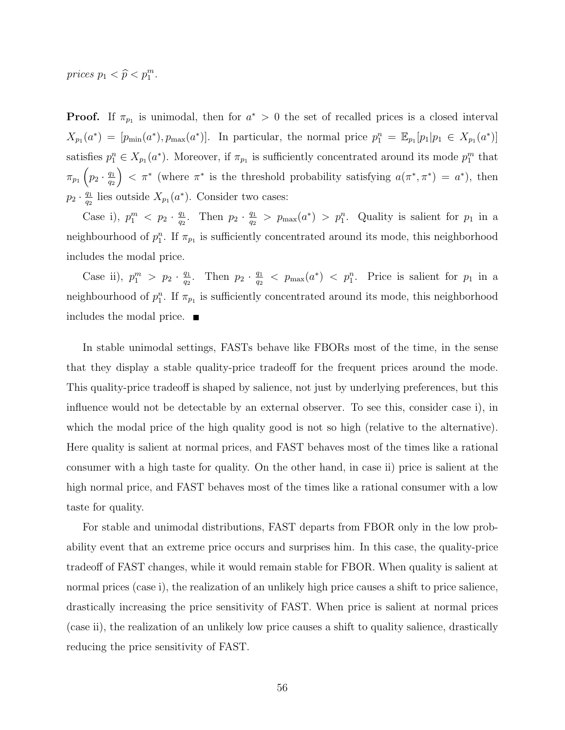prices  $p_1 < \widehat{p} < p_1^m$ .

**Proof.** If  $\pi_{p_1}$  is unimodal, then for  $a^* > 0$  the set of recalled prices is a closed interval  $X_{p_1}(a^*) = [p_{\min}(a^*), p_{\max}(a^*)]$ . In particular, the normal price  $p_1^n = \mathbb{E}_{p_1}[p_1|p_1 \in X_{p_1}(a^*)]$ satisfies  $p_1^n \in X_{p_1}(a^*)$ . Moreover, if  $\pi_{p_1}$  is sufficiently concentrated around its mode  $p_1^m$  that  $\pi_{p_1}$   $\left(p_2 \cdot \frac{q_1}{q_2}\right)$ q2  $\Big)$  <  $\pi^*$  (where  $\pi^*$  is the threshold probability satisfying  $a(\pi^*, \pi^*) = a^*$ ), then  $p_2 \cdot \frac{q_1}{q_2}$  $\frac{q_1}{q_2}$  lies outside  $X_{p_1}(a^*)$ . Consider two cases:

Case i),  $p_1^m < p_2 \cdot \frac{q_1}{q_2}$  $\frac{q_1}{q_2}$ . Then  $p_2 \cdot \frac{q_1}{q_2}$  $\frac{q_1}{q_2} > p_{\max}(a^*) > p_1^n$ . Quality is salient for  $p_1$  in a neighbourhood of  $p_1^n$ . If  $\pi_{p_1}$  is sufficiently concentrated around its mode, this neighborhood includes the modal price.

Case ii),  $p_1^m > p_2 \cdot \frac{q_1}{q_2}$  $\frac{q_1}{q_2}$ . Then  $p_2 \cdot \frac{q_1}{q_2}$  $\frac{q_1}{q_2}$  <  $p_{\max}(a^*)$  <  $p_1^n$ . Price is salient for  $p_1$  in a neighbourhood of  $p_1^n$ . If  $\pi_{p_1}$  is sufficiently concentrated around its mode, this neighborhood includes the modal price.

In stable unimodal settings, FASTs behave like FBORs most of the time, in the sense that they display a stable quality-price tradeoff for the frequent prices around the mode. This quality-price tradeoff is shaped by salience, not just by underlying preferences, but this influence would not be detectable by an external observer. To see this, consider case i), in which the modal price of the high quality good is not so high (relative to the alternative). Here quality is salient at normal prices, and FAST behaves most of the times like a rational consumer with a high taste for quality. On the other hand, in case ii) price is salient at the high normal price, and FAST behaves most of the times like a rational consumer with a low taste for quality.

For stable and unimodal distributions, FAST departs from FBOR only in the low probability event that an extreme price occurs and surprises him. In this case, the quality-price tradeoff of FAST changes, while it would remain stable for FBOR. When quality is salient at normal prices (case i), the realization of an unlikely high price causes a shift to price salience, drastically increasing the price sensitivity of FAST. When price is salient at normal prices (case ii), the realization of an unlikely low price causes a shift to quality salience, drastically reducing the price sensitivity of FAST.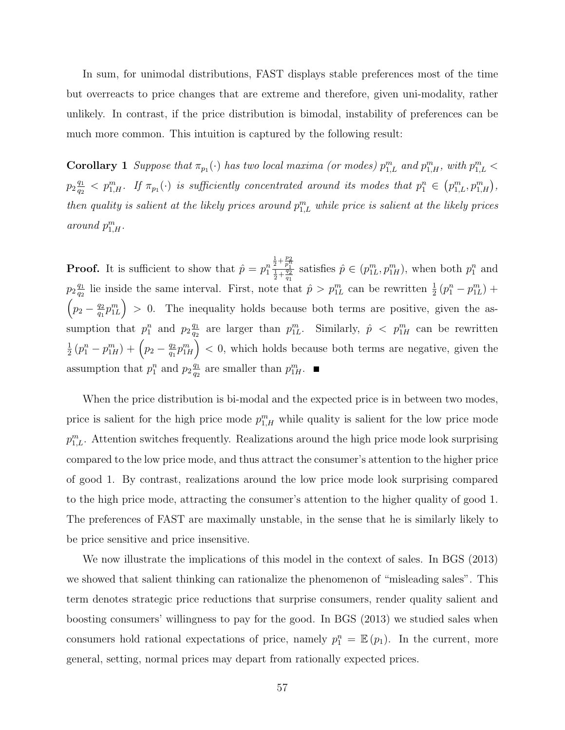In sum, for unimodal distributions, FAST displays stable preferences most of the time but overreacts to price changes that are extreme and therefore, given uni-modality, rather unlikely. In contrast, if the price distribution is bimodal, instability of preferences can be much more common. This intuition is captured by the following result:

**Corollary 1** Suppose that  $\pi_{p_1}(\cdot)$  has two local maxima (or modes)  $p_{1,L}^m$  and  $p_{1,H}^m$ , with  $p_{1,L}^m$  $p_2 \frac{q_1}{q_2}$  $\frac{q_1}{q_2} < p_{1,H}^m$ . If  $\pi_{p_1}(\cdot)$  is sufficiently concentrated around its modes that  $p_1^n \in \left(p_{1,L}^m,p_{1,H}^m\right)$ , then quality is salient at the likely prices around  $p_{1,L}^m$  while price is salient at the likely prices around  $p_{1,H}^m$ .

**Proof.** It is sufficient to show that  $\hat{p} = p_1^n$  $\frac{1}{2} + \frac{p_2}{p_1^n}$ <br> $\frac{1}{2} + \frac{q_2}{q_1}$ satisfies  $\hat{p} \in (p_{1L}^m, p_{1H}^m)$ , when both  $p_1^n$  and  $p_2 \frac{q_1}{q_2}$  $\frac{q_1}{q_2}$  lie inside the same interval. First, note that  $\hat{p} > p_{1L}^m$  can be rewritten  $\frac{1}{2}(p_1^n - p_{1L}^m)$  +  $\left(p_2 - \frac{q_2}{q_1}\right)$  $\left(\frac{q_2}{q_1}p_{1L}^m\right) > 0$ . The inequality holds because both terms are positive, given the assumption that  $p_1^n$  and  $p_2 \frac{q_1}{q_2}$  $\frac{q_1}{q_2}$  are larger than  $p_{1L}^m$ . Similarly,  $\hat{p} \le p_{1H}^m$  can be rewritten 1  $\frac{1}{2} \left( p_1^n - p_{1H}^m \right) + \left( p_2 - \frac{q_2}{q_1} \right)$  $\left(\frac{q_2}{q_1}p_{1H}^m\right)$  < 0, which holds because both terms are negative, given the assumption that  $p_1^n$  and  $p_2 \frac{q_1}{q_2}$  $\frac{q_1}{q_2}$  are smaller than  $p_{1H}^m$ .

When the price distribution is bi-modal and the expected price is in between two modes, price is salient for the high price mode  $p_{1,H}^m$  while quality is salient for the low price mode  $p_{1,L}^m$ . Attention switches frequently. Realizations around the high price mode look surprising compared to the low price mode, and thus attract the consumer's attention to the higher price of good 1. By contrast, realizations around the low price mode look surprising compared to the high price mode, attracting the consumer's attention to the higher quality of good 1. The preferences of FAST are maximally unstable, in the sense that he is similarly likely to be price sensitive and price insensitive.

We now illustrate the implications of this model in the context of sales. In BGS (2013) we showed that salient thinking can rationalize the phenomenon of "misleading sales". This term denotes strategic price reductions that surprise consumers, render quality salient and boosting consumers' willingness to pay for the good. In BGS (2013) we studied sales when consumers hold rational expectations of price, namely  $p_1^n = \mathbb{E}(p_1)$ . In the current, more general, setting, normal prices may depart from rationally expected prices.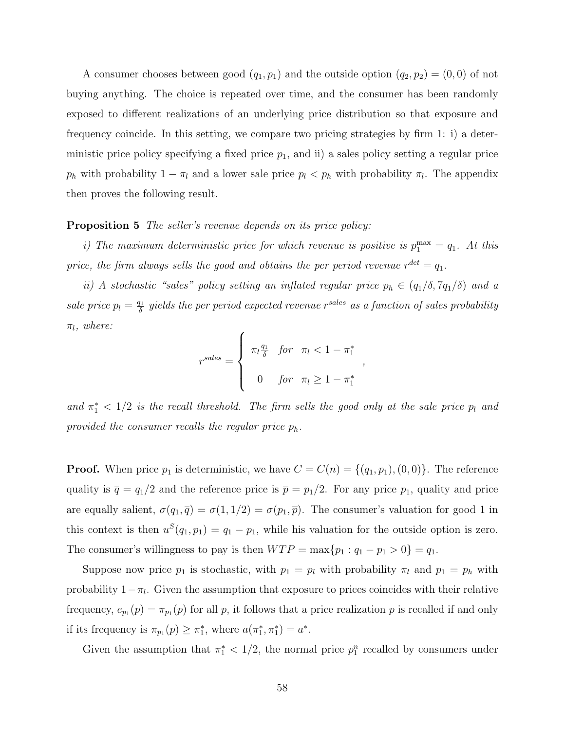A consumer chooses between good  $(q_1, p_1)$  and the outside option  $(q_2, p_2) = (0, 0)$  of not buying anything. The choice is repeated over time, and the consumer has been randomly exposed to different realizations of an underlying price distribution so that exposure and frequency coincide. In this setting, we compare two pricing strategies by firm 1: i) a deterministic price policy specifying a fixed price  $p_1$ , and ii) a sales policy setting a regular price  $p_h$  with probability  $1 - \pi_l$  and a lower sale price  $p_l < p_h$  with probability  $\pi_l$ . The appendix then proves the following result.

#### **Proposition 5** The seller's revenue depends on its price policy:

i) The maximum deterministic price for which revenue is positive is  $p_1^{\max} = q_1$ . At this price, the firm always sells the good and obtains the per period revenue  $r^{det} = q_1$ .

ii) A stochastic "sales" policy setting an inflated regular price  $p_h \in (q_1/\delta, 7q_1/\delta)$  and a sale price  $p_l = \frac{q_1}{\delta}$  $\frac{d\mathbf{d}}{dt}$  yields the per period expected revenue  $r^{sales}$  as a function of sales probability  $\pi_l$ , where:

$$
r^{sales} = \begin{cases} \pi_l \frac{q_1}{\delta} & \text{for } \pi_l < 1 - \pi_1^* \\ 0 & \text{for } \pi_l \ge 1 - \pi_1^* \end{cases}
$$

,

and  $\pi_1^*$  < 1/2 is the recall threshold. The firm sells the good only at the sale price  $p_l$  and provided the consumer recalls the regular price  $p_h$ .

**Proof.** When price  $p_1$  is deterministic, we have  $C = C(n) = \{(q_1, p_1), (0, 0)\}\.$  The reference quality is  $\bar{q} = q_1/2$  and the reference price is  $\bar{p} = p_1/2$ . For any price  $p_1$ , quality and price are equally salient,  $\sigma(q_1, \overline{q}) = \sigma(1, 1/2) = \sigma(p_1, \overline{p})$ . The consumer's valuation for good 1 in this context is then  $u^S(q_1, p_1) = q_1 - p_1$ , while his valuation for the outside option is zero. The consumer's willingness to pay is then  $WTP = \max\{p_1 : q_1 - p_1 > 0\} = q_1$ .

Suppose now price  $p_1$  is stochastic, with  $p_1 = p_l$  with probability  $\pi_l$  and  $p_1 = p_h$  with probability  $1 - \pi_l$ . Given the assumption that exposure to prices coincides with their relative frequency,  $e_{p_1}(p) = \pi_{p_1}(p)$  for all p, it follows that a price realization p is recalled if and only if its frequency is  $\pi_{p_1}(p) \geq \pi_1^*$ , where  $a(\pi_1^*, \pi_1^*) = a^*$ .

Given the assumption that  $\pi_1^* < 1/2$ , the normal price  $p_1^n$  recalled by consumers under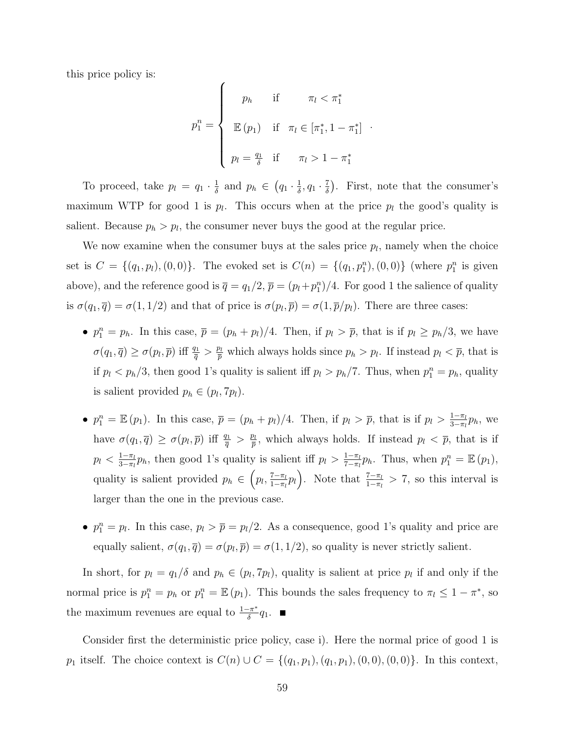this price policy is:

$$
p_1^n = \begin{cases} p_h & \text{if } \pi_l < \pi_1^* \\ \mathbb{E}(p_1) & \text{if } \pi_l \in [\pi_1^*, 1 - \pi_1^*] \\ p_l = \frac{q_1}{\delta} & \text{if } \pi_l > 1 - \pi_1^* \end{cases}.
$$

To proceed, take  $p_l = q_1 \cdot \frac{1}{\delta}$  $\frac{1}{\delta}$  and  $p_h \in (q_1 \cdot \frac{1}{\delta})$  $\frac{1}{\delta}, q_1 \cdot \frac{7}{\delta}$  $\frac{7}{\delta}$ ). First, note that the consumer's maximum WTP for good 1 is  $p_l$ . This occurs when at the price  $p_l$  the good's quality is salient. Because  $p_h > p_l$ , the consumer never buys the good at the regular price.

We now examine when the consumer buys at the sales price  $p_l$ , namely when the choice set is  $C = \{(q_1, p_l), (0, 0)\}\.$  The evoked set is  $C(n) = \{(q_1, p_1^n), (0, 0)\}\$  (where  $p_1^n$  is given above), and the reference good is  $\overline{q} = q_1/2$ ,  $\overline{p} = (p_l + p_1^n)/4$ . For good 1 the salience of quality is  $\sigma(q_1, \overline{q}) = \sigma(1, 1/2)$  and that of price is  $\sigma(p_l, \overline{p}) = \sigma(1, \overline{p}/p_l)$ . There are three cases:

- $p_1^n = p_h$ . In this case,  $\overline{p} = (p_h + p_l)/4$ . Then, if  $p_l > \overline{p}$ , that is if  $p_l \geq p_h/3$ , we have  $\sigma(q_1, \overline{q}) \geq \sigma(p_l, \overline{p})$  iff  $\frac{q_1}{\overline{q}} > \frac{p_l}{\overline{p}}$  which always holds since  $p_h > p_l$ . If instead  $p_l < \overline{p}$ , that is if  $p_l < p_h/3$ , then good 1's quality is salient iff  $p_l > p_h/7$ . Thus, when  $p_1^n = p_h$ , quality is salient provided  $p_h \in (p_l, 7p_l)$ .
- $p_1^n = \mathbb{E}(p_1)$ . In this case,  $\overline{p} = (p_h + p_l)/4$ . Then, if  $p_l > \overline{p}$ , that is if  $p_l > \frac{1-\pi_l}{3-\pi_l}$  $rac{1-\pi_l}{3-\pi_l}p_h$ , we have  $\sigma(q_1, \overline{q}) \geq \sigma(p_l, \overline{p})$  iff  $\frac{q_1}{\overline{q}} > \frac{p_l}{\overline{p}}$  $\frac{p_l}{\bar{p}}$ , which always holds. If instead  $p_l < \bar{p}$ , that is if  $p_l < \frac{1-\pi_l}{3-\pi_l}$  $\frac{1-\pi_l}{3-\pi_l}p_h$ , then good 1's quality is salient iff  $p_l > \frac{1-\pi_l}{7-\pi_l}$  $\frac{1-\pi_l}{7-\pi_l}p_h$ . Thus, when  $p_1^n = \mathbb{E}(p_1)$ , quality is salient provided  $p_h \in (p_l, \frac{7-\pi_l}{1-\pi_l})$  $\frac{7-\pi_l}{1-\pi_l}p_l$ . Note that  $\frac{7-\pi_l}{1-\pi_l}>7$ , so this interval is larger than the one in the previous case.
- $p_1^n = p_l$ . In this case,  $p_l > \overline{p} = p_l/2$ . As a consequence, good 1's quality and price are equally salient,  $\sigma(q_1, \overline{q}) = \sigma(p_l, \overline{p}) = \sigma(1, 1/2)$ , so quality is never strictly salient.

In short, for  $p_l = q_1/\delta$  and  $p_h \in (p_l, 7p_l)$ , quality is salient at price  $p_l$  if and only if the normal price is  $p_1^n = p_h$  or  $p_1^n = \mathbb{E}(p_1)$ . This bounds the sales frequency to  $\pi_l \leq 1 - \pi^*$ , so the maximum revenues are equal to  $\frac{1-\pi^*}{\delta}$  $\frac{1}{\delta} \pi^* q_1$ .

Consider first the deterministic price policy, case i). Here the normal price of good 1 is p<sub>1</sub> itself. The choice context is  $C(n) \cup C = \{(q_1, p_1), (q_1, p_1), (0, 0), (0, 0)\}.$  In this context,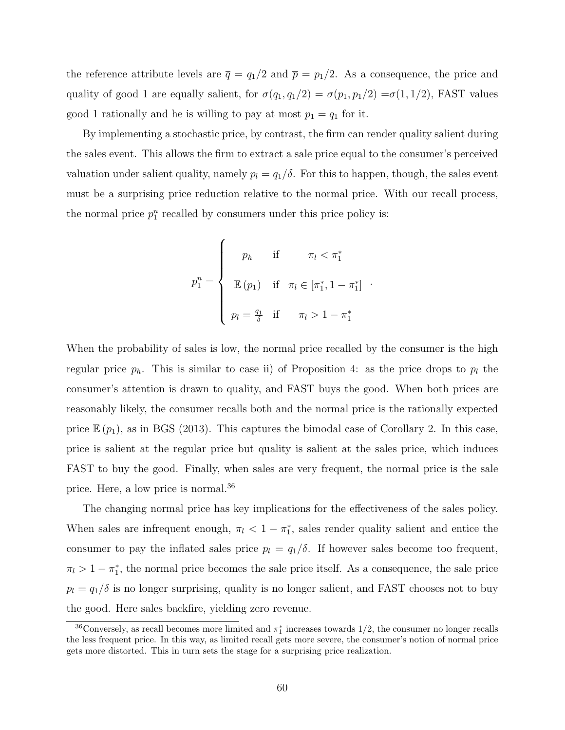the reference attribute levels are  $\bar{q} = q_1/2$  and  $\bar{p} = p_1/2$ . As a consequence, the price and quality of good 1 are equally salient, for  $\sigma(q_1, q_1/2) = \sigma(p_1, p_1/2) = \sigma(1, 1/2)$ , FAST values good 1 rationally and he is willing to pay at most  $p_1 = q_1$  for it.

By implementing a stochastic price, by contrast, the firm can render quality salient during the sales event. This allows the firm to extract a sale price equal to the consumer's perceived valuation under salient quality, namely  $p_l = q_1/\delta$ . For this to happen, though, the sales event must be a surprising price reduction relative to the normal price. With our recall process, the normal price  $p_1^n$  recalled by consumers under this price policy is:

$$
p_1^n = \begin{cases} p_h & \text{if } \pi_l < \pi_1^* \\ \mathbb{E}(p_1) & \text{if } \pi_l \in [\pi_1^*, 1 - \pi_1^*] \\ p_l = \frac{q_1}{\delta} & \text{if } \pi_l > 1 - \pi_1^* \end{cases}
$$

.

When the probability of sales is low, the normal price recalled by the consumer is the high regular price  $p_h$ . This is similar to case ii) of Proposition 4: as the price drops to  $p_l$  the consumer's attention is drawn to quality, and FAST buys the good. When both prices are reasonably likely, the consumer recalls both and the normal price is the rationally expected price  $\mathbb{E}(p_1)$ , as in BGS (2013). This captures the bimodal case of Corollary 2. In this case, price is salient at the regular price but quality is salient at the sales price, which induces FAST to buy the good. Finally, when sales are very frequent, the normal price is the sale price. Here, a low price is normal.<sup>36</sup>

The changing normal price has key implications for the effectiveness of the sales policy. When sales are infrequent enough,  $\pi_l < 1 - \pi_l^*$ , sales render quality salient and entice the consumer to pay the inflated sales price  $p_l = q_1/\delta$ . If however sales become too frequent,  $\pi_l > 1 - \pi_l^*$ , the normal price becomes the sale price itself. As a consequence, the sale price  $p_l = q_1/\delta$  is no longer surprising, quality is no longer salient, and FAST chooses not to buy the good. Here sales backfire, yielding zero revenue.

<sup>&</sup>lt;sup>36</sup>Conversely, as recall becomes more limited and  $\pi_1^*$  increases towards  $1/2$ , the consumer no longer recalls the less frequent price. In this way, as limited recall gets more severe, the consumer's notion of normal price gets more distorted. This in turn sets the stage for a surprising price realization.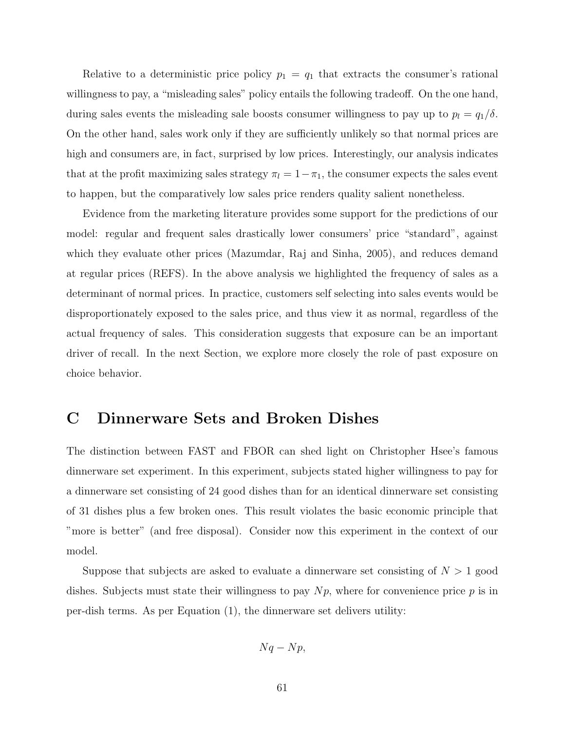Relative to a deterministic price policy  $p_1 = q_1$  that extracts the consumer's rational willingness to pay, a "misleading sales" policy entails the following tradeoff. On the one hand, during sales events the misleading sale boosts consumer willingness to pay up to  $p_l = q_1/\delta$ . On the other hand, sales work only if they are sufficiently unlikely so that normal prices are high and consumers are, in fact, surprised by low prices. Interestingly, our analysis indicates that at the profit maximizing sales strategy  $\pi_l = 1 - \pi_1$ , the consumer expects the sales event to happen, but the comparatively low sales price renders quality salient nonetheless.

Evidence from the marketing literature provides some support for the predictions of our model: regular and frequent sales drastically lower consumers' price "standard", against which they evaluate other prices (Mazumdar, Raj and Sinha, 2005), and reduces demand at regular prices (REFS). In the above analysis we highlighted the frequency of sales as a determinant of normal prices. In practice, customers self selecting into sales events would be disproportionately exposed to the sales price, and thus view it as normal, regardless of the actual frequency of sales. This consideration suggests that exposure can be an important driver of recall. In the next Section, we explore more closely the role of past exposure on choice behavior.

# C Dinnerware Sets and Broken Dishes

The distinction between FAST and FBOR can shed light on Christopher Hsee's famous dinnerware set experiment. In this experiment, subjects stated higher willingness to pay for a dinnerware set consisting of 24 good dishes than for an identical dinnerware set consisting of 31 dishes plus a few broken ones. This result violates the basic economic principle that "more is better" (and free disposal). Consider now this experiment in the context of our model.

Suppose that subjects are asked to evaluate a dinnerware set consisting of  $N > 1$  good dishes. Subjects must state their willingness to pay  $Np$ , where for convenience price p is in per-dish terms. As per Equation (1), the dinnerware set delivers utility:

$$
Nq-Np,
$$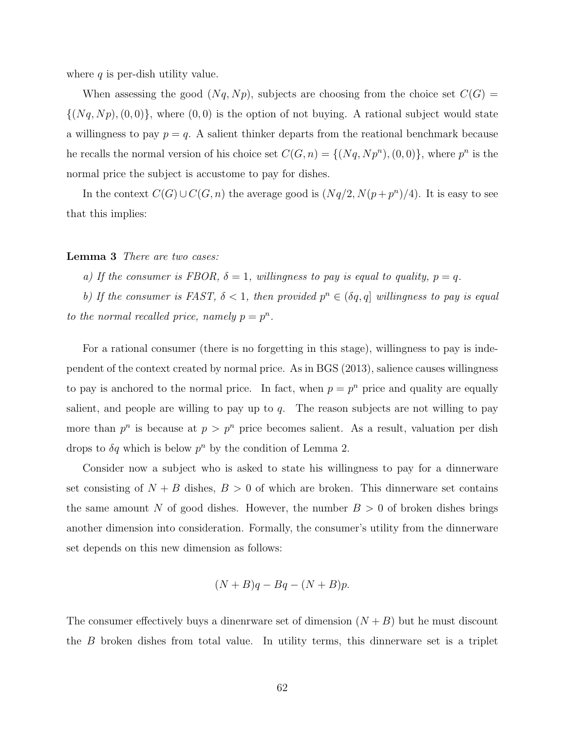where  $q$  is per-dish utility value.

When assessing the good  $(Nq, Np)$ , subjects are choosing from the choice set  $C(G)$  =  $\{(Nq, Np), (0, 0)\}\$ , where  $(0, 0)$  is the option of not buying. A rational subject would state a willingness to pay  $p = q$ . A salient thinker departs from the reational benchmark because he recalls the normal version of his choice set  $C(G, n) = \{ (Nq, Np^n), (0, 0) \},$  where  $p^n$  is the normal price the subject is accustome to pay for dishes.

In the context  $C(G) \cup C(G, n)$  the average good is  $(Nq/2, N(p+p^n)/4)$ . It is easy to see that this implies:

#### Lemma 3 There are two cases:

a) If the consumer is FBOR,  $\delta = 1$ , willingness to pay is equal to quality,  $p = q$ .

b) If the consumer is FAST,  $\delta < 1$ , then provided  $p^n \in (\delta q, q]$  willingness to pay is equal to the normal recalled price, namely  $p = p^n$ .

For a rational consumer (there is no forgetting in this stage), willingness to pay is independent of the context created by normal price. As in BGS (2013), salience causes willingness to pay is anchored to the normal price. In fact, when  $p = p^n$  price and quality are equally salient, and people are willing to pay up to  $q$ . The reason subjects are not willing to pay more than  $p^n$  is because at  $p > p^n$  price becomes salient. As a result, valuation per dish drops to  $\delta q$  which is below  $p^n$  by the condition of Lemma 2.

Consider now a subject who is asked to state his willingness to pay for a dinnerware set consisting of  $N + B$  dishes,  $B > 0$  of which are broken. This dinnerware set contains the same amount N of good dishes. However, the number  $B > 0$  of broken dishes brings another dimension into consideration. Formally, the consumer's utility from the dinnerware set depends on this new dimension as follows:

$$
(N+B)q - Bq - (N+B)p.
$$

The consumer effectively buys a dinenrware set of dimension  $(N + B)$  but he must discount the B broken dishes from total value. In utility terms, this dinnerware set is a triplet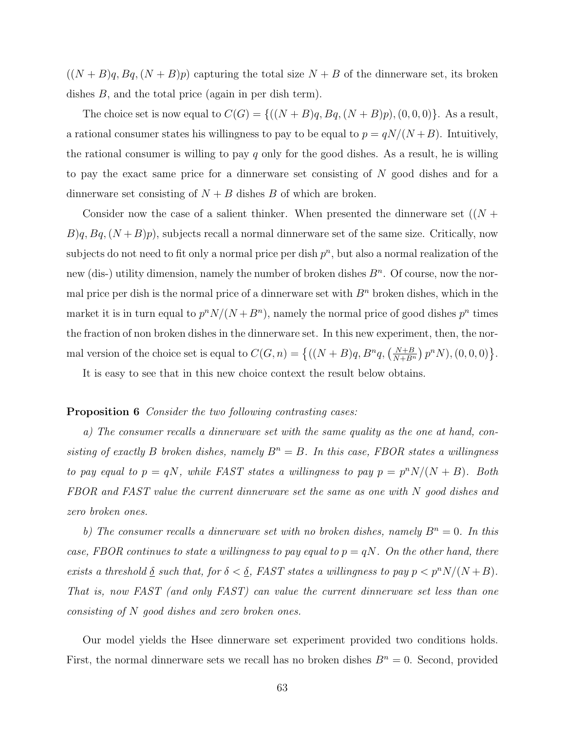$((N + B)q, Bq, (N + B)p)$  capturing the total size  $N + B$  of the dinnerware set, its broken dishes B, and the total price (again in per dish term).

The choice set is now equal to  $C(G) = \{((N+B)q, Bq, (N+B)p), (0, 0, 0)\}.$  As a result, a rational consumer states his willingness to pay to be equal to  $p = qN/(N+B)$ . Intuitively, the rational consumer is willing to pay q only for the good dishes. As a result, he is willing to pay the exact same price for a dinnerware set consisting of N good dishes and for a dinnerware set consisting of  $N + B$  dishes B of which are broken.

Consider now the case of a salient thinker. When presented the dinnerware set  $((N +$  $B$ q,  $B$ q,  $(N + B)p$ , subjects recall a normal dinnerware set of the same size. Critically, now subjects do not need to fit only a normal price per dish  $p^n$ , but also a normal realization of the new (dis-) utility dimension, namely the number of broken dishes  $B<sup>n</sup>$ . Of course, now the normal price per dish is the normal price of a dinnerware set with  $B<sup>n</sup>$  broken dishes, which in the market it is in turn equal to  $p^n N/(N+B^n)$ , namely the normal price of good dishes  $p^n$  times the fraction of non broken dishes in the dinnerware set. In this new experiment, then, the normal version of the choice set is equal to  $C(G, n) = \left\{ ((N + B)q, B^nq, \left( \frac{N+B}{N+B^n} \right) p^n N), (0, 0, 0) \right\}.$ 

It is easy to see that in this new choice context the result below obtains.

#### **Proposition 6** Consider the two following contrasting cases:

a) The consumer recalls a dinnerware set with the same quality as the one at hand, consisting of exactly B broken dishes, namely  $B^n = B$ . In this case, FBOR states a willingness to pay equal to  $p = qN$ , while FAST states a willingness to pay  $p = p^n N/(N + B)$ . Both FBOR and FAST value the current dinnerware set the same as one with N good dishes and zero broken ones.

b) The consumer recalls a dinnerware set with no broken dishes, namely  $B<sup>n</sup> = 0$ . In this case, FBOR continues to state a willingness to pay equal to  $p = qN$ . On the other hand, there exists a threshold  $\delta$  such that, for  $\delta < \delta$ , FAST states a willingness to pay  $p < p^{n}N/(N+B)$ . That is, now FAST (and only FAST) can value the current dinnerware set less than one consisting of N good dishes and zero broken ones.

Our model yields the Hsee dinnerware set experiment provided two conditions holds. First, the normal dinnerware sets we recall has no broken dishes  $B<sup>n</sup> = 0$ . Second, provided